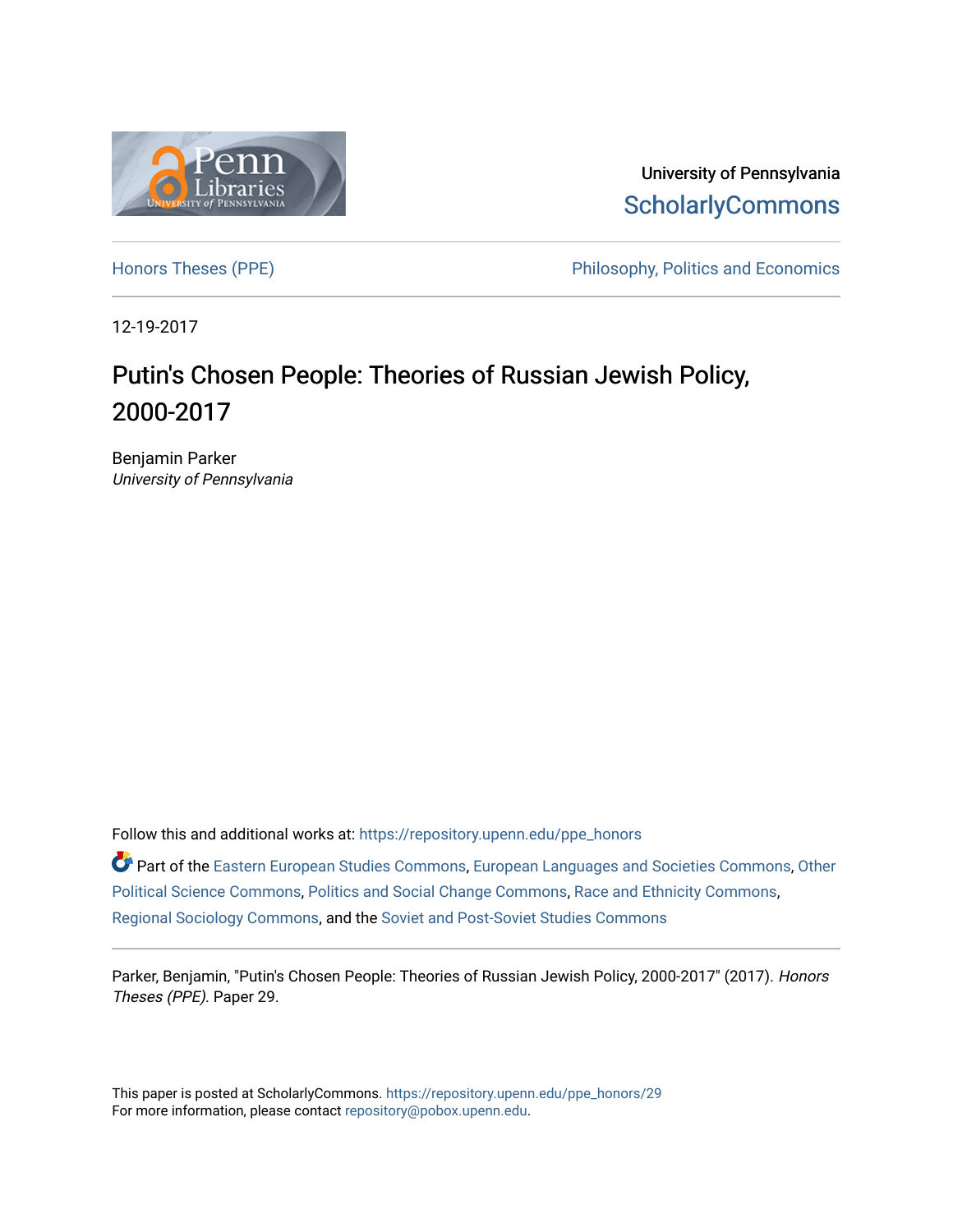

University of Pennsylvania **ScholarlyCommons** 

[Honors Theses \(PPE\)](https://repository.upenn.edu/ppe_honors) The Philosophy, Politics and Economics

12-19-2017

## Putin's Chosen People: Theories of Russian Jewish Policy, 2000-2017

Benjamin Parker University of Pennsylvania

Follow this and additional works at: [https://repository.upenn.edu/ppe\\_honors](https://repository.upenn.edu/ppe_honors?utm_source=repository.upenn.edu%2Fppe_honors%2F29&utm_medium=PDF&utm_campaign=PDFCoverPages) 

Part of the [Eastern European Studies Commons,](http://network.bepress.com/hgg/discipline/362?utm_source=repository.upenn.edu%2Fppe_honors%2F29&utm_medium=PDF&utm_campaign=PDFCoverPages) [European Languages and Societies Commons](http://network.bepress.com/hgg/discipline/482?utm_source=repository.upenn.edu%2Fppe_honors%2F29&utm_medium=PDF&utm_campaign=PDFCoverPages), [Other](http://network.bepress.com/hgg/discipline/392?utm_source=repository.upenn.edu%2Fppe_honors%2F29&utm_medium=PDF&utm_campaign=PDFCoverPages) [Political Science Commons,](http://network.bepress.com/hgg/discipline/392?utm_source=repository.upenn.edu%2Fppe_honors%2F29&utm_medium=PDF&utm_campaign=PDFCoverPages) [Politics and Social Change Commons,](http://network.bepress.com/hgg/discipline/425?utm_source=repository.upenn.edu%2Fppe_honors%2F29&utm_medium=PDF&utm_campaign=PDFCoverPages) [Race and Ethnicity Commons](http://network.bepress.com/hgg/discipline/426?utm_source=repository.upenn.edu%2Fppe_honors%2F29&utm_medium=PDF&utm_campaign=PDFCoverPages), [Regional Sociology Commons](http://network.bepress.com/hgg/discipline/427?utm_source=repository.upenn.edu%2Fppe_honors%2F29&utm_medium=PDF&utm_campaign=PDFCoverPages), and the [Soviet and Post-Soviet Studies Commons](http://network.bepress.com/hgg/discipline/364?utm_source=repository.upenn.edu%2Fppe_honors%2F29&utm_medium=PDF&utm_campaign=PDFCoverPages) 

Parker, Benjamin, "Putin's Chosen People: Theories of Russian Jewish Policy, 2000-2017" (2017). Honors Theses (PPE). Paper 29.

This paper is posted at ScholarlyCommons. [https://repository.upenn.edu/ppe\\_honors/29](https://repository.upenn.edu/ppe_honors/29)  For more information, please contact [repository@pobox.upenn.edu.](mailto:repository@pobox.upenn.edu)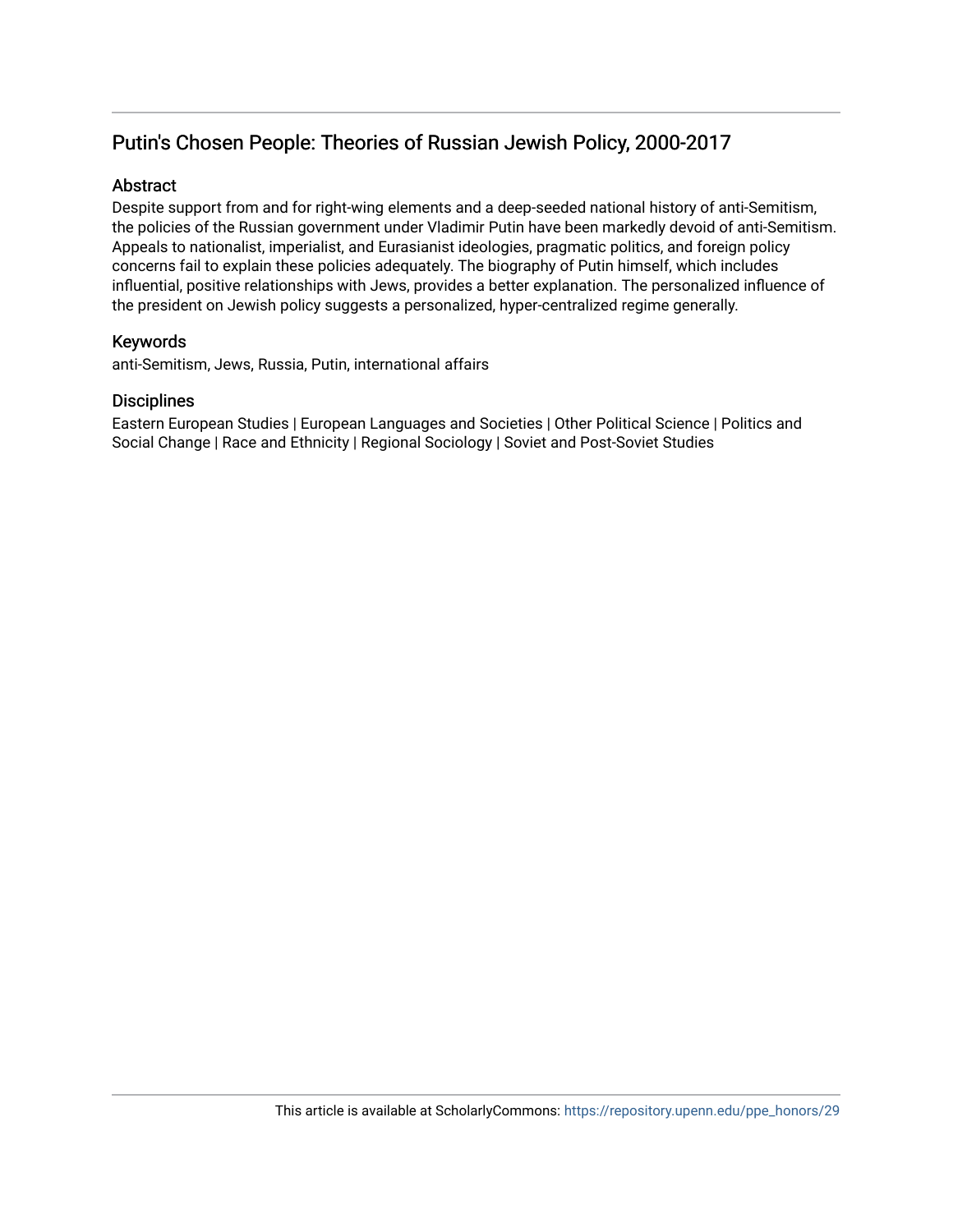## Putin's Chosen People: Theories of Russian Jewish Policy, 2000-2017

## **Abstract**

Despite support from and for right-wing elements and a deep-seeded national history of anti-Semitism, the policies of the Russian government under Vladimir Putin have been markedly devoid of anti-Semitism. Appeals to nationalist, imperialist, and Eurasianist ideologies, pragmatic politics, and foreign policy concerns fail to explain these policies adequately. The biography of Putin himself, which includes influential, positive relationships with Jews, provides a better explanation. The personalized influence of the president on Jewish policy suggests a personalized, hyper-centralized regime generally.

### Keywords

anti-Semitism, Jews, Russia, Putin, international affairs

#### **Disciplines**

Eastern European Studies | European Languages and Societies | Other Political Science | Politics and Social Change | Race and Ethnicity | Regional Sociology | Soviet and Post-Soviet Studies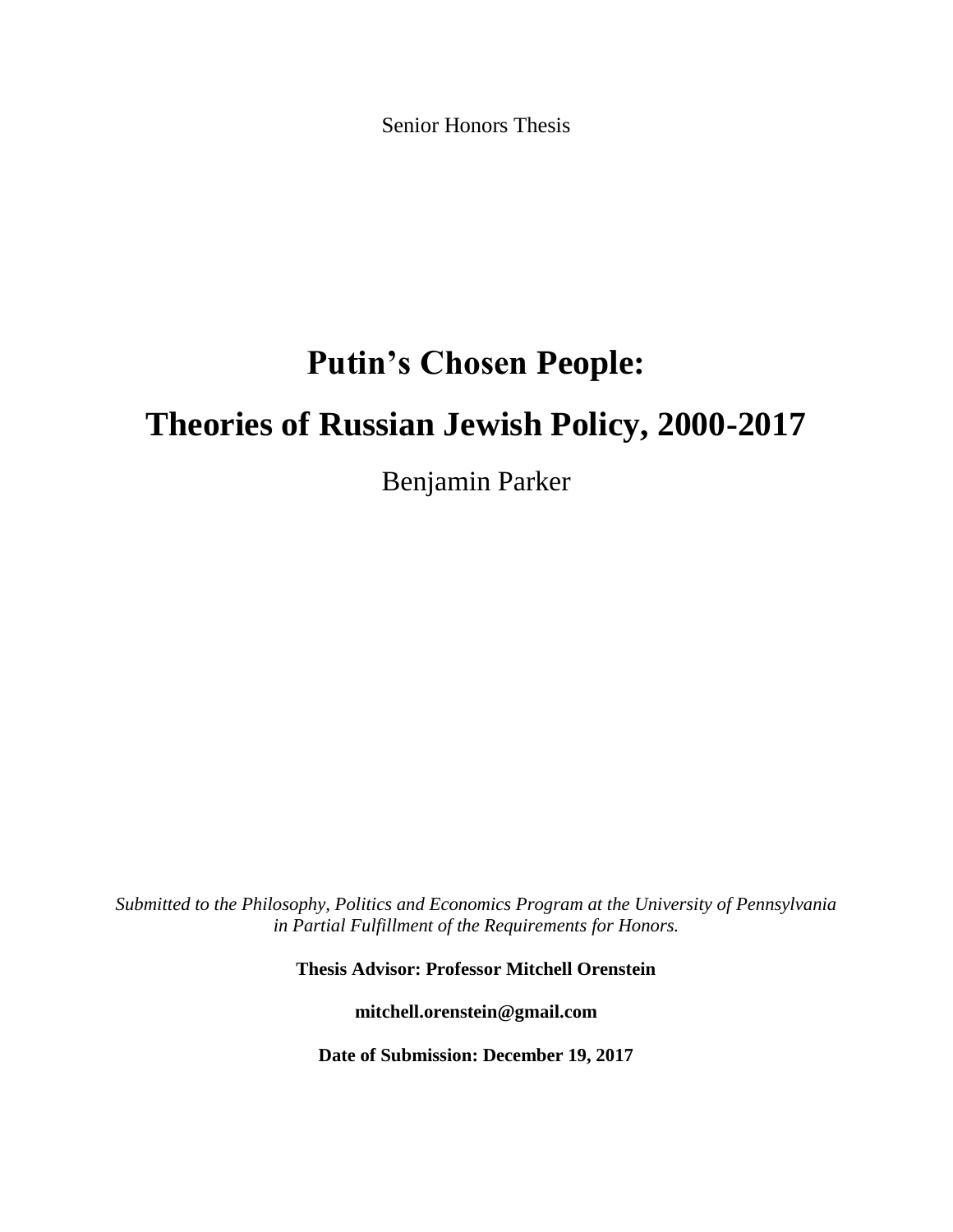Senior Honors Thesis

# **Putin's Chosen People:**

## **Theories of Russian Jewish Policy, 2000-2017**

Benjamin Parker

*Submitted to the Philosophy, Politics and Economics Program at the University of Pennsylvania in Partial Fulfillment of the Requirements for Honors.*

**Thesis Advisor: Professor Mitchell Orenstein**

**mitchell.orenstein@gmail.com**

**Date of Submission: December 19, 2017**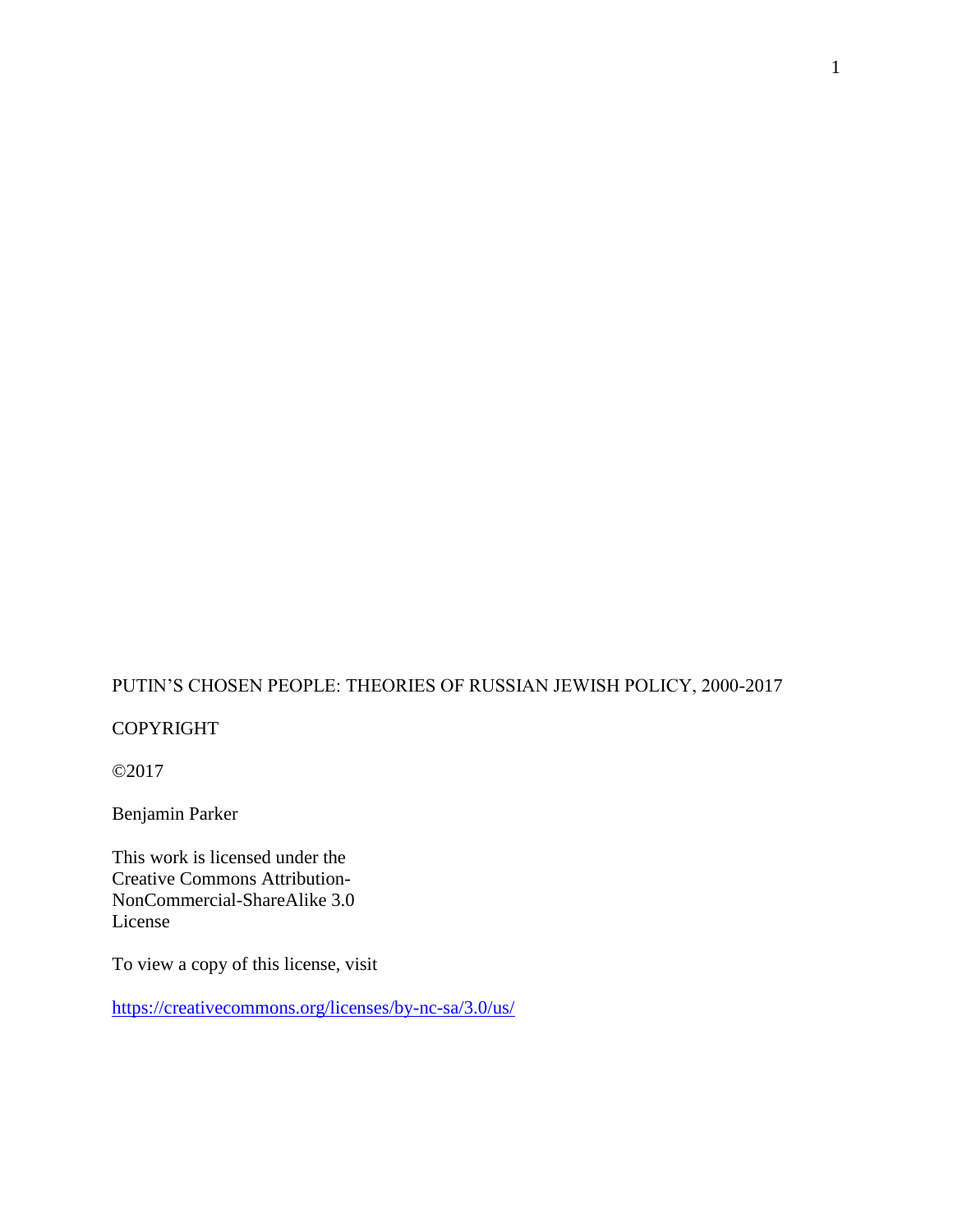## PUTIN'S CHOSEN PEOPLE: THEORIES OF RUSSIAN JEWISH POLICY, 2000-2017

## COPYRIGHT

©2017

Benjamin Parker

This work is licensed under the Creative Commons Attribution-NonCommercial-ShareAlike 3.0 License

To view a copy of this license, visit

<https://creativecommons.org/licenses/by-nc-sa/3.0/us/>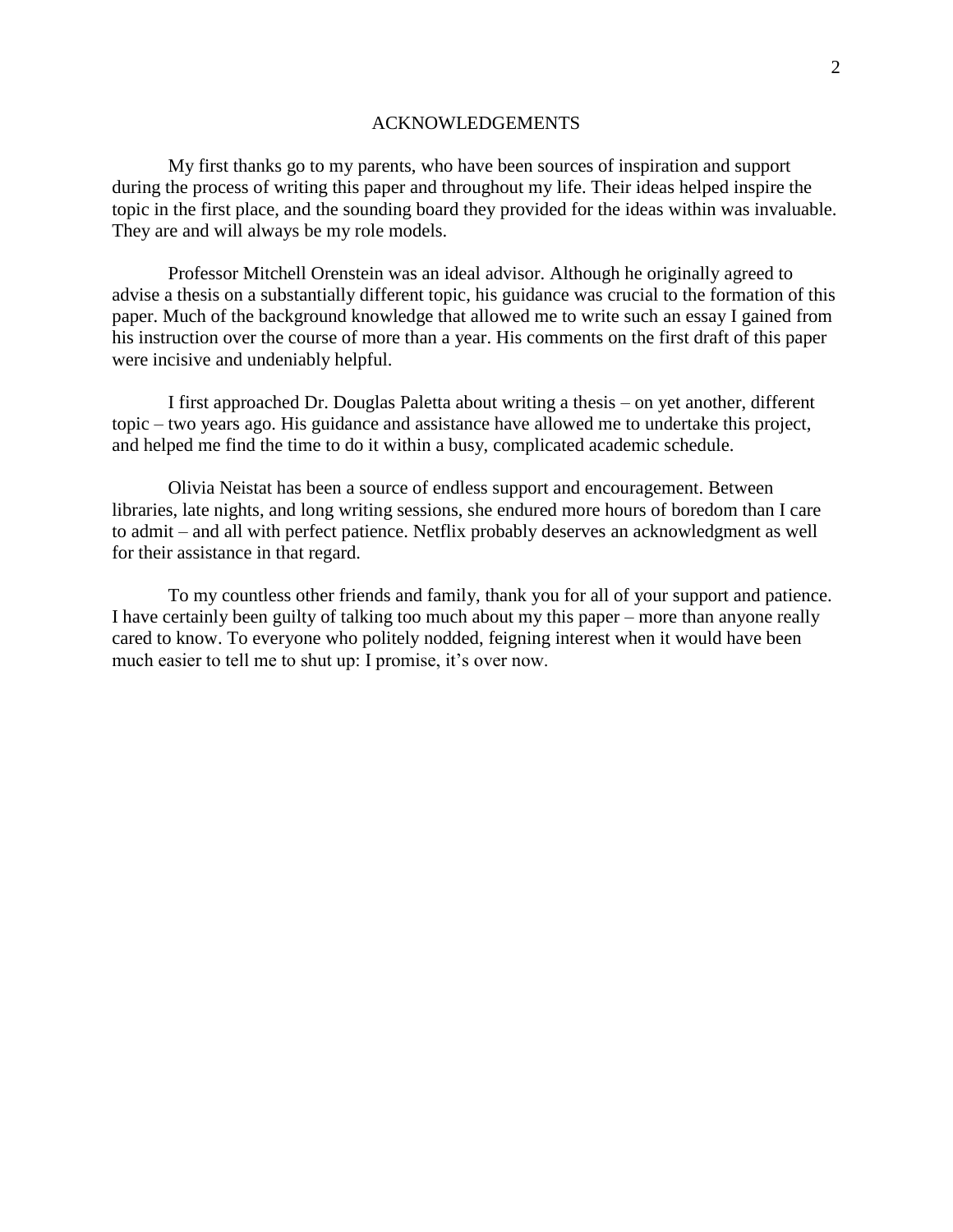#### ACKNOWLEDGEMENTS

My first thanks go to my parents, who have been sources of inspiration and support during the process of writing this paper and throughout my life. Their ideas helped inspire the topic in the first place, and the sounding board they provided for the ideas within was invaluable. They are and will always be my role models.

Professor Mitchell Orenstein was an ideal advisor. Although he originally agreed to advise a thesis on a substantially different topic, his guidance was crucial to the formation of this paper. Much of the background knowledge that allowed me to write such an essay I gained from his instruction over the course of more than a year. His comments on the first draft of this paper were incisive and undeniably helpful.

I first approached Dr. Douglas Paletta about writing a thesis – on yet another, different topic – two years ago. His guidance and assistance have allowed me to undertake this project, and helped me find the time to do it within a busy, complicated academic schedule.

Olivia Neistat has been a source of endless support and encouragement. Between libraries, late nights, and long writing sessions, she endured more hours of boredom than I care to admit – and all with perfect patience. Netflix probably deserves an acknowledgment as well for their assistance in that regard.

To my countless other friends and family, thank you for all of your support and patience. I have certainly been guilty of talking too much about my this paper – more than anyone really cared to know. To everyone who politely nodded, feigning interest when it would have been much easier to tell me to shut up: I promise, it's over now.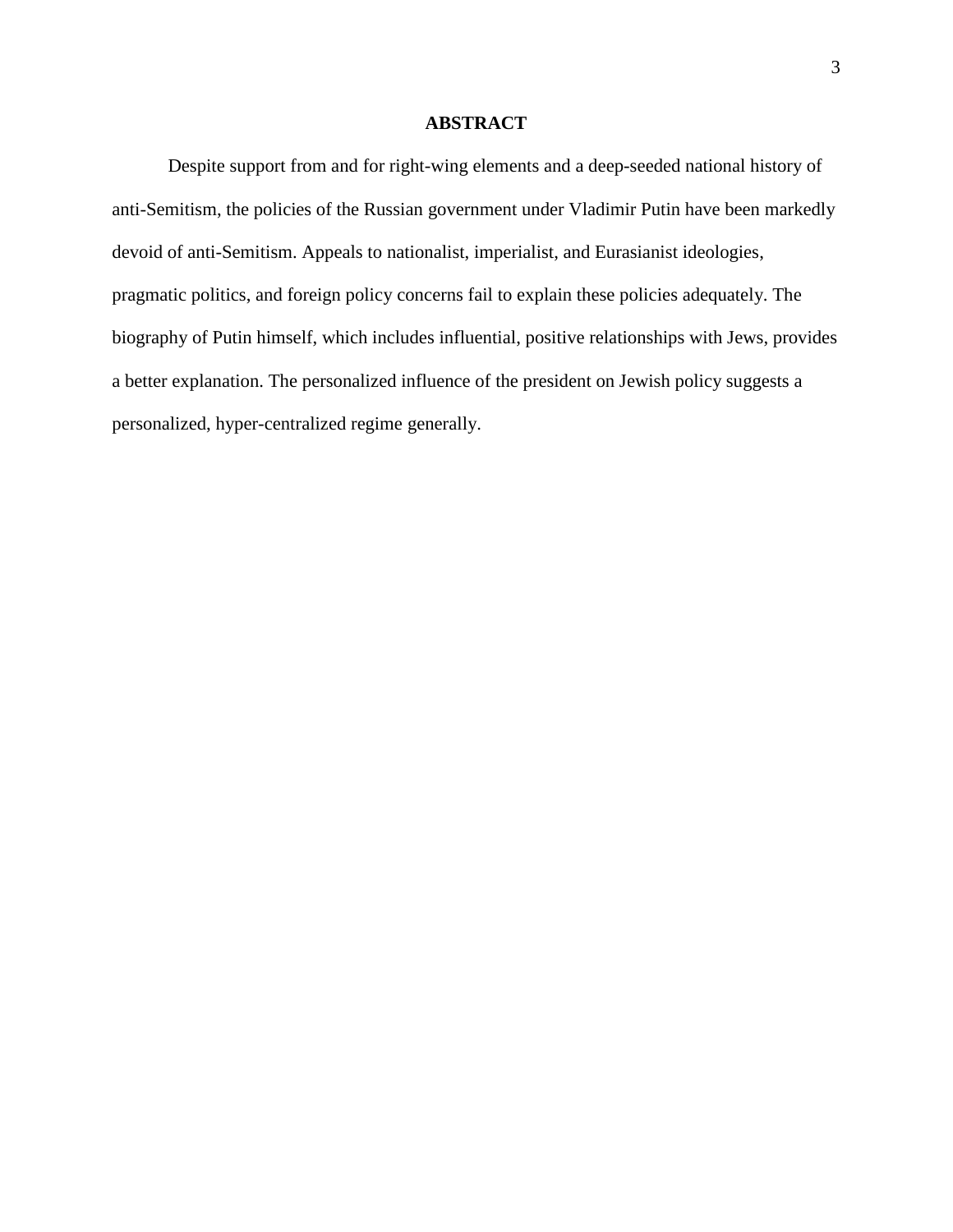#### **ABSTRACT**

Despite support from and for right-wing elements and a deep-seeded national history of anti-Semitism, the policies of the Russian government under Vladimir Putin have been markedly devoid of anti-Semitism. Appeals to nationalist, imperialist, and Eurasianist ideologies, pragmatic politics, and foreign policy concerns fail to explain these policies adequately. The biography of Putin himself, which includes influential, positive relationships with Jews, provides a better explanation. The personalized influence of the president on Jewish policy suggests a personalized, hyper-centralized regime generally.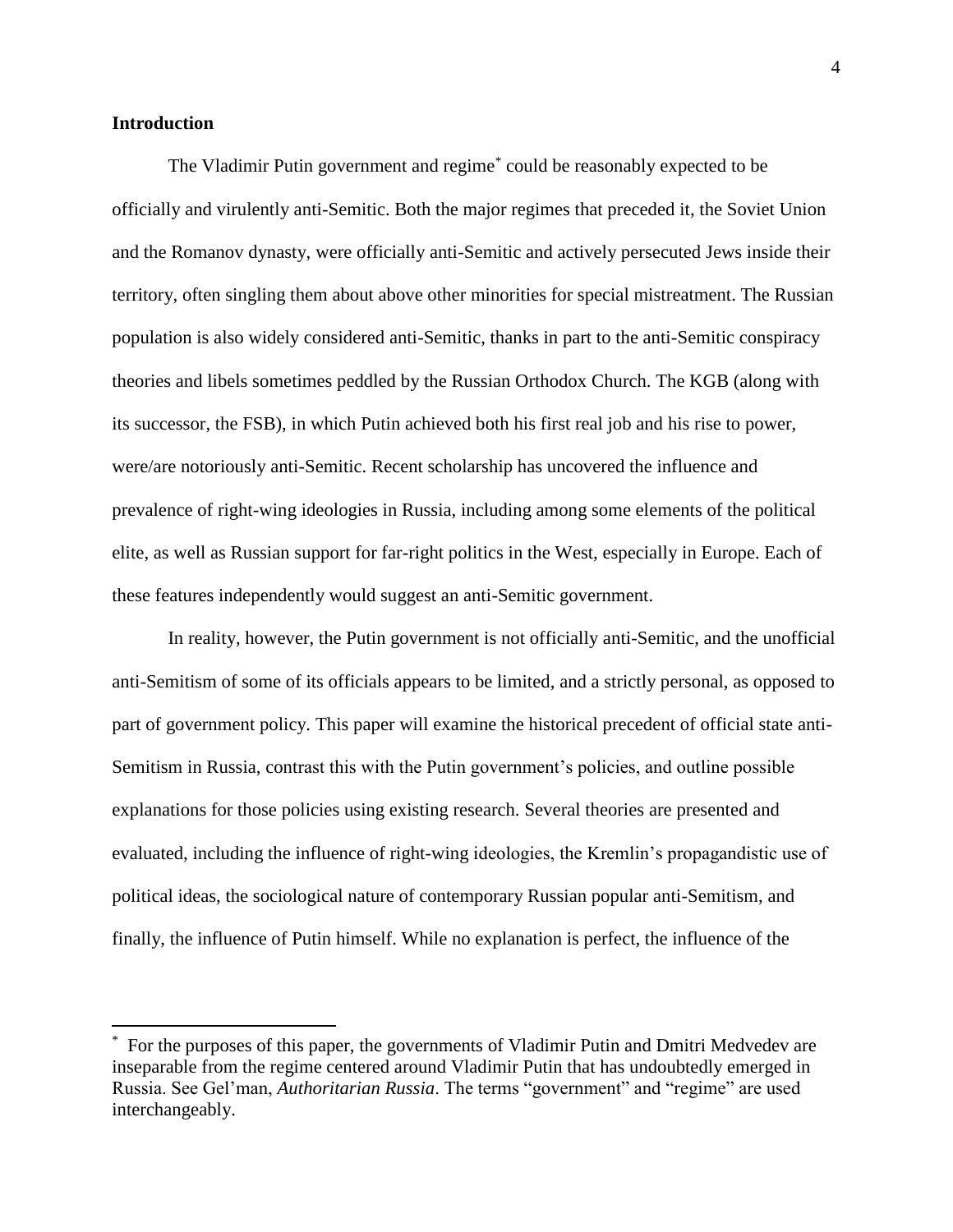#### **Introduction**

 $\overline{a}$ 

The Vladimir Putin government and regime\* could be reasonably expected to be officially and virulently anti-Semitic. Both the major regimes that preceded it, the Soviet Union and the Romanov dynasty, were officially anti-Semitic and actively persecuted Jews inside their territory, often singling them about above other minorities for special mistreatment. The Russian population is also widely considered anti-Semitic, thanks in part to the anti-Semitic conspiracy theories and libels sometimes peddled by the Russian Orthodox Church. The KGB (along with its successor, the FSB), in which Putin achieved both his first real job and his rise to power, were/are notoriously anti-Semitic. Recent scholarship has uncovered the influence and prevalence of right-wing ideologies in Russia, including among some elements of the political elite, as well as Russian support for far-right politics in the West, especially in Europe. Each of these features independently would suggest an anti-Semitic government.

In reality, however, the Putin government is not officially anti-Semitic, and the unofficial anti-Semitism of some of its officials appears to be limited, and a strictly personal, as opposed to part of government policy. This paper will examine the historical precedent of official state anti-Semitism in Russia, contrast this with the Putin government's policies, and outline possible explanations for those policies using existing research. Several theories are presented and evaluated, including the influence of right-wing ideologies, the Kremlin's propagandistic use of political ideas, the sociological nature of contemporary Russian popular anti-Semitism, and finally, the influence of Putin himself. While no explanation is perfect, the influence of the

<sup>\*</sup> For the purposes of this paper, the governments of Vladimir Putin and Dmitri Medvedev are inseparable from the regime centered around Vladimir Putin that has undoubtedly emerged in Russia. See Gel'man, *Authoritarian Russia*. The terms "government" and "regime" are used interchangeably.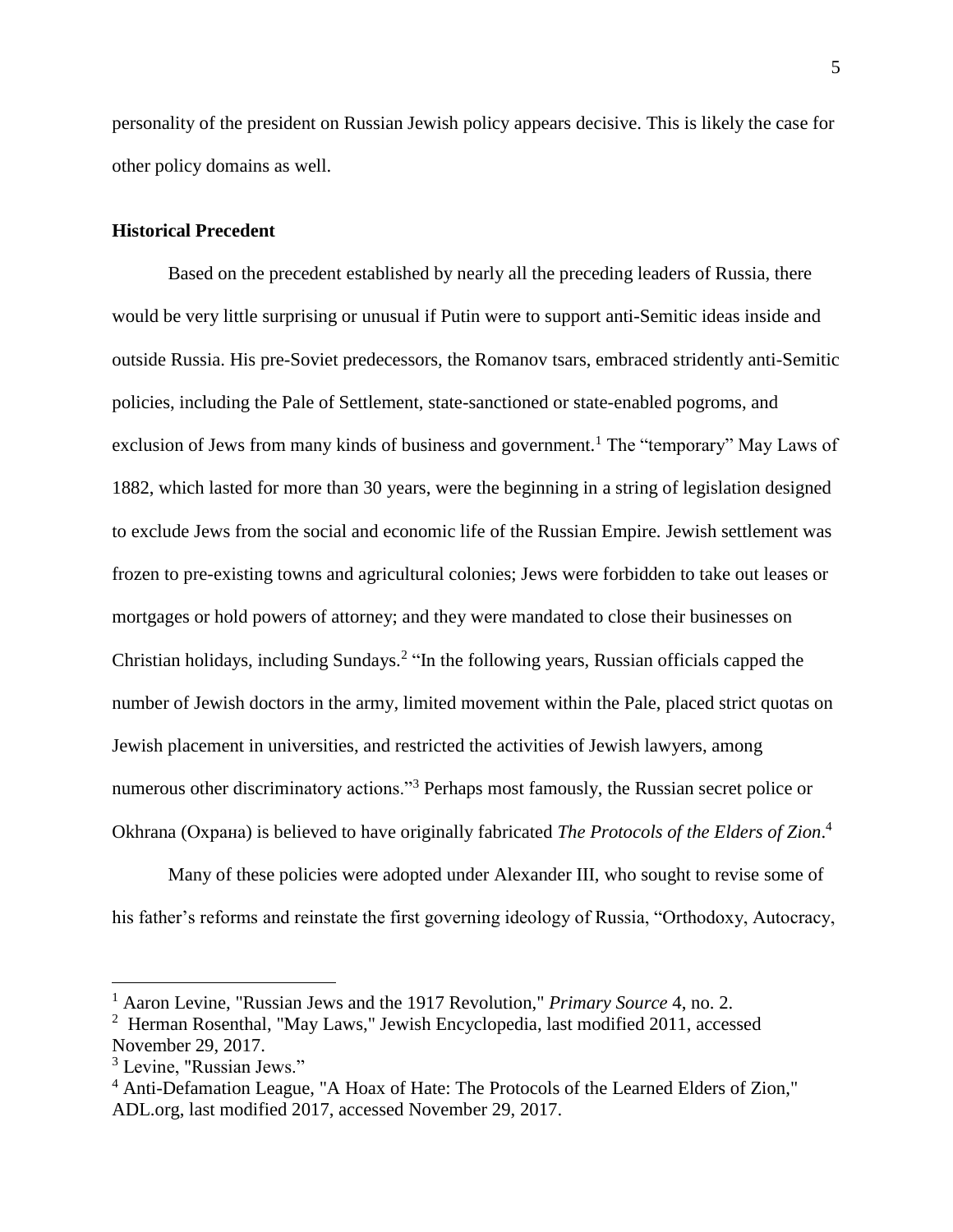personality of the president on Russian Jewish policy appears decisive. This is likely the case for other policy domains as well.

## **Historical Precedent**

Based on the precedent established by nearly all the preceding leaders of Russia, there would be very little surprising or unusual if Putin were to support anti-Semitic ideas inside and outside Russia. His pre-Soviet predecessors, the Romanov tsars, embraced stridently anti-Semitic policies, including the Pale of Settlement, state-sanctioned or state-enabled pogroms, and exclusion of Jews from many kinds of business and government.<sup>1</sup> The "temporary" May Laws of 1882, which lasted for more than 30 years, were the beginning in a string of legislation designed to exclude Jews from the social and economic life of the Russian Empire. Jewish settlement was frozen to pre-existing towns and agricultural colonies; Jews were forbidden to take out leases or mortgages or hold powers of attorney; and they were mandated to close their businesses on Christian holidays, including Sundays.<sup>2</sup> "In the following years, Russian officials capped the number of Jewish doctors in the army, limited movement within the Pale, placed strict quotas on Jewish placement in universities, and restricted the activities of Jewish lawyers, among numerous other discriminatory actions."<sup>3</sup> Perhaps most famously, the Russian secret police or Okhrana (Охрана) is believed to have originally fabricated *The Protocols of the Elders of Zion*. 4

Many of these policies were adopted under Alexander III, who sought to revise some of his father's reforms and reinstate the first governing ideology of Russia, "Orthodoxy, Autocracy,

<sup>1</sup> Aaron Levine, "Russian Jews and the 1917 Revolution," *Primary Source* 4, no. 2.

<sup>2</sup> Herman Rosenthal, "May Laws," Jewish Encyclopedia, last modified 2011, accessed November 29, 2017.

 $3$  Levine, "Russian Jews."

<sup>4</sup> Anti-Defamation League, "A Hoax of Hate: The Protocols of the Learned Elders of Zion," ADL.org, last modified 2017, accessed November 29, 2017.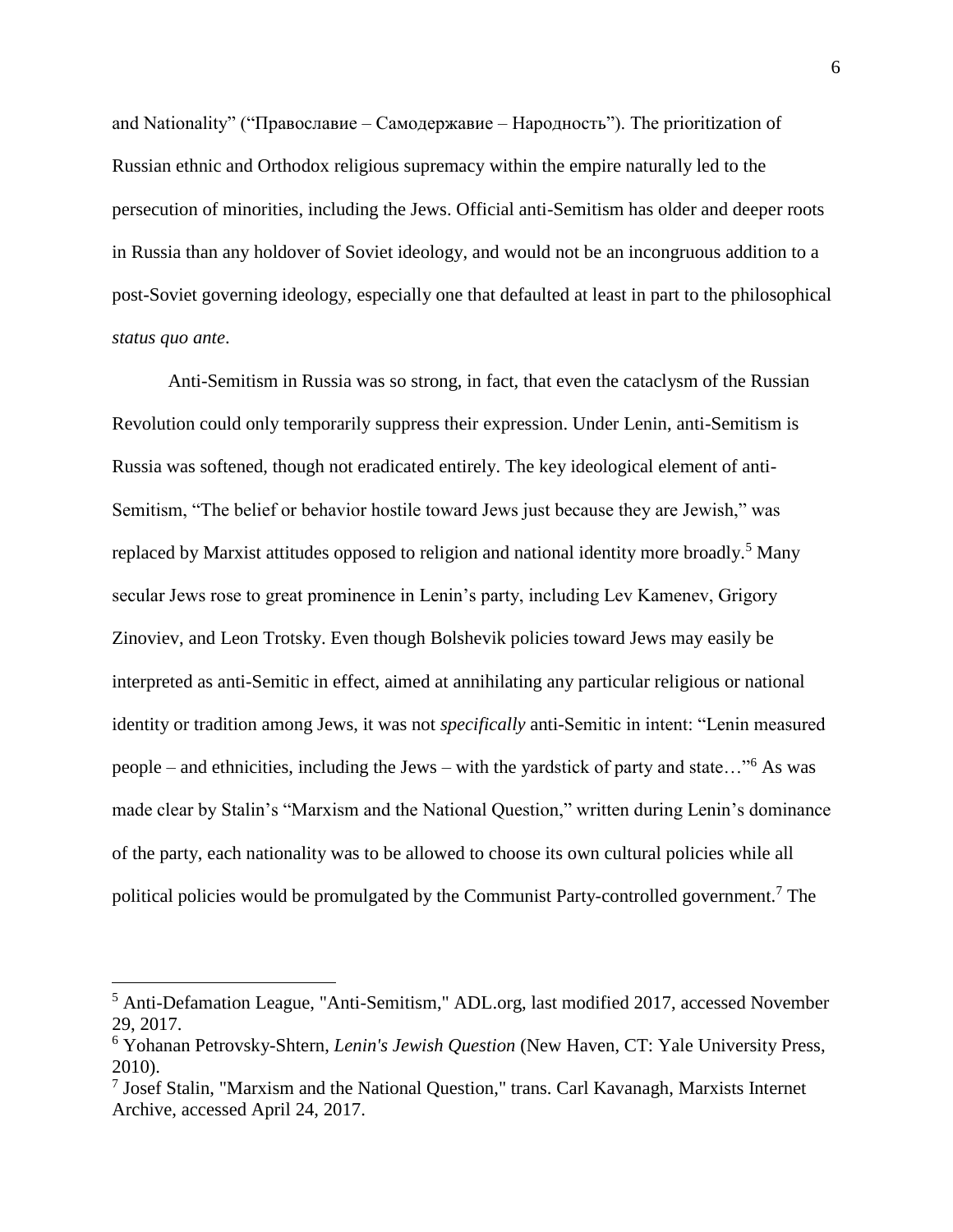and Nationality" ("Православие – Самодержавие – Народность"). The prioritization of Russian ethnic and Orthodox religious supremacy within the empire naturally led to the persecution of minorities, including the Jews. Official anti-Semitism has older and deeper roots in Russia than any holdover of Soviet ideology, and would not be an incongruous addition to a post-Soviet governing ideology, especially one that defaulted at least in part to the philosophical *status quo ante*.

Anti-Semitism in Russia was so strong, in fact, that even the cataclysm of the Russian Revolution could only temporarily suppress their expression. Under Lenin, anti-Semitism is Russia was softened, though not eradicated entirely. The key ideological element of anti-Semitism, "The belief or behavior hostile toward Jews just because they are Jewish," was replaced by Marxist attitudes opposed to religion and national identity more broadly.<sup>5</sup> Many secular Jews rose to great prominence in Lenin's party, including Lev Kamenev, Grigory Zinoviev, and Leon Trotsky. Even though Bolshevik policies toward Jews may easily be interpreted as anti-Semitic in effect, aimed at annihilating any particular religious or national identity or tradition among Jews, it was not *specifically* anti-Semitic in intent: "Lenin measured people – and ethnicities, including the Jews – with the yardstick of party and state…"<sup>6</sup> As was made clear by Stalin's "Marxism and the National Question," written during Lenin's dominance of the party, each nationality was to be allowed to choose its own cultural policies while all political policies would be promulgated by the Communist Party-controlled government.<sup>7</sup> The

<sup>5</sup> Anti-Defamation League, "Anti-Semitism," ADL.org, last modified 2017, accessed November 29, 2017.

<sup>6</sup> Yohanan Petrovsky-Shtern, *Lenin's Jewish Question* (New Haven, CT: Yale University Press, 2010).

<sup>7</sup> Josef Stalin, "Marxism and the National Question," trans. Carl Kavanagh, Marxists Internet Archive, accessed April 24, 2017.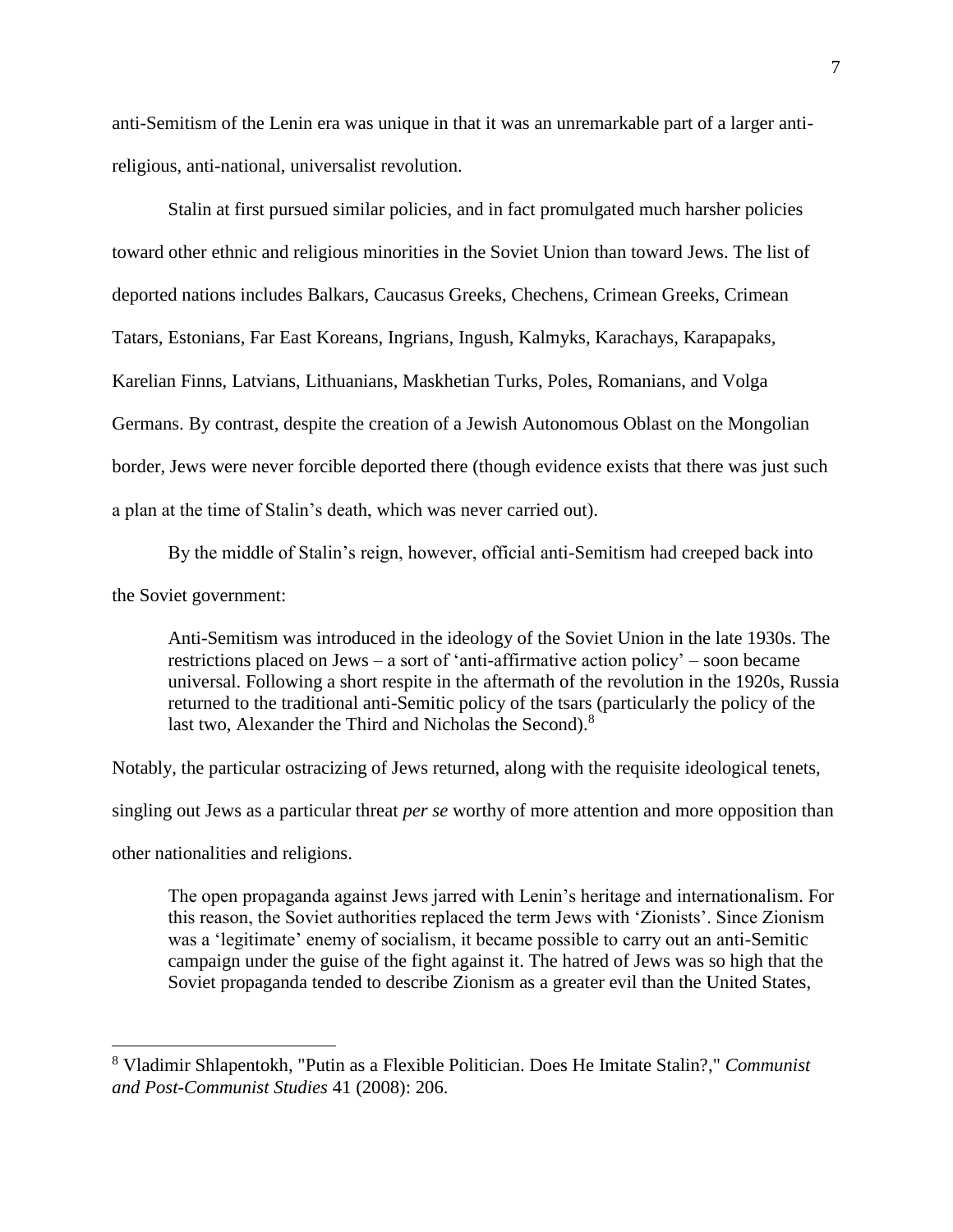anti-Semitism of the Lenin era was unique in that it was an unremarkable part of a larger antireligious, anti-national, universalist revolution.

Stalin at first pursued similar policies, and in fact promulgated much harsher policies toward other ethnic and religious minorities in the Soviet Union than toward Jews. The list of deported nations includes Balkars, Caucasus Greeks, Chechens, Crimean Greeks, Crimean Tatars, Estonians, Far East Koreans, Ingrians, Ingush, Kalmyks, Karachays, Karapapaks, Karelian Finns, Latvians, Lithuanians, Maskhetian Turks, Poles, Romanians, and Volga Germans. By contrast, despite the creation of a Jewish Autonomous Oblast on the Mongolian border, Jews were never forcible deported there (though evidence exists that there was just such a plan at the time of Stalin's death, which was never carried out).

By the middle of Stalin's reign, however, official anti-Semitism had creeped back into the Soviet government:

Anti-Semitism was introduced in the ideology of the Soviet Union in the late 1930s. The restrictions placed on Jews – a sort of 'anti-affirmative action policy' – soon became universal. Following a short respite in the aftermath of the revolution in the 1920s, Russia returned to the traditional anti-Semitic policy of the tsars (particularly the policy of the last two, Alexander the Third and Nicholas the Second).<sup>8</sup>

Notably, the particular ostracizing of Jews returned, along with the requisite ideological tenets, singling out Jews as a particular threat *per se* worthy of more attention and more opposition than other nationalities and religions.

The open propaganda against Jews jarred with Lenin's heritage and internationalism. For this reason, the Soviet authorities replaced the term Jews with 'Zionists'. Since Zionism was a 'legitimate' enemy of socialism, it became possible to carry out an anti-Semitic campaign under the guise of the fight against it. The hatred of Jews was so high that the Soviet propaganda tended to describe Zionism as a greater evil than the United States,

<sup>8</sup> Vladimir Shlapentokh, "Putin as a Flexible Politician. Does He Imitate Stalin?," *Communist and Post-Communist Studies* 41 (2008): 206.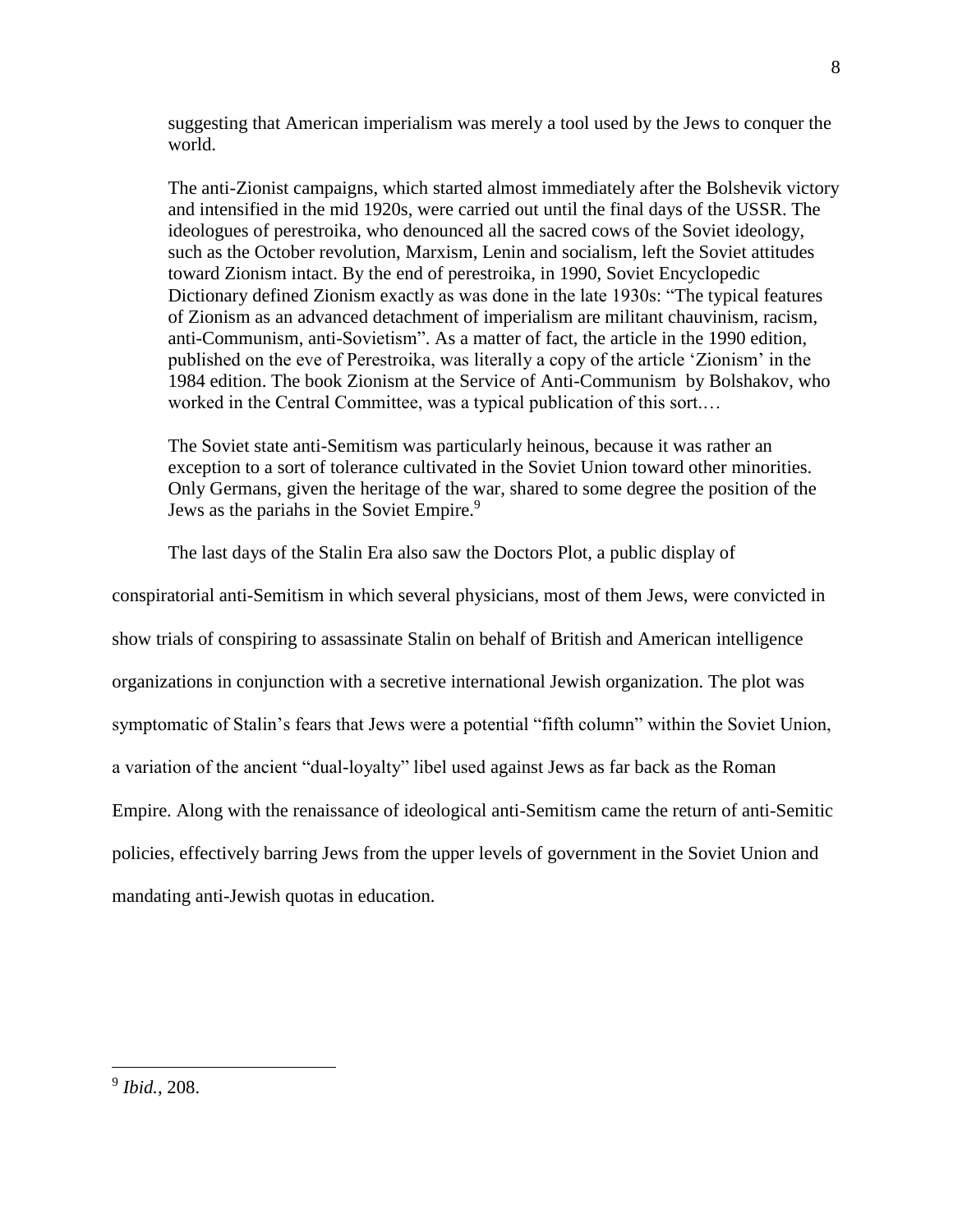suggesting that American imperialism was merely a tool used by the Jews to conquer the world.

The anti-Zionist campaigns, which started almost immediately after the Bolshevik victory and intensified in the mid 1920s, were carried out until the final days of the USSR. The ideologues of perestroika, who denounced all the sacred cows of the Soviet ideology, such as the October revolution, Marxism, Lenin and socialism, left the Soviet attitudes toward Zionism intact. By the end of perestroika, in 1990, Soviet Encyclopedic Dictionary defined Zionism exactly as was done in the late 1930s: "The typical features of Zionism as an advanced detachment of imperialism are militant chauvinism, racism, anti-Communism, anti-Sovietism". As a matter of fact, the article in the 1990 edition, published on the eve of Perestroika, was literally a copy of the article 'Zionism' in the 1984 edition. The book Zionism at the Service of Anti-Communism by Bolshakov, who worked in the Central Committee, was a typical publication of this sort.…

The Soviet state anti-Semitism was particularly heinous, because it was rather an exception to a sort of tolerance cultivated in the Soviet Union toward other minorities. Only Germans, given the heritage of the war, shared to some degree the position of the Jews as the pariahs in the Soviet Empire.<sup>9</sup>

The last days of the Stalin Era also saw the Doctors Plot, a public display of

conspiratorial anti-Semitism in which several physicians, most of them Jews, were convicted in show trials of conspiring to assassinate Stalin on behalf of British and American intelligence organizations in conjunction with a secretive international Jewish organization. The plot was symptomatic of Stalin's fears that Jews were a potential "fifth column" within the Soviet Union, a variation of the ancient "dual-loyalty" libel used against Jews as far back as the Roman Empire. Along with the renaissance of ideological anti-Semitism came the return of anti-Semitic policies, effectively barring Jews from the upper levels of government in the Soviet Union and mandating anti-Jewish quotas in education.

<sup>9</sup> *Ibid.*, 208.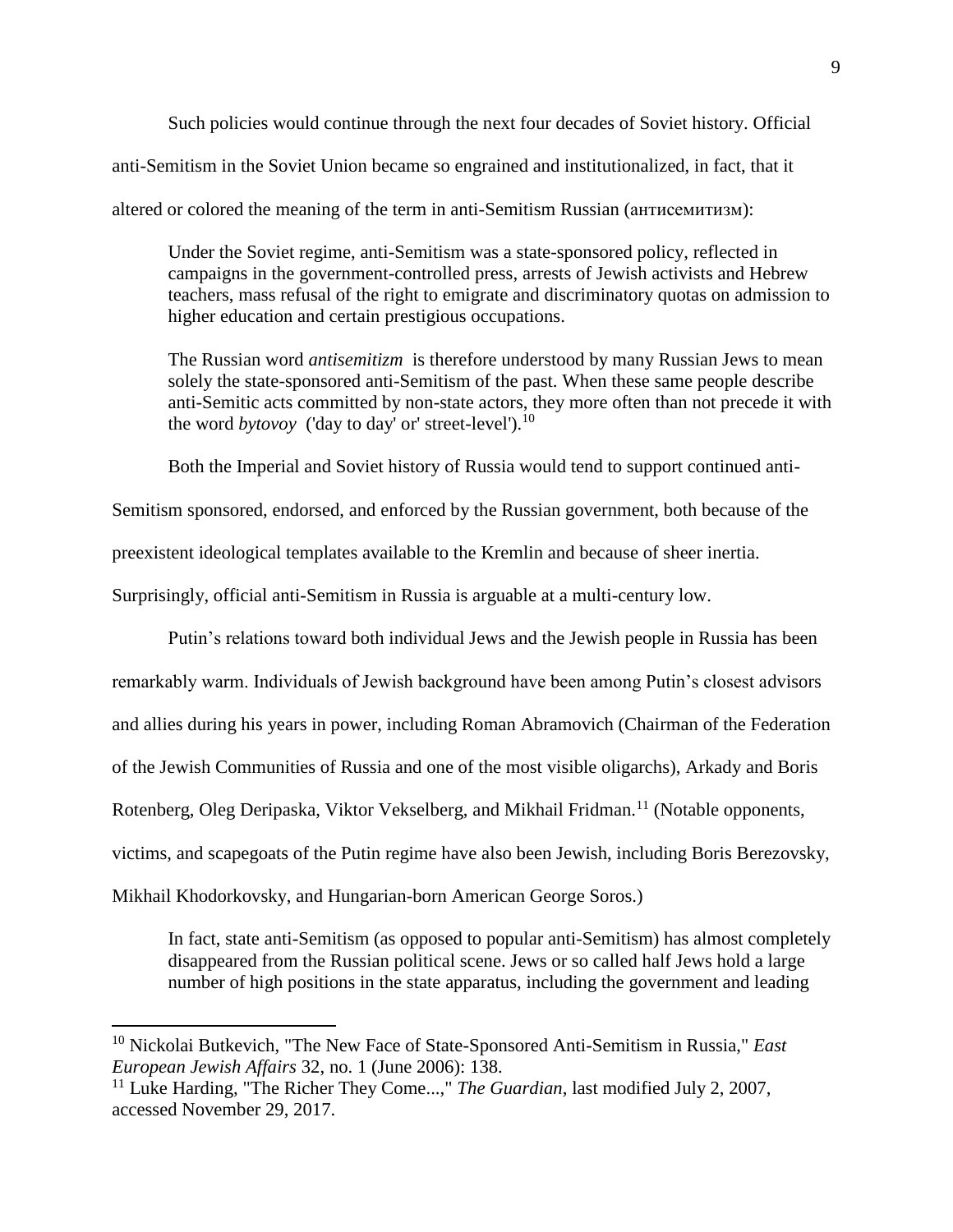Such policies would continue through the next four decades of Soviet history. Official anti-Semitism in the Soviet Union became so engrained and institutionalized, in fact, that it altered or colored the meaning of the term in anti-Semitism Russian (антисемитизм):

Under the Soviet regime, anti-Semitism was a state-sponsored policy, reflected in campaigns in the government-controlled press, arrests of Jewish activists and Hebrew teachers, mass refusal of the right to emigrate and discriminatory quotas on admission to higher education and certain prestigious occupations.

The Russian word *antisemitizm* is therefore understood by many Russian Jews to mean solely the state-sponsored anti-Semitism of the past. When these same people describe anti-Semitic acts committed by non-state actors, they more often than not precede it with the word *bytovoy* ('day to day' or' street-level').<sup>10</sup>

Both the Imperial and Soviet history of Russia would tend to support continued anti-

Semitism sponsored, endorsed, and enforced by the Russian government, both because of the

preexistent ideological templates available to the Kremlin and because of sheer inertia.

Surprisingly, official anti-Semitism in Russia is arguable at a multi-century low.

Putin's relations toward both individual Jews and the Jewish people in Russia has been

remarkably warm. Individuals of Jewish background have been among Putin's closest advisors

and allies during his years in power, including Roman Abramovich (Chairman of the Federation

of the Jewish Communities of Russia and one of the most visible oligarchs), Arkady and Boris

Rotenberg, Oleg Deripaska, Viktor Vekselberg, and Mikhail Fridman.<sup>11</sup> (Notable opponents,

victims, and scapegoats of the Putin regime have also been Jewish, including Boris Berezovsky,

Mikhail Khodorkovsky, and Hungarian-born American George Soros.)

 $\overline{a}$ 

In fact, state anti-Semitism (as opposed to popular anti-Semitism) has almost completely disappeared from the Russian political scene. Jews or so called half Jews hold a large number of high positions in the state apparatus, including the government and leading

<sup>10</sup> Nickolai Butkevich, "The New Face of State-Sponsored Anti-Semitism in Russia," *East European Jewish Affairs* 32, no. 1 (June 2006): 138.

<sup>11</sup> Luke Harding, "The Richer They Come...," *The Guardian*, last modified July 2, 2007, accessed November 29, 2017.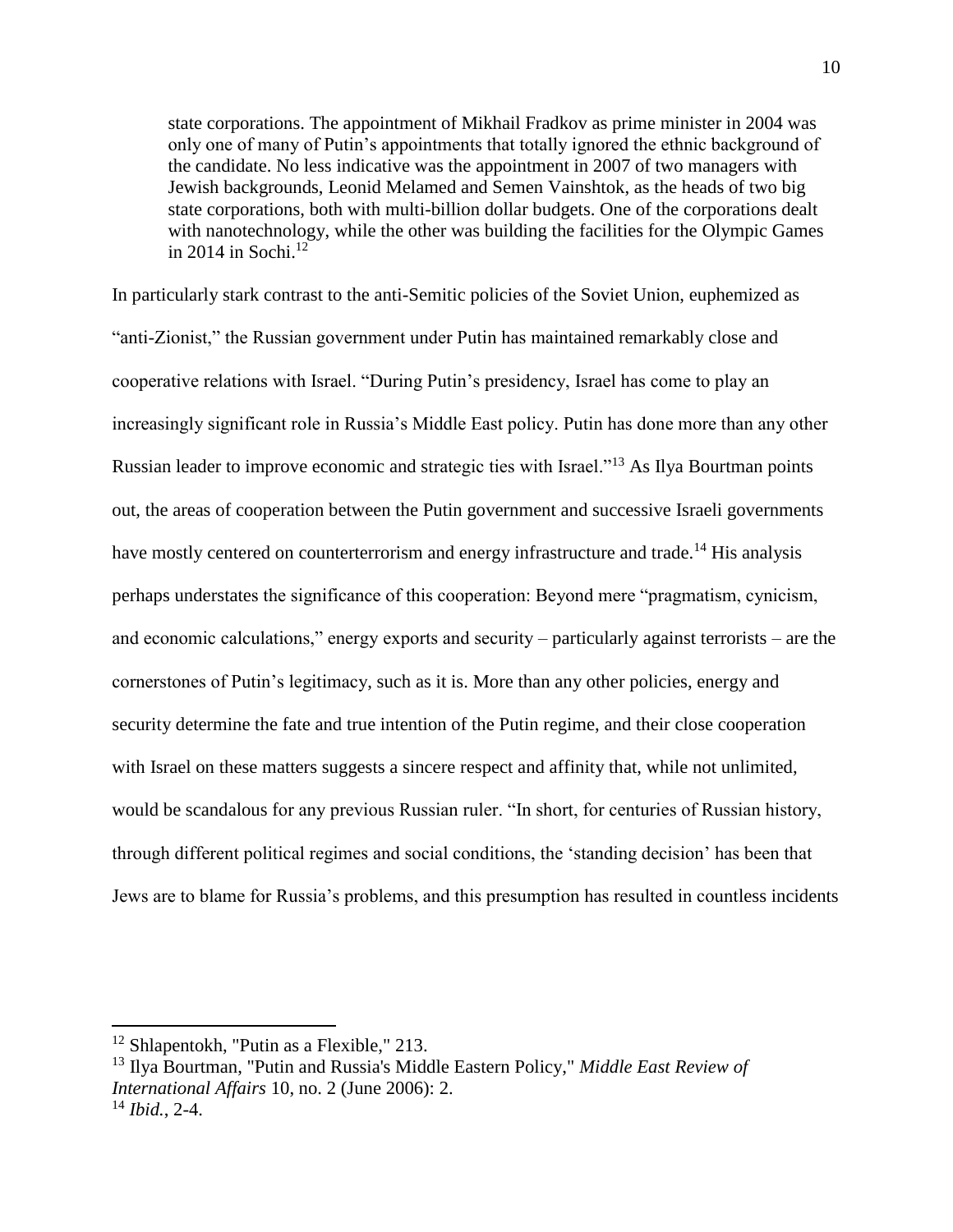state corporations. The appointment of Mikhail Fradkov as prime minister in 2004 was only one of many of Putin's appointments that totally ignored the ethnic background of the candidate. No less indicative was the appointment in 2007 of two managers with Jewish backgrounds, Leonid Melamed and Semen Vainshtok, as the heads of two big state corporations, both with multi-billion dollar budgets. One of the corporations dealt with nanotechnology, while the other was building the facilities for the Olympic Games in 2014 in Sochi. $12$ 

In particularly stark contrast to the anti-Semitic policies of the Soviet Union, euphemized as "anti-Zionist," the Russian government under Putin has maintained remarkably close and cooperative relations with Israel. "During Putin's presidency, Israel has come to play an increasingly significant role in Russia's Middle East policy. Putin has done more than any other Russian leader to improve economic and strategic ties with Israel."<sup>13</sup> As Ilya Bourtman points out, the areas of cooperation between the Putin government and successive Israeli governments have mostly centered on counterterrorism and energy infrastructure and trade.<sup>14</sup> His analysis perhaps understates the significance of this cooperation: Beyond mere "pragmatism, cynicism, and economic calculations," energy exports and security – particularly against terrorists – are the cornerstones of Putin's legitimacy, such as it is. More than any other policies, energy and security determine the fate and true intention of the Putin regime, and their close cooperation with Israel on these matters suggests a sincere respect and affinity that, while not unlimited, would be scandalous for any previous Russian ruler. "In short, for centuries of Russian history, through different political regimes and social conditions, the 'standing decision' has been that Jews are to blame for Russia's problems, and this presumption has resulted in countless incidents

<sup>&</sup>lt;sup>12</sup> Shlapentokh, "Putin as a Flexible," 213.

<sup>13</sup> Ilya Bourtman, "Putin and Russia's Middle Eastern Policy," *Middle East Review of International Affairs* 10, no. 2 (June 2006): 2. <sup>14</sup> *Ibid.*, 2-4.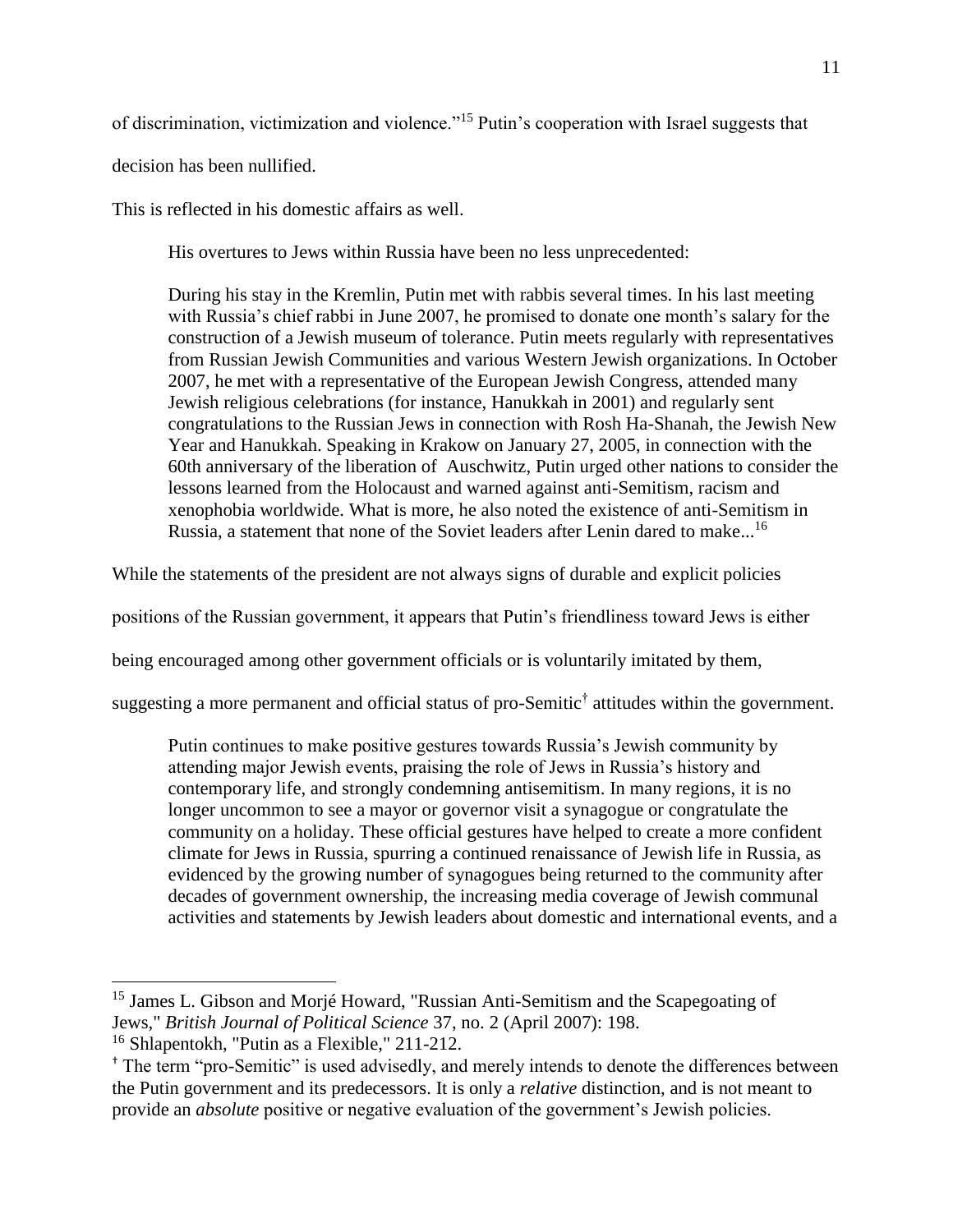of discrimination, victimization and violence."<sup>15</sup> Putin's cooperation with Israel suggests that

decision has been nullified.

 $\overline{a}$ 

This is reflected in his domestic affairs as well.

His overtures to Jews within Russia have been no less unprecedented:

During his stay in the Kremlin, Putin met with rabbis several times. In his last meeting with Russia's chief rabbi in June 2007, he promised to donate one month's salary for the construction of a Jewish museum of tolerance. Putin meets regularly with representatives from Russian Jewish Communities and various Western Jewish organizations. In October 2007, he met with a representative of the European Jewish Congress, attended many Jewish religious celebrations (for instance, Hanukkah in 2001) and regularly sent congratulations to the Russian Jews in connection with Rosh Ha-Shanah, the Jewish New Year and Hanukkah. Speaking in Krakow on January 27, 2005, in connection with the 60th anniversary of the liberation of Auschwitz, Putin urged other nations to consider the lessons learned from the Holocaust and warned against anti-Semitism, racism and xenophobia worldwide. What is more, he also noted the existence of anti-Semitism in Russia, a statement that none of the Soviet leaders after Lenin dared to make...<sup>16</sup>

While the statements of the president are not always signs of durable and explicit policies

positions of the Russian government, it appears that Putin's friendliness toward Jews is either

being encouraged among other government officials or is voluntarily imitated by them,

suggesting a more permanent and official status of pro-Semitic† attitudes within the government.

Putin continues to make positive gestures towards Russia's Jewish community by attending major Jewish events, praising the role of Jews in Russia's history and contemporary life, and strongly condemning antisemitism. In many regions, it is no longer uncommon to see a mayor or governor visit a synagogue or congratulate the community on a holiday. These official gestures have helped to create a more confident climate for Jews in Russia, spurring a continued renaissance of Jewish life in Russia, as evidenced by the growing number of synagogues being returned to the community after decades of government ownership, the increasing media coverage of Jewish communal activities and statements by Jewish leaders about domestic and international events, and a

<sup>&</sup>lt;sup>15</sup> James L. Gibson and Morjé Howard, "Russian Anti-Semitism and the Scapegoating of Jews," *British Journal of Political Science* 37, no. 2 (April 2007): 198. <sup>16</sup> Shlapentokh, "Putin as a Flexible," 211-212.

<sup>†</sup> The term "pro-Semitic" is used advisedly, and merely intends to denote the differences between the Putin government and its predecessors. It is only a *relative* distinction, and is not meant to provide an *absolute* positive or negative evaluation of the government's Jewish policies.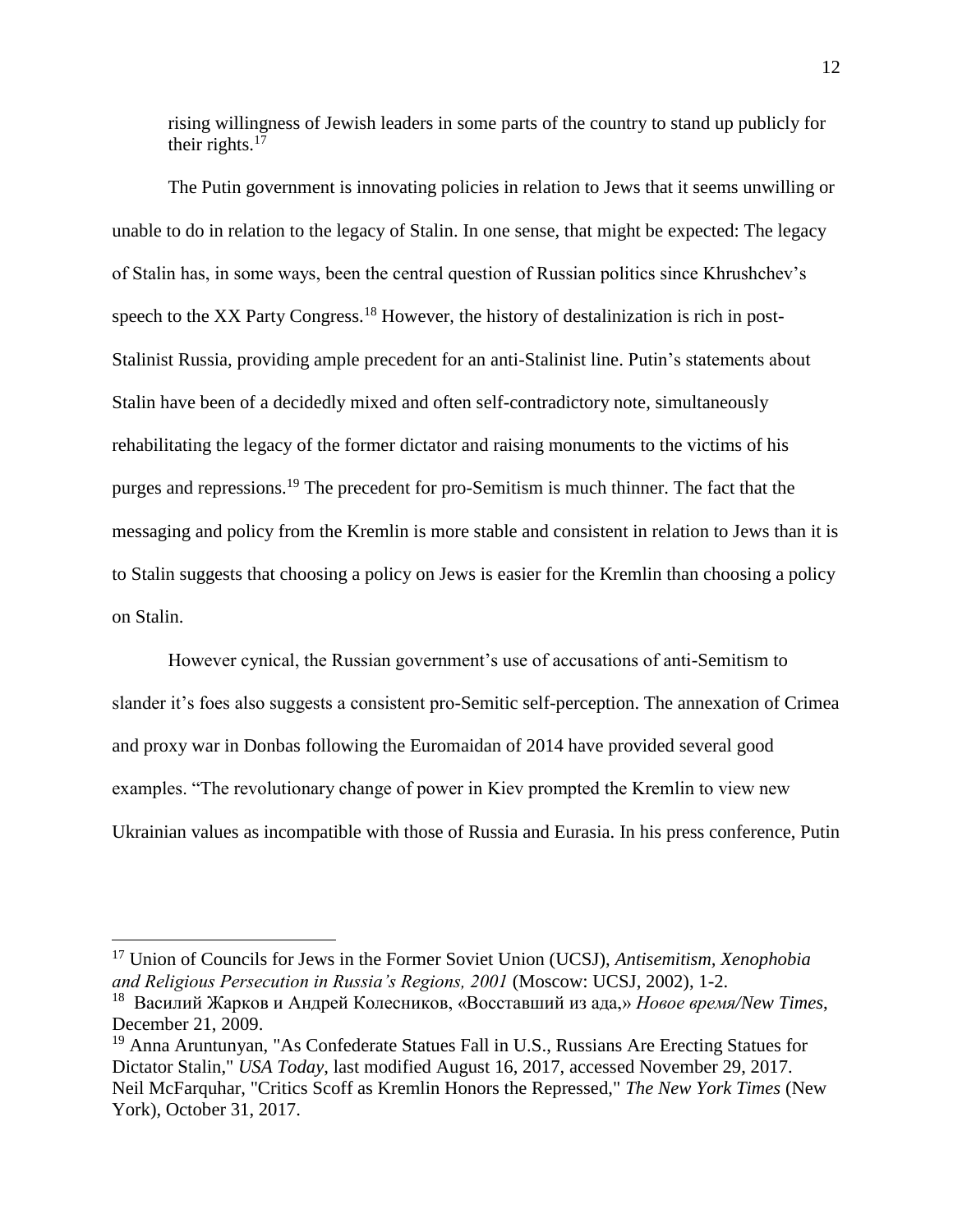rising willingness of Jewish leaders in some parts of the country to stand up publicly for their rights. $17$ 

The Putin government is innovating policies in relation to Jews that it seems unwilling or unable to do in relation to the legacy of Stalin. In one sense, that might be expected: The legacy of Stalin has, in some ways, been the central question of Russian politics since Khrushchev's speech to the XX Party Congress.<sup>18</sup> However, the history of destalinization is rich in post-Stalinist Russia, providing ample precedent for an anti-Stalinist line. Putin's statements about Stalin have been of a decidedly mixed and often self-contradictory note, simultaneously rehabilitating the legacy of the former dictator and raising monuments to the victims of his purges and repressions.<sup>19</sup> The precedent for pro-Semitism is much thinner. The fact that the messaging and policy from the Kremlin is more stable and consistent in relation to Jews than it is to Stalin suggests that choosing a policy on Jews is easier for the Kremlin than choosing a policy on Stalin.

However cynical, the Russian government's use of accusations of anti-Semitism to slander it's foes also suggests a consistent pro-Semitic self-perception. The annexation of Crimea and proxy war in Donbas following the Euromaidan of 2014 have provided several good examples. "The revolutionary change of power in Kiev prompted the Kremlin to view new Ukrainian values as incompatible with those of Russia and Eurasia. In his press conference, Putin

<sup>17</sup> Union of Councils for Jews in the Former Soviet Union (UCSJ), *Antisemitism, Xenophobia and Religious Persecution in Russia's Regions, 2001* (Moscow: UCSJ, 2002), 1-2.

<sup>18</sup> Василий Жарков и Андрей Колесников, «Восставший из ада,» *Новое время/New Times*, December 21, 2009.

<sup>&</sup>lt;sup>19</sup> Anna Aruntunyan, "As Confederate Statues Fall in U.S., Russians Are Erecting Statues for Dictator Stalin," *USA Today*, last modified August 16, 2017, accessed November 29, 2017. Neil McFarquhar, "Critics Scoff as Kremlin Honors the Repressed," *The New York Times* (New York), October 31, 2017.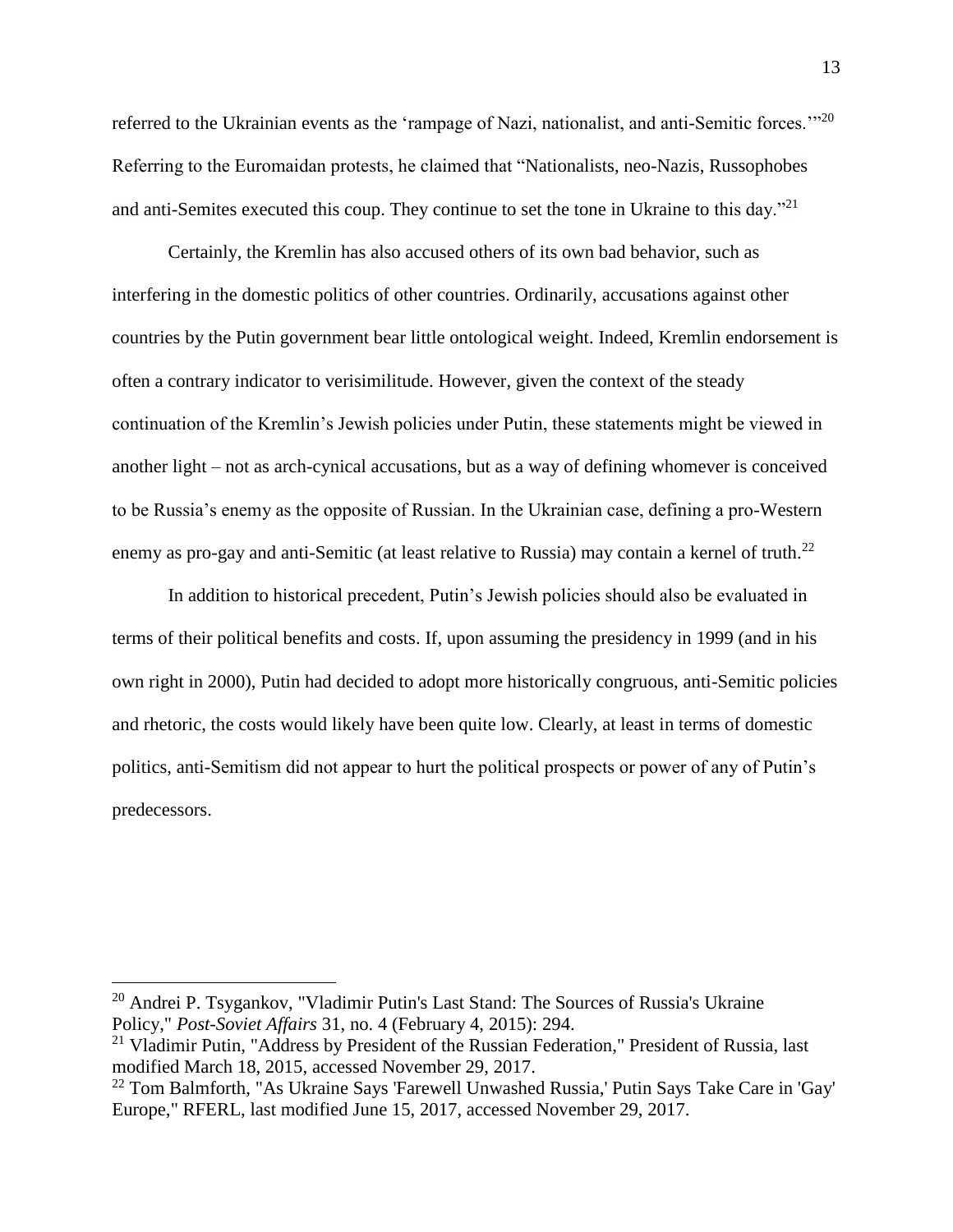referred to the Ukrainian events as the 'rampage of Nazi, nationalist, and anti-Semitic forces.'"<sup>20</sup> Referring to the Euromaidan protests, he claimed that "Nationalists, neo-Nazis, Russophobes and anti-Semites executed this coup. They continue to set the tone in Ukraine to this day."<sup>21</sup>

Certainly, the Kremlin has also accused others of its own bad behavior, such as interfering in the domestic politics of other countries. Ordinarily, accusations against other countries by the Putin government bear little ontological weight. Indeed, Kremlin endorsement is often a contrary indicator to verisimilitude. However, given the context of the steady continuation of the Kremlin's Jewish policies under Putin, these statements might be viewed in another light – not as arch-cynical accusations, but as a way of defining whomever is conceived to be Russia's enemy as the opposite of Russian. In the Ukrainian case, defining a pro-Western enemy as pro-gay and anti-Semitic (at least relative to Russia) may contain a kernel of truth.<sup>22</sup>

In addition to historical precedent, Putin's Jewish policies should also be evaluated in terms of their political benefits and costs. If, upon assuming the presidency in 1999 (and in his own right in 2000), Putin had decided to adopt more historically congruous, anti-Semitic policies and rhetoric, the costs would likely have been quite low. Clearly, at least in terms of domestic politics, anti-Semitism did not appear to hurt the political prospects or power of any of Putin's predecessors.

<sup>20</sup> Andrei P. Tsygankov, "Vladimir Putin's Last Stand: The Sources of Russia's Ukraine Policy," *Post-Soviet Affairs* 31, no. 4 (February 4, 2015): 294.

 $21$  Vladimir Putin, "Address by President of the Russian Federation," President of Russia, last modified March 18, 2015, accessed November 29, 2017.

<sup>22</sup> Tom Balmforth, "As Ukraine Says 'Farewell Unwashed Russia,' Putin Says Take Care in 'Gay' Europe," RFERL, last modified June 15, 2017, accessed November 29, 2017.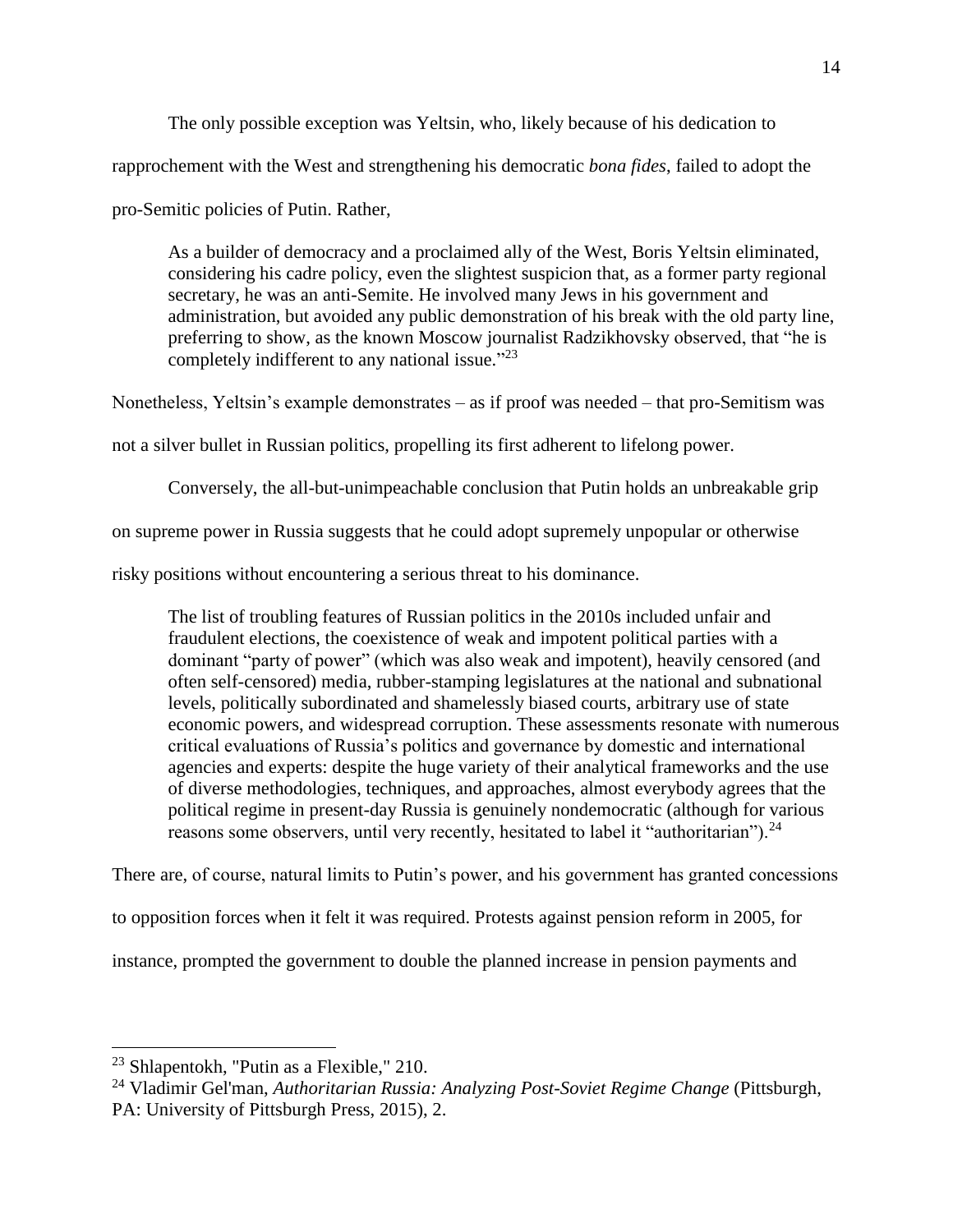The only possible exception was Yeltsin, who, likely because of his dedication to

rapprochement with the West and strengthening his democratic *bona fides*, failed to adopt the

pro-Semitic policies of Putin. Rather,

As a builder of democracy and a proclaimed ally of the West, Boris Yeltsin eliminated, considering his cadre policy, even the slightest suspicion that, as a former party regional secretary, he was an anti-Semite. He involved many Jews in his government and administration, but avoided any public demonstration of his break with the old party line, preferring to show, as the known Moscow journalist Radzikhovsky observed, that "he is completely indifferent to any national issue."<sup>23</sup>

Nonetheless, Yeltsin's example demonstrates – as if proof was needed – that pro-Semitism was

not a silver bullet in Russian politics, propelling its first adherent to lifelong power.

Conversely, the all-but-unimpeachable conclusion that Putin holds an unbreakable grip

on supreme power in Russia suggests that he could adopt supremely unpopular or otherwise

risky positions without encountering a serious threat to his dominance.

The list of troubling features of Russian politics in the 2010s included unfair and fraudulent elections, the coexistence of weak and impotent political parties with a dominant "party of power" (which was also weak and impotent), heavily censored (and often self-censored) media, rubber-stamping legislatures at the national and subnational levels, politically subordinated and shamelessly biased courts, arbitrary use of state economic powers, and widespread corruption. These assessments resonate with numerous critical evaluations of Russia's politics and governance by domestic and international agencies and experts: despite the huge variety of their analytical frameworks and the use of diverse methodologies, techniques, and approaches, almost everybody agrees that the political regime in present-day Russia is genuinely nondemocratic (although for various reasons some observers, until very recently, hesitated to label it "authoritarian").<sup>24</sup>

There are, of course, natural limits to Putin's power, and his government has granted concessions

to opposition forces when it felt it was required. Protests against pension reform in 2005, for

instance, prompted the government to double the planned increase in pension payments and

 $23$  Shlapentokh, "Putin as a Flexible," 210.

<sup>24</sup> Vladimir Gel'man, *Authoritarian Russia: Analyzing Post-Soviet Regime Change* (Pittsburgh, PA: University of Pittsburgh Press, 2015), 2.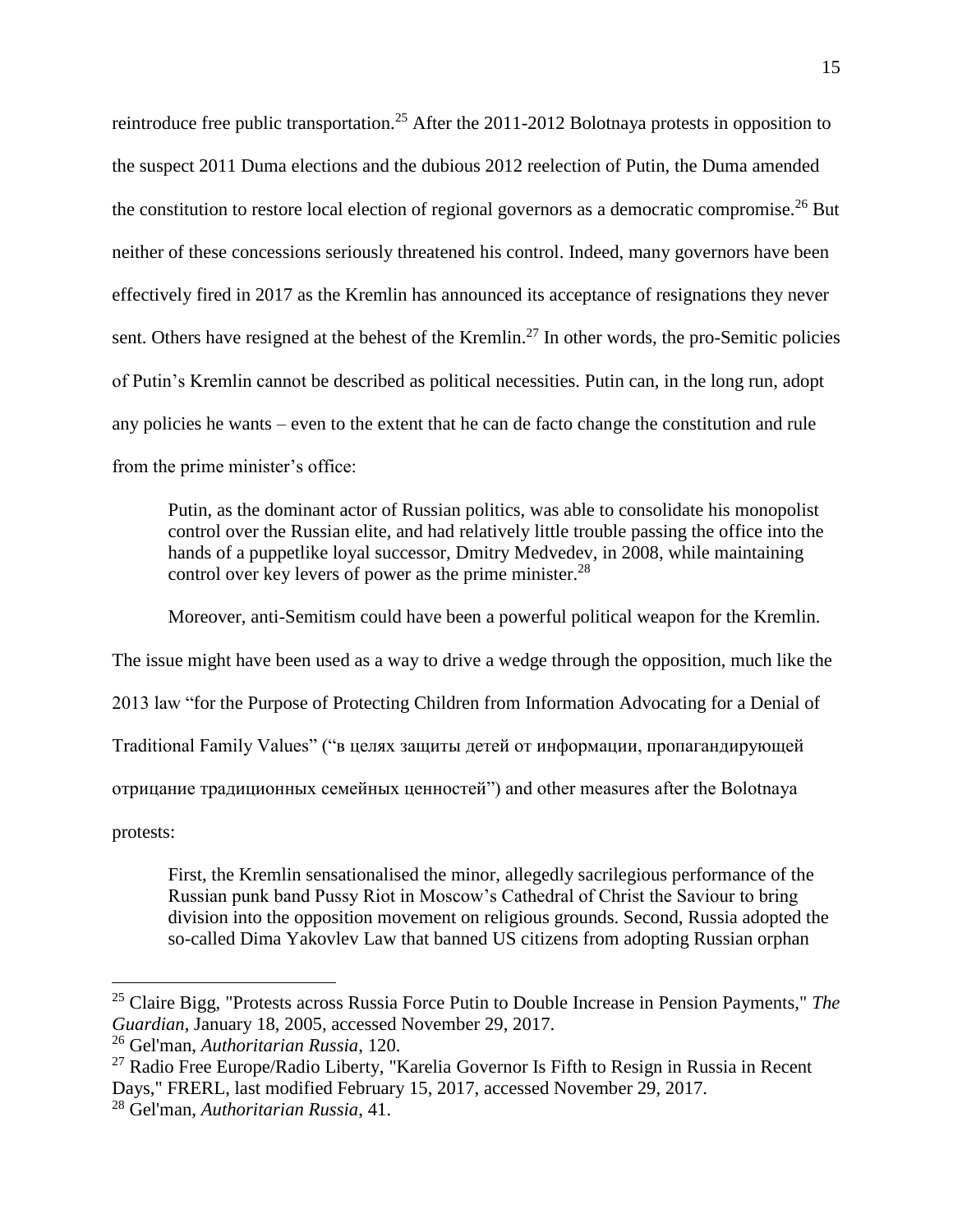reintroduce free public transportation.<sup>25</sup> After the 2011-2012 Bolotnaya protests in opposition to the suspect 2011 Duma elections and the dubious 2012 reelection of Putin, the Duma amended the constitution to restore local election of regional governors as a democratic compromise.<sup>26</sup> But neither of these concessions seriously threatened his control. Indeed, many governors have been effectively fired in 2017 as the Kremlin has announced its acceptance of resignations they never sent. Others have resigned at the behest of the Kremlin.<sup>27</sup> In other words, the pro-Semitic policies of Putin's Kremlin cannot be described as political necessities. Putin can, in the long run, adopt any policies he wants – even to the extent that he can de facto change the constitution and rule from the prime minister's office:

Putin, as the dominant actor of Russian politics, was able to consolidate his monopolist control over the Russian elite, and had relatively little trouble passing the office into the hands of a puppetlike loyal successor, Dmitry Medvedev, in 2008, while maintaining control over key levers of power as the prime minister. $28$ 

Moreover, anti-Semitism could have been a powerful political weapon for the Kremlin.

The issue might have been used as a way to drive a wedge through the opposition, much like the

2013 law "for the Purpose of Protecting Children from Information Advocating for a Denial of

Traditional Family Values" ("в целях защиты детей от информации, пропагандирующей

отрицание традиционных семейных ценностей") and other measures after the Bolotnaya

protests:

 $\overline{a}$ 

First, the Kremlin sensationalised the minor, allegedly sacrilegious performance of the Russian punk band Pussy Riot in Moscow's Cathedral of Christ the Saviour to bring division into the opposition movement on religious grounds. Second, Russia adopted the so-called Dima Yakovlev Law that banned US citizens from adopting Russian orphan

<sup>25</sup> Claire Bigg, "Protests across Russia Force Putin to Double Increase in Pension Payments," *The Guardian*, January 18, 2005, accessed November 29, 2017.

<sup>26</sup> Gel'man, *Authoritarian Russia*, 120.

 $27$  Radio Free Europe/Radio Liberty, "Karelia Governor Is Fifth to Resign in Russia in Recent Days," FRERL, last modified February 15, 2017, accessed November 29, 2017.

<sup>28</sup> Gel'man, *Authoritarian Russia*, 41.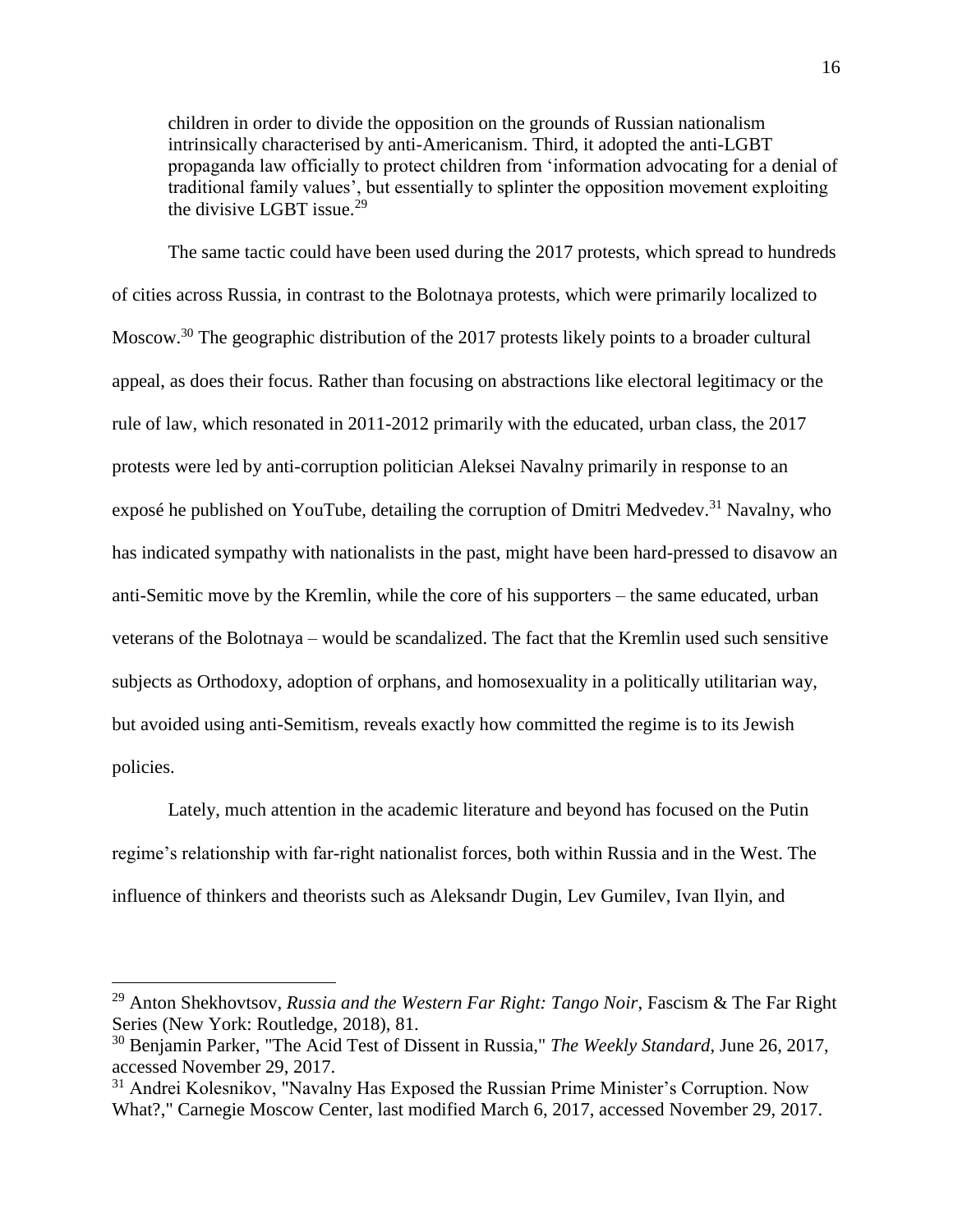children in order to divide the opposition on the grounds of Russian nationalism intrinsically characterised by anti-Americanism. Third, it adopted the anti-LGBT propaganda law officially to protect children from 'information advocating for a denial of traditional family values', but essentially to splinter the opposition movement exploiting the divisive LGBT issue.<sup>29</sup>

The same tactic could have been used during the 2017 protests, which spread to hundreds of cities across Russia, in contrast to the Bolotnaya protests, which were primarily localized to Moscow.<sup>30</sup> The geographic distribution of the 2017 protests likely points to a broader cultural appeal, as does their focus. Rather than focusing on abstractions like electoral legitimacy or the rule of law, which resonated in 2011-2012 primarily with the educated, urban class, the 2017 protests were led by anti-corruption politician Aleksei Navalny primarily in response to an exposé he published on YouTube, detailing the corruption of Dmitri Medvedev.<sup>31</sup> Navalny, who has indicated sympathy with nationalists in the past, might have been hard-pressed to disavow an anti-Semitic move by the Kremlin, while the core of his supporters – the same educated, urban veterans of the Bolotnaya – would be scandalized. The fact that the Kremlin used such sensitive subjects as Orthodoxy, adoption of orphans, and homosexuality in a politically utilitarian way, but avoided using anti-Semitism, reveals exactly how committed the regime is to its Jewish policies.

Lately, much attention in the academic literature and beyond has focused on the Putin regime's relationship with far-right nationalist forces, both within Russia and in the West. The influence of thinkers and theorists such as Aleksandr Dugin, Lev Gumilev, Ivan Ilyin, and

<sup>29</sup> Anton Shekhovtsov, *Russia and the Western Far Right: Tango Noir*, Fascism & The Far Right Series (New York: Routledge, 2018), 81.

<sup>30</sup> Benjamin Parker, "The Acid Test of Dissent in Russia," *The Weekly Standard*, June 26, 2017, accessed November 29, 2017.

<sup>&</sup>lt;sup>31</sup> Andrei Kolesnikov, "Navalny Has Exposed the Russian Prime Minister's Corruption. Now What?," Carnegie Moscow Center, last modified March 6, 2017, accessed November 29, 2017.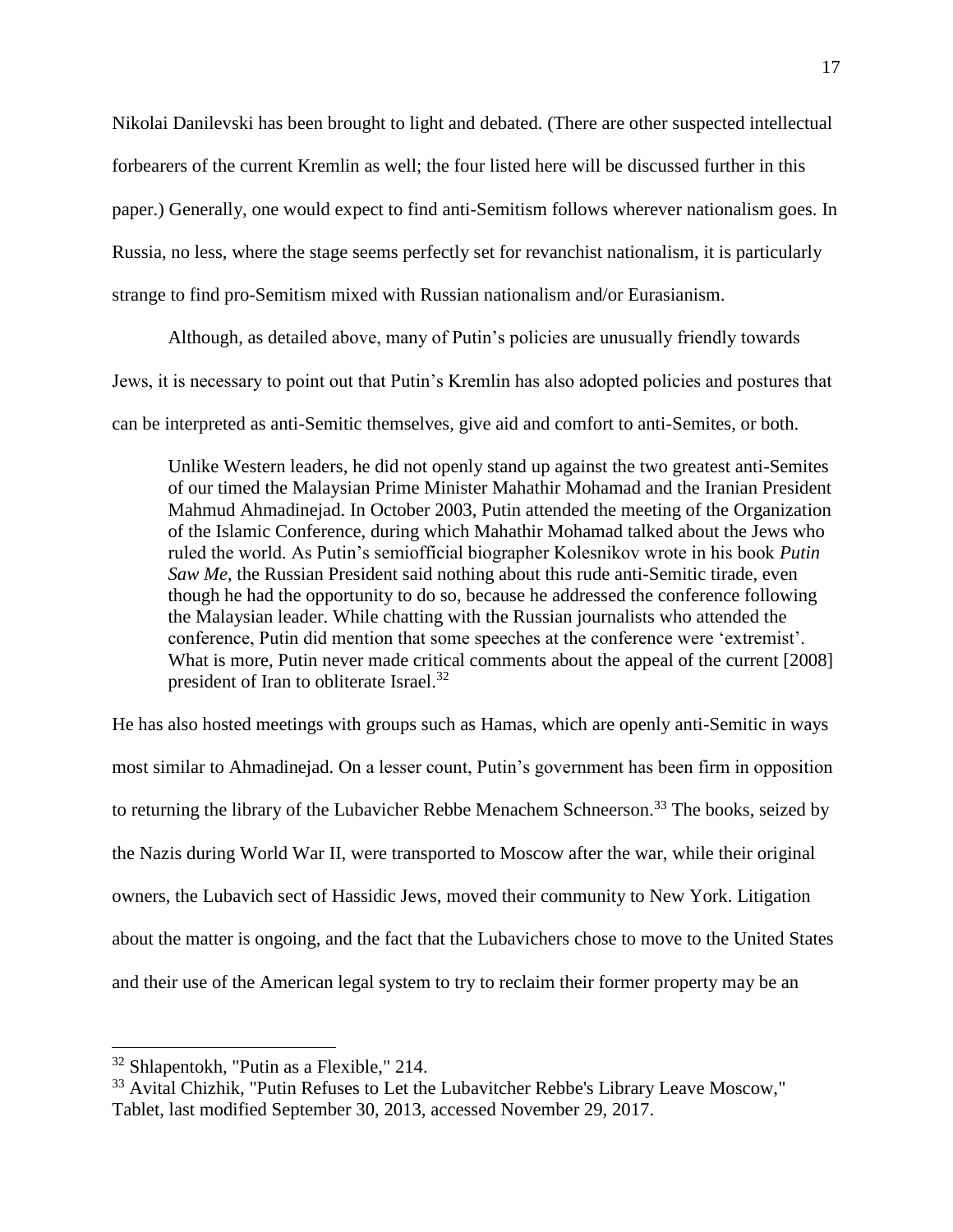Nikolai Danilevski has been brought to light and debated. (There are other suspected intellectual forbearers of the current Kremlin as well; the four listed here will be discussed further in this paper.) Generally, one would expect to find anti-Semitism follows wherever nationalism goes. In Russia, no less, where the stage seems perfectly set for revanchist nationalism, it is particularly strange to find pro-Semitism mixed with Russian nationalism and/or Eurasianism.

Although, as detailed above, many of Putin's policies are unusually friendly towards Jews, it is necessary to point out that Putin's Kremlin has also adopted policies and postures that can be interpreted as anti-Semitic themselves, give aid and comfort to anti-Semites, or both.

Unlike Western leaders, he did not openly stand up against the two greatest anti-Semites of our timed the Malaysian Prime Minister Mahathir Mohamad and the Iranian President Mahmud Ahmadinejad. In October 2003, Putin attended the meeting of the Organization of the Islamic Conference, during which Mahathir Mohamad talked about the Jews who ruled the world. As Putin's semiofficial biographer Kolesnikov wrote in his book *Putin Saw Me*, the Russian President said nothing about this rude anti-Semitic tirade, even though he had the opportunity to do so, because he addressed the conference following the Malaysian leader. While chatting with the Russian journalists who attended the conference, Putin did mention that some speeches at the conference were 'extremist'. What is more, Putin never made critical comments about the appeal of the current [2008] president of Iran to obliterate Israel.<sup>32</sup>

He has also hosted meetings with groups such as Hamas, which are openly anti-Semitic in ways most similar to Ahmadinejad. On a lesser count, Putin's government has been firm in opposition to returning the library of the Lubavicher Rebbe Menachem Schneerson.<sup>33</sup> The books, seized by the Nazis during World War II, were transported to Moscow after the war, while their original owners, the Lubavich sect of Hassidic Jews, moved their community to New York. Litigation about the matter is ongoing, and the fact that the Lubavichers chose to move to the United States and their use of the American legal system to try to reclaim their former property may be an

<sup>32</sup> Shlapentokh, "Putin as a Flexible," 214.

<sup>&</sup>lt;sup>33</sup> Avital Chizhik, "Putin Refuses to Let the Lubavitcher Rebbe's Library Leave Moscow," Tablet, last modified September 30, 2013, accessed November 29, 2017.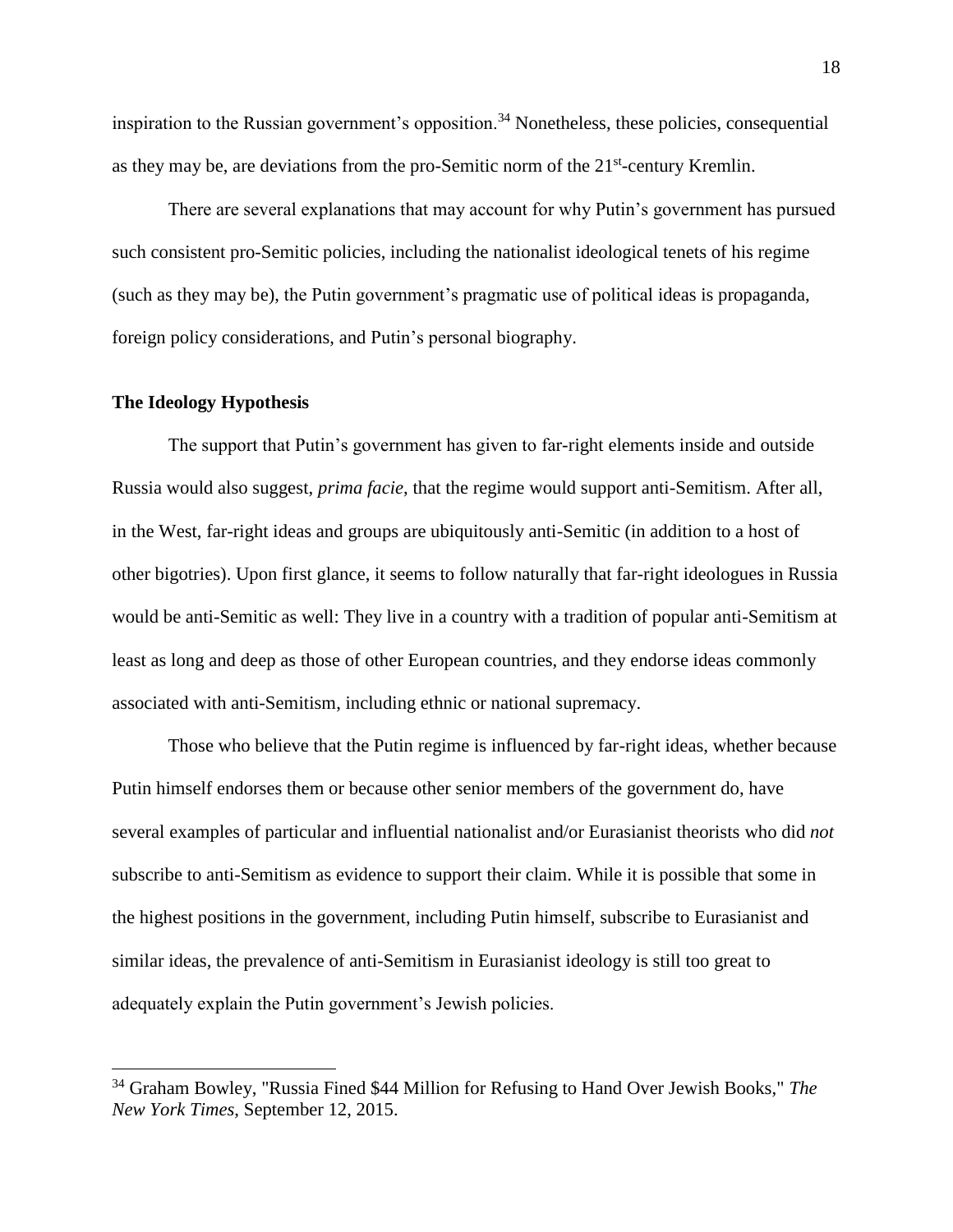inspiration to the Russian government's opposition.<sup>34</sup> Nonetheless, these policies, consequential as they may be, are deviations from the pro-Semitic norm of the 21<sup>st</sup>-century Kremlin.

There are several explanations that may account for why Putin's government has pursued such consistent pro-Semitic policies, including the nationalist ideological tenets of his regime (such as they may be), the Putin government's pragmatic use of political ideas is propaganda, foreign policy considerations, and Putin's personal biography.

#### **The Ideology Hypothesis**

 $\overline{a}$ 

The support that Putin's government has given to far-right elements inside and outside Russia would also suggest, *prima facie*, that the regime would support anti-Semitism. After all, in the West, far-right ideas and groups are ubiquitously anti-Semitic (in addition to a host of other bigotries). Upon first glance, it seems to follow naturally that far-right ideologues in Russia would be anti-Semitic as well: They live in a country with a tradition of popular anti-Semitism at least as long and deep as those of other European countries, and they endorse ideas commonly associated with anti-Semitism, including ethnic or national supremacy.

Those who believe that the Putin regime is influenced by far-right ideas, whether because Putin himself endorses them or because other senior members of the government do, have several examples of particular and influential nationalist and/or Eurasianist theorists who did *not*  subscribe to anti-Semitism as evidence to support their claim. While it is possible that some in the highest positions in the government, including Putin himself, subscribe to Eurasianist and similar ideas, the prevalence of anti-Semitism in Eurasianist ideology is still too great to adequately explain the Putin government's Jewish policies.

<sup>34</sup> Graham Bowley, "Russia Fined \$44 Million for Refusing to Hand Over Jewish Books," *The New York Times*, September 12, 2015.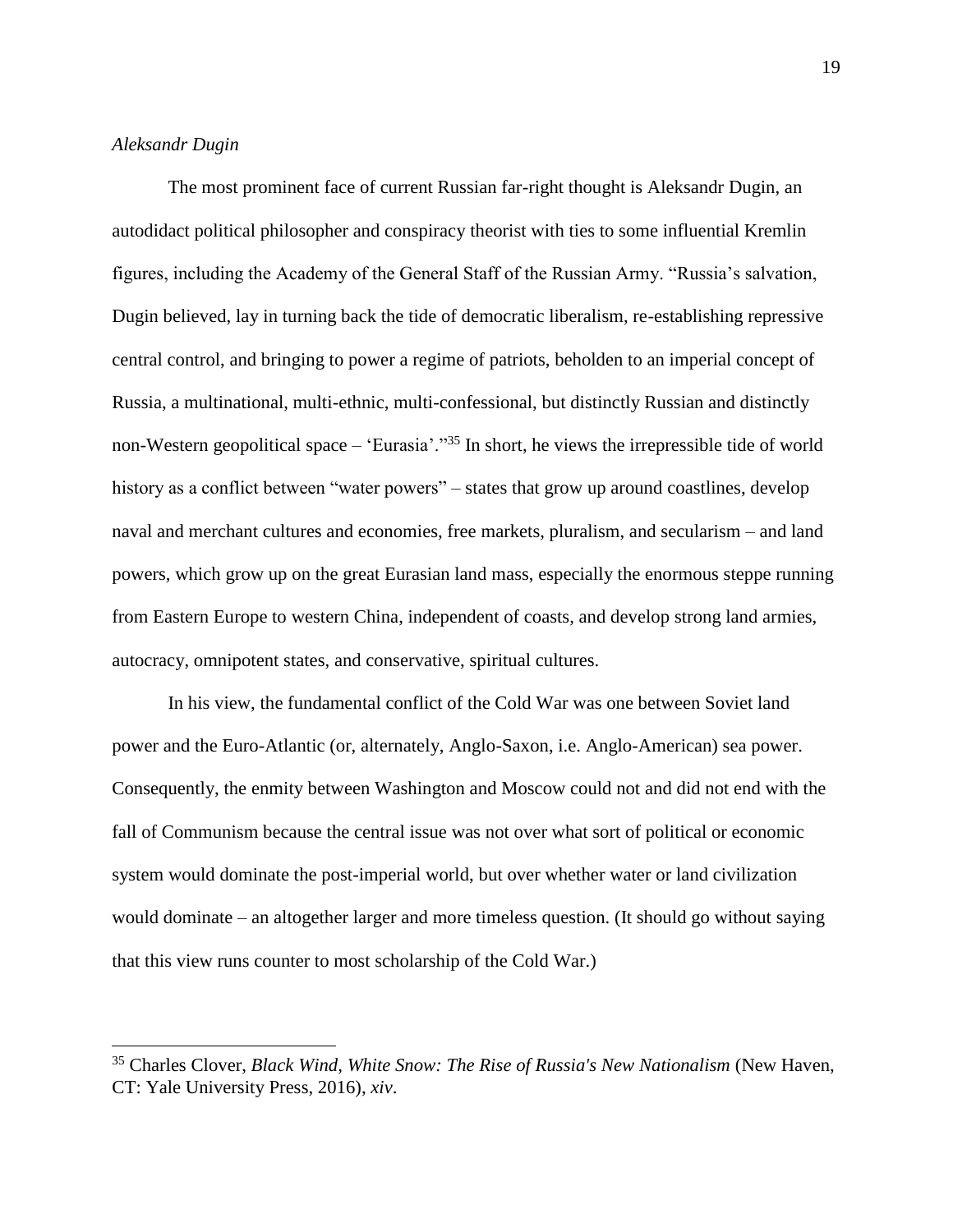### *Aleksandr Dugin*

 $\overline{a}$ 

The most prominent face of current Russian far-right thought is Aleksandr Dugin, an autodidact political philosopher and conspiracy theorist with ties to some influential Kremlin figures, including the Academy of the General Staff of the Russian Army. "Russia's salvation, Dugin believed, lay in turning back the tide of democratic liberalism, re-establishing repressive central control, and bringing to power a regime of patriots, beholden to an imperial concept of Russia, a multinational, multi-ethnic, multi-confessional, but distinctly Russian and distinctly non-Western geopolitical space – 'Eurasia'."<sup>35</sup> In short, he views the irrepressible tide of world history as a conflict between "water powers" – states that grow up around coastlines, develop naval and merchant cultures and economies, free markets, pluralism, and secularism – and land powers, which grow up on the great Eurasian land mass, especially the enormous steppe running from Eastern Europe to western China, independent of coasts, and develop strong land armies, autocracy, omnipotent states, and conservative, spiritual cultures.

In his view, the fundamental conflict of the Cold War was one between Soviet land power and the Euro-Atlantic (or, alternately, Anglo-Saxon, i.e. Anglo-American) sea power. Consequently, the enmity between Washington and Moscow could not and did not end with the fall of Communism because the central issue was not over what sort of political or economic system would dominate the post-imperial world, but over whether water or land civilization would dominate – an altogether larger and more timeless question. (It should go without saying that this view runs counter to most scholarship of the Cold War.)

<sup>35</sup> Charles Clover, *Black Wind, White Snow: The Rise of Russia's New Nationalism* (New Haven, CT: Yale University Press, 2016), *xiv*.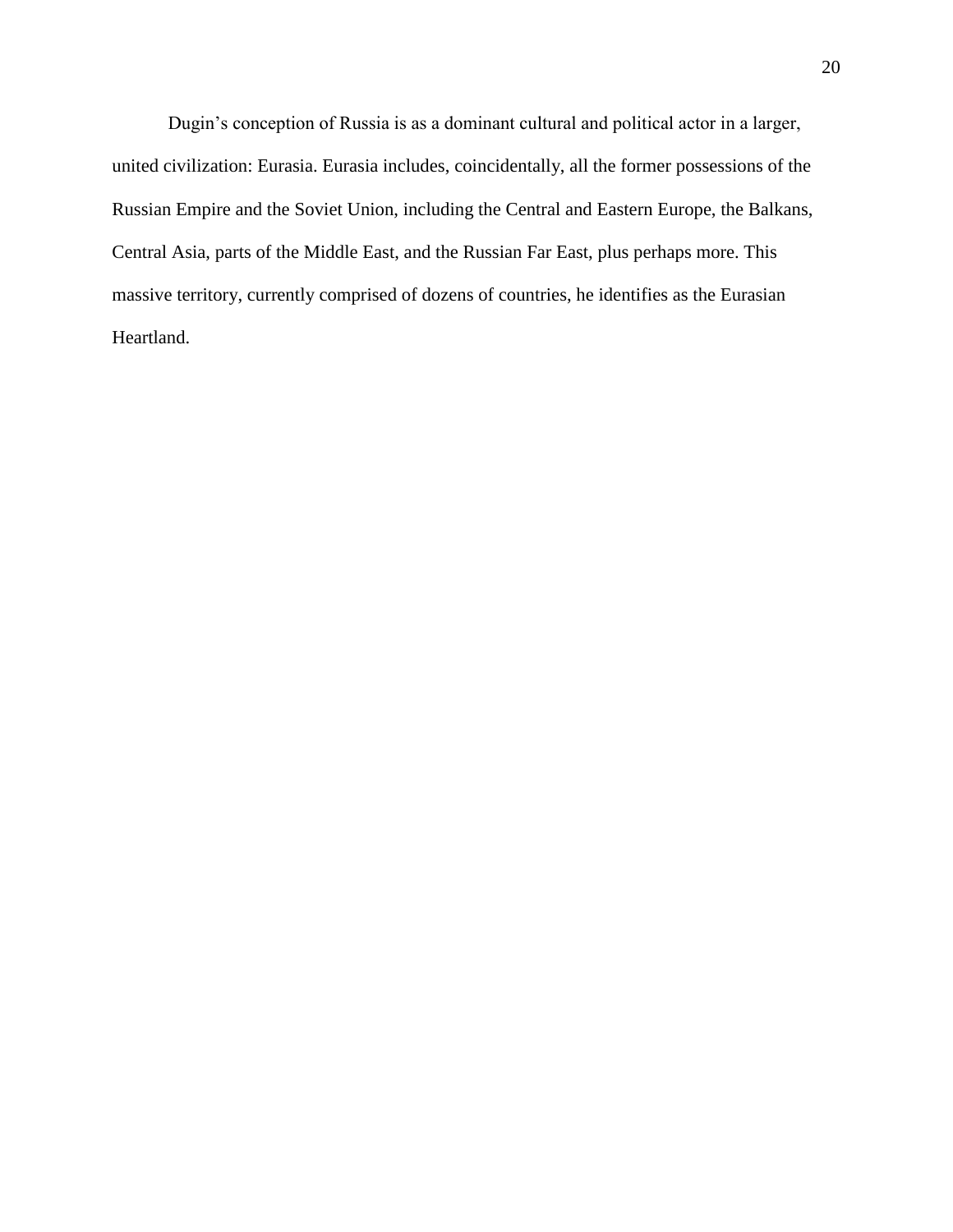Dugin's conception of Russia is as a dominant cultural and political actor in a larger, united civilization: Eurasia. Eurasia includes, coincidentally, all the former possessions of the Russian Empire and the Soviet Union, including the Central and Eastern Europe, the Balkans, Central Asia, parts of the Middle East, and the Russian Far East, plus perhaps more. This massive territory, currently comprised of dozens of countries, he identifies as the Eurasian Heartland.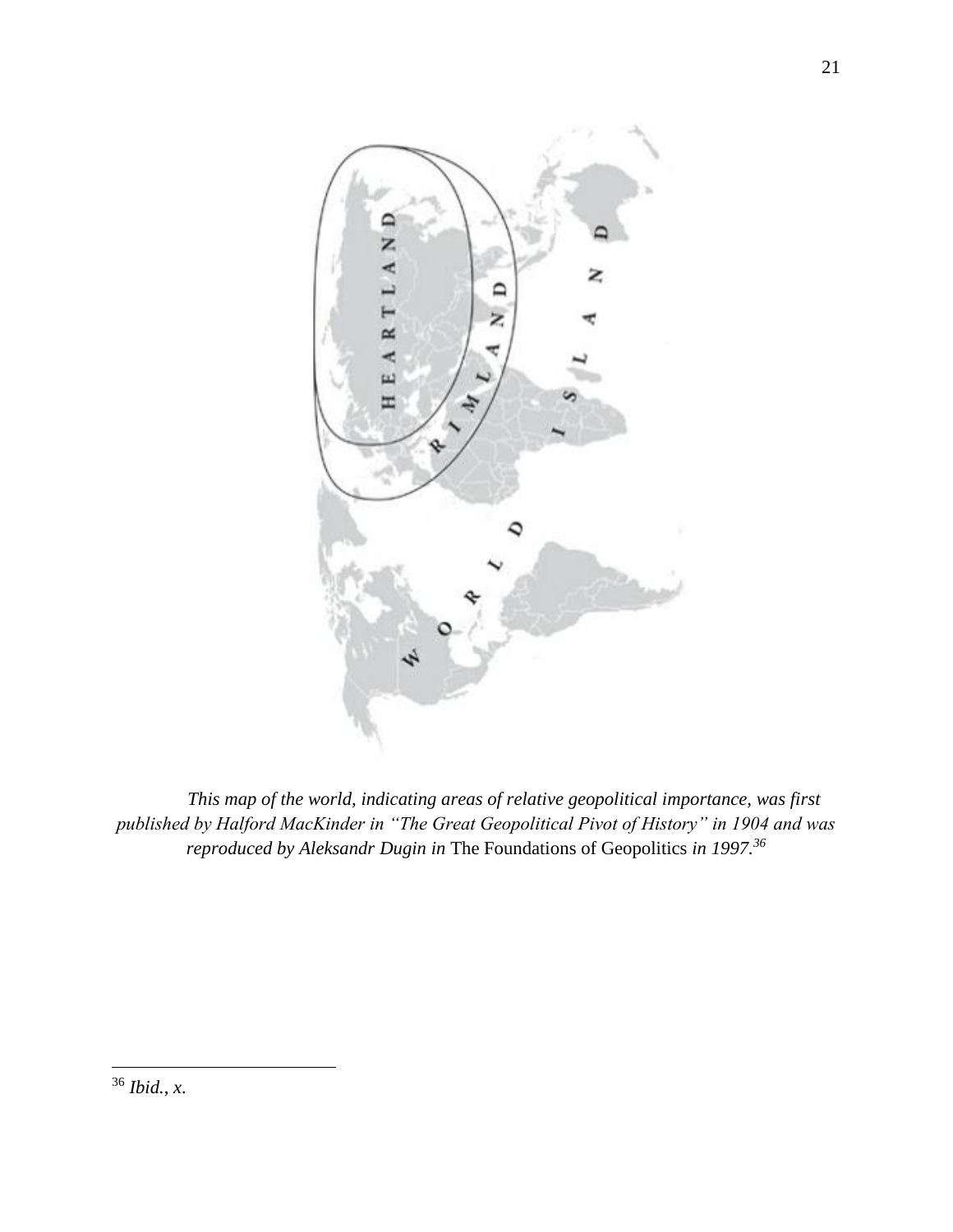

*This map of the world, indicating areas of relative geopolitical importance, was first published by Halford MacKinder in "The Great Geopolitical Pivot of History" in 1904 and was reproduced by Aleksandr Dugin in* The Foundations of Geopolitics *in 1997.<sup>36</sup>*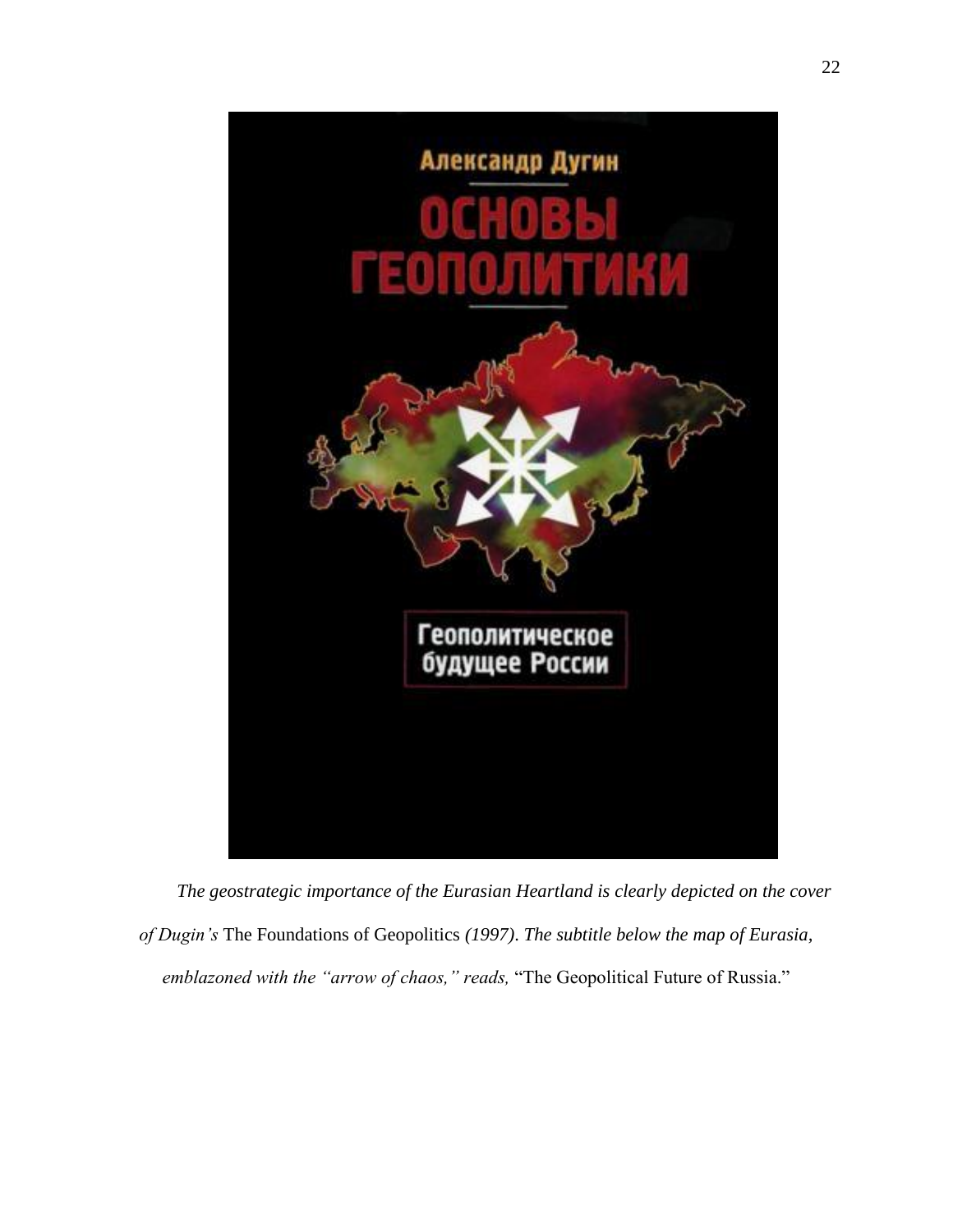

*The geostrategic importance of the Eurasian Heartland is clearly depicted on the cover of Dugin's* The Foundations of Geopolitics *(1997)*. *The subtitle below the map of Eurasia, emblazoned with the "arrow of chaos," reads,* "The Geopolitical Future of Russia."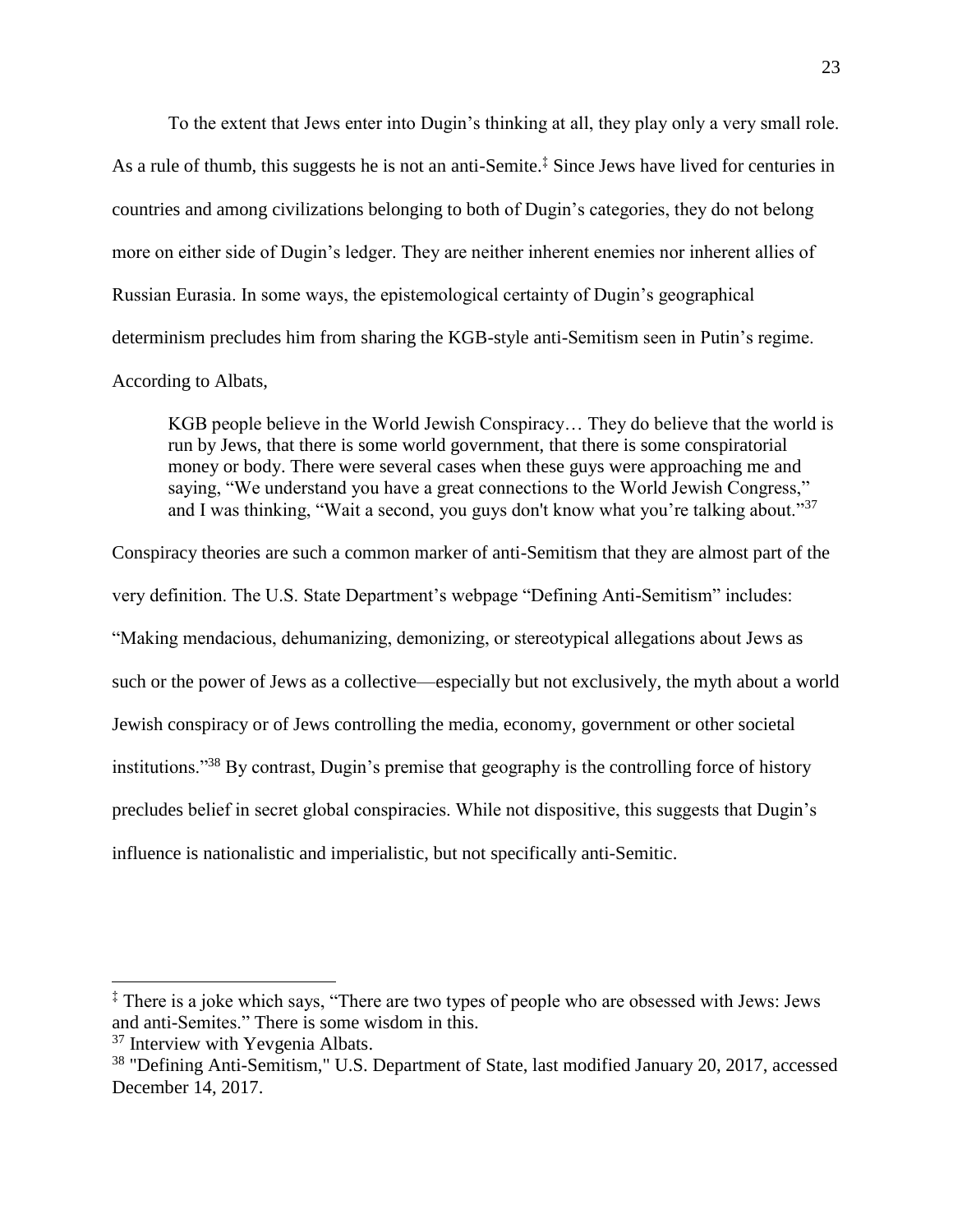To the extent that Jews enter into Dugin's thinking at all, they play only a very small role. As a rule of thumb, this suggests he is not an anti-Semite.‡ Since Jews have lived for centuries in countries and among civilizations belonging to both of Dugin's categories, they do not belong more on either side of Dugin's ledger. They are neither inherent enemies nor inherent allies of Russian Eurasia. In some ways, the epistemological certainty of Dugin's geographical determinism precludes him from sharing the KGB-style anti-Semitism seen in Putin's regime. According to Albats,

KGB people believe in the World Jewish Conspiracy… They do believe that the world is run by Jews, that there is some world government, that there is some conspiratorial money or body. There were several cases when these guys were approaching me and saying, "We understand you have a great connections to the World Jewish Congress," and I was thinking, "Wait a second, you guys don't know what you're talking about."<sup>37</sup>

Conspiracy theories are such a common marker of anti-Semitism that they are almost part of the very definition. The U.S. State Department's webpage "Defining Anti-Semitism" includes: "Making mendacious, dehumanizing, demonizing, or stereotypical allegations about Jews as such or the power of Jews as a collective—especially but not exclusively, the myth about a world Jewish conspiracy or of Jews controlling the media, economy, government or other societal institutions."<sup>38</sup> By contrast, Dugin's premise that geography is the controlling force of history precludes belief in secret global conspiracies. While not dispositive, this suggests that Dugin's influence is nationalistic and imperialistic, but not specifically anti-Semitic.

<sup>‡</sup> There is a joke which says, "There are two types of people who are obsessed with Jews: Jews and anti-Semites." There is some wisdom in this.

<sup>&</sup>lt;sup>37</sup> Interview with Yevgenia Albats.

<sup>&</sup>lt;sup>38</sup> "Defining Anti-Semitism," U.S. Department of State, last modified January 20, 2017, accessed December 14, 2017.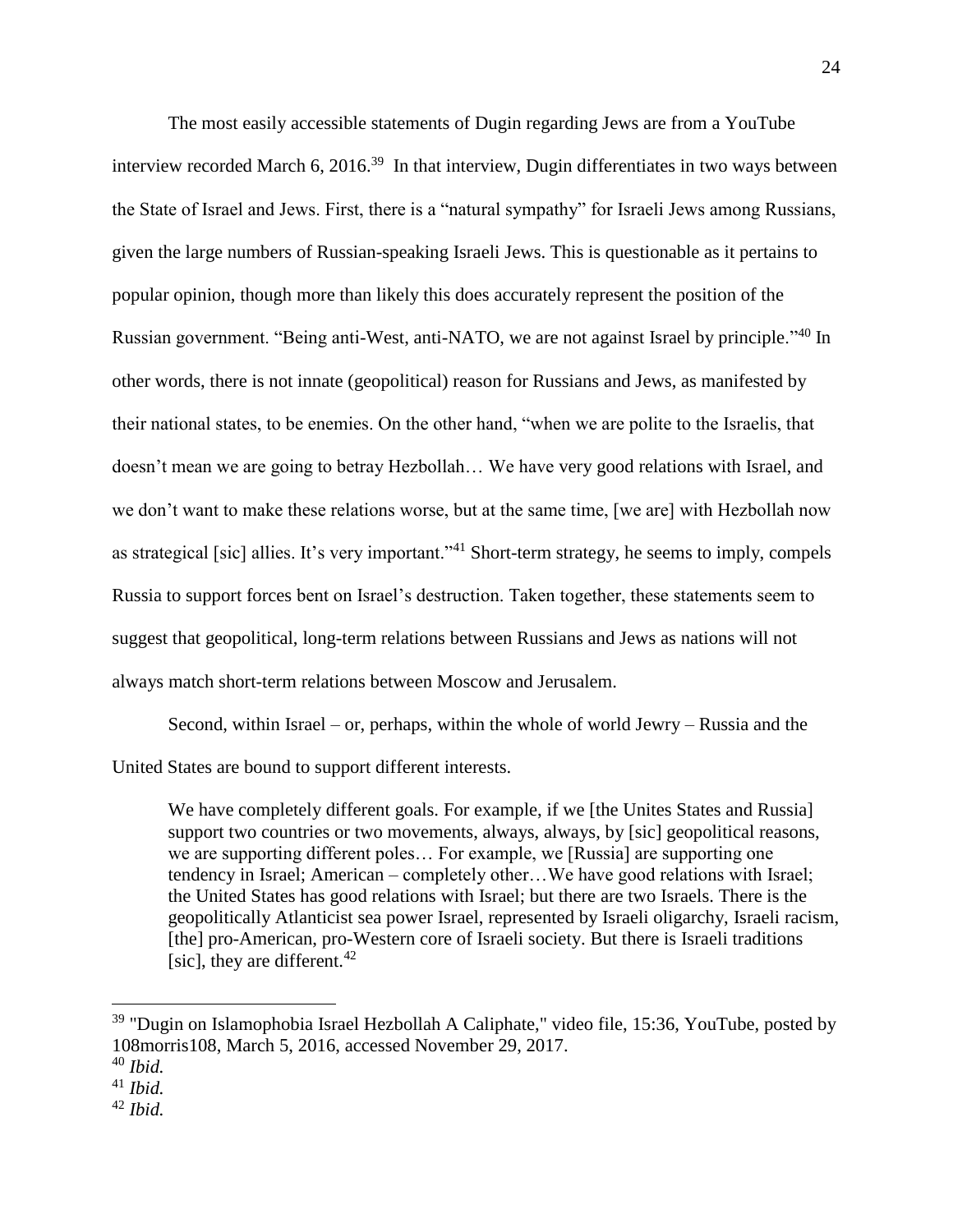The most easily accessible statements of Dugin regarding Jews are from a YouTube interview recorded March 6, 2016.<sup>39</sup> In that interview, Dugin differentiates in two ways between the State of Israel and Jews. First, there is a "natural sympathy" for Israeli Jews among Russians, given the large numbers of Russian-speaking Israeli Jews. This is questionable as it pertains to popular opinion, though more than likely this does accurately represent the position of the Russian government. "Being anti-West, anti-NATO, we are not against Israel by principle."<sup>40</sup> In other words, there is not innate (geopolitical) reason for Russians and Jews, as manifested by their national states, to be enemies. On the other hand, "when we are polite to the Israelis, that doesn't mean we are going to betray Hezbollah… We have very good relations with Israel, and we don't want to make these relations worse, but at the same time, [we are] with Hezbollah now as strategical [sic] allies. It's very important."<sup>41</sup> Short-term strategy, he seems to imply, compels Russia to support forces bent on Israel's destruction. Taken together, these statements seem to suggest that geopolitical, long-term relations between Russians and Jews as nations will not always match short-term relations between Moscow and Jerusalem.

Second, within Israel – or, perhaps, within the whole of world Jewry – Russia and the United States are bound to support different interests.

We have completely different goals. For example, if we [the Unites States and Russia] support two countries or two movements, always, always, by [sic] geopolitical reasons, we are supporting different poles… For example, we [Russia] are supporting one tendency in Israel; American – completely other…We have good relations with Israel; the United States has good relations with Israel; but there are two Israels. There is the geopolitically Atlanticist sea power Israel, represented by Israeli oligarchy, Israeli racism, [the] pro-American, pro-Western core of Israeli society. But there is Israeli traditions [sic], they are different.<sup>42</sup>

<sup>&</sup>lt;sup>39</sup> "Dugin on Islamophobia Israel Hezbollah A Caliphate," video file, 15:36, YouTube, posted by 108morris108, March 5, 2016, accessed November 29, 2017.

<sup>40</sup> *Ibid.*

<sup>41</sup> *Ibid.*

<sup>42</sup> *Ibid.*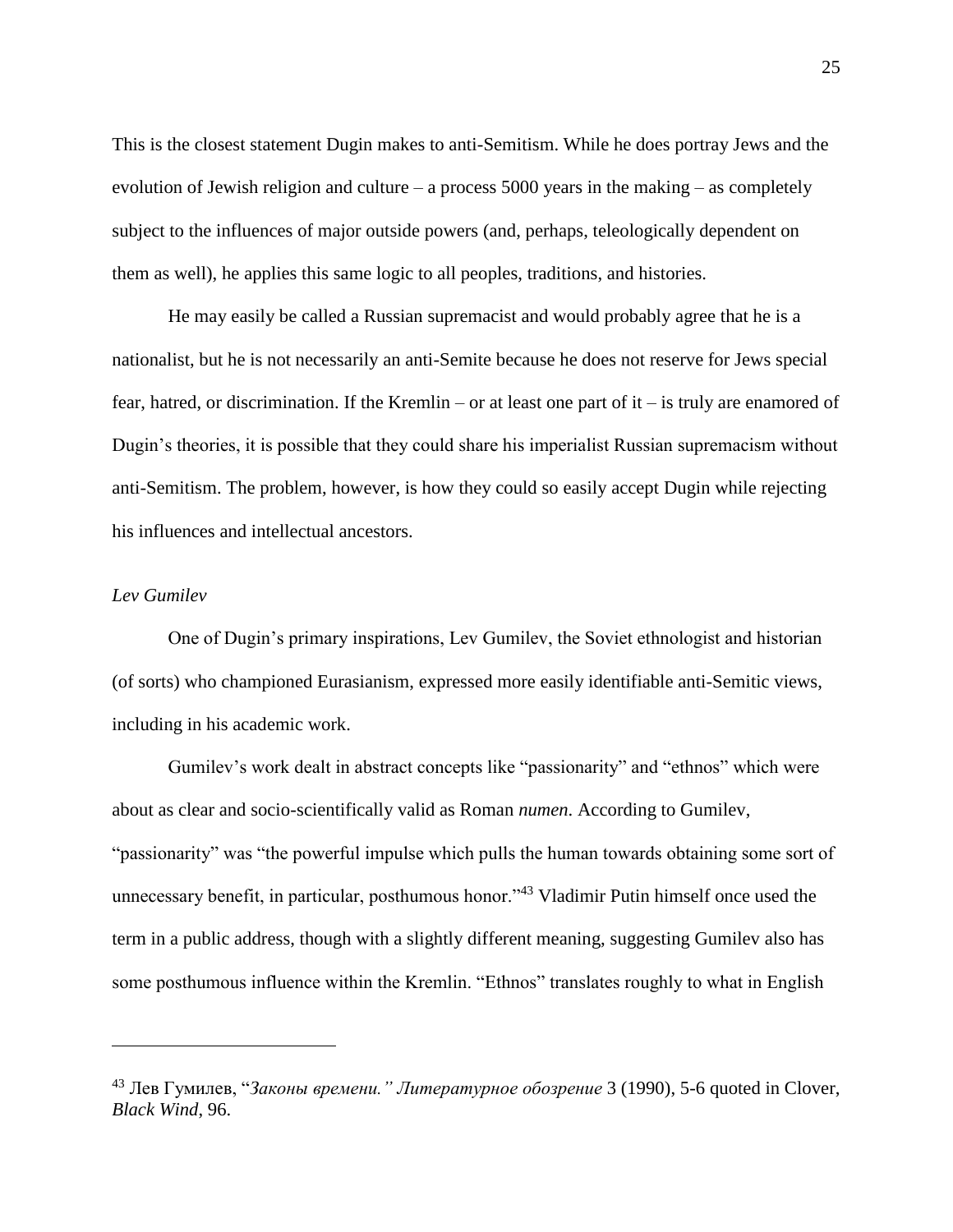This is the closest statement Dugin makes to anti-Semitism. While he does portray Jews and the evolution of Jewish religion and culture – a process 5000 years in the making – as completely subject to the influences of major outside powers (and, perhaps, teleologically dependent on them as well), he applies this same logic to all peoples, traditions, and histories.

He may easily be called a Russian supremacist and would probably agree that he is a nationalist, but he is not necessarily an anti-Semite because he does not reserve for Jews special fear, hatred, or discrimination. If the Kremlin – or at least one part of it – is truly are enamored of Dugin's theories, it is possible that they could share his imperialist Russian supremacism without anti-Semitism. The problem, however, is how they could so easily accept Dugin while rejecting his influences and intellectual ancestors.

#### *Lev Gumilev*

 $\overline{a}$ 

One of Dugin's primary inspirations, Lev Gumilev, the Soviet ethnologist and historian (of sorts) who championed Eurasianism, expressed more easily identifiable anti-Semitic views, including in his academic work.

Gumilev's work dealt in abstract concepts like "passionarity" and "ethnos" which were about as clear and socio-scientifically valid as Roman *numen*. According to Gumilev, "passionarity" was "the powerful impulse which pulls the human towards obtaining some sort of unnecessary benefit, in particular, posthumous honor."<sup>43</sup> Vladimir Putin himself once used the term in a public address, though with a slightly different meaning, suggesting Gumilev also has some posthumous influence within the Kremlin. "Ethnos" translates roughly to what in English

<sup>43</sup> Лев Гумилев, "*Законы времени." Литературное обозрение* 3 (1990), 5-6 quoted in Clover, *Black Wind*, 96.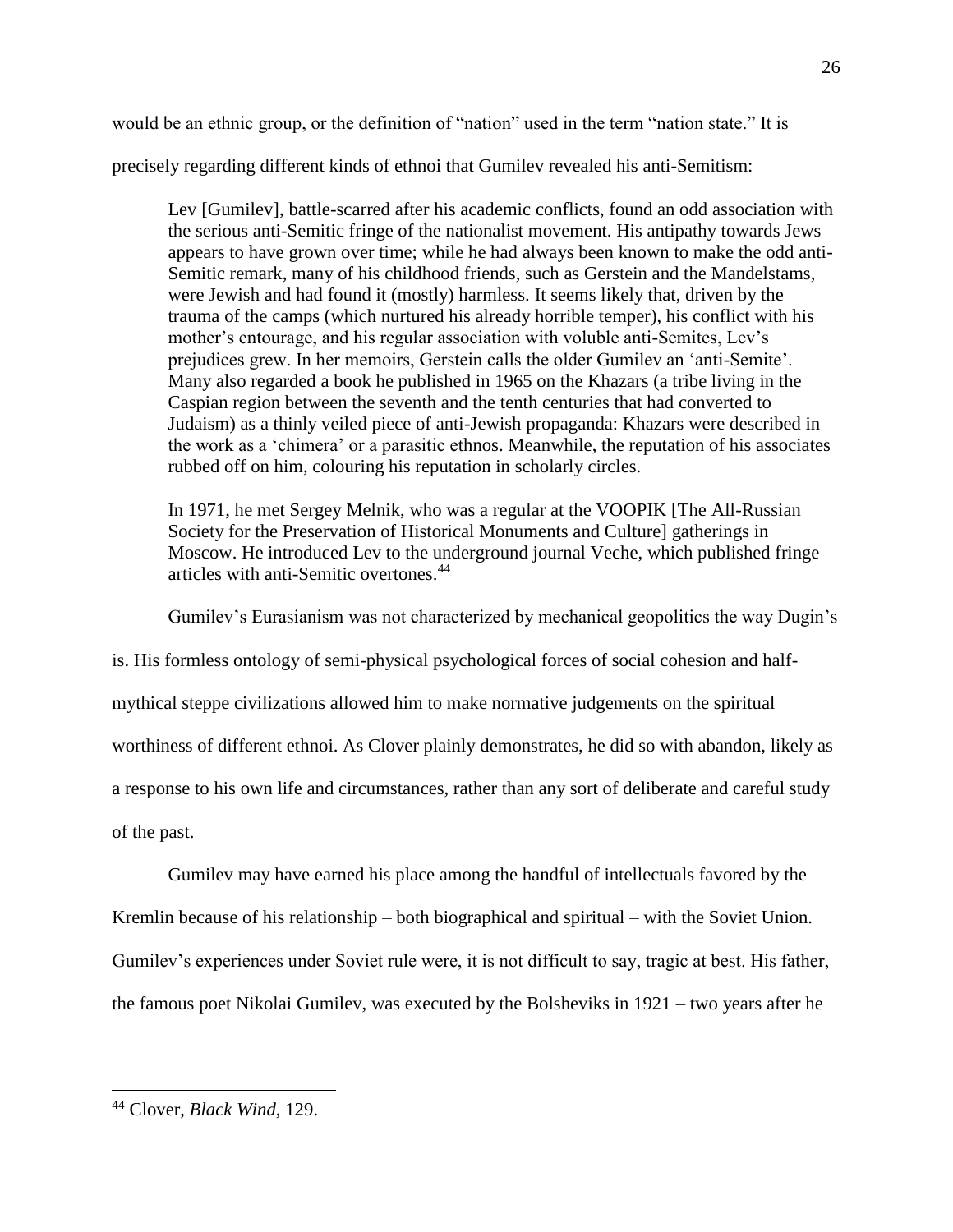would be an ethnic group, or the definition of "nation" used in the term "nation state." It is

precisely regarding different kinds of ethnoi that Gumilev revealed his anti-Semitism:

Lev [Gumilev], battle-scarred after his academic conflicts, found an odd association with the serious anti-Semitic fringe of the nationalist movement. His antipathy towards Jews appears to have grown over time; while he had always been known to make the odd anti-Semitic remark, many of his childhood friends, such as Gerstein and the Mandelstams, were Jewish and had found it (mostly) harmless. It seems likely that, driven by the trauma of the camps (which nurtured his already horrible temper), his conflict with his mother's entourage, and his regular association with voluble anti-Semites, Lev's prejudices grew. In her memoirs, Gerstein calls the older Gumilev an 'anti-Semite'. Many also regarded a book he published in 1965 on the Khazars (a tribe living in the Caspian region between the seventh and the tenth centuries that had converted to Judaism) as a thinly veiled piece of anti-Jewish propaganda: Khazars were described in the work as a 'chimera' or a parasitic ethnos. Meanwhile, the reputation of his associates rubbed off on him, colouring his reputation in scholarly circles.

In 1971, he met Sergey Melnik, who was a regular at the VOOPIK [The All-Russian Society for the Preservation of Historical Monuments and Culture] gatherings in Moscow. He introduced Lev to the underground journal Veche, which published fringe articles with anti-Semitic overtones.<sup>44</sup>

Gumilev's Eurasianism was not characterized by mechanical geopolitics the way Dugin's

is. His formless ontology of semi-physical psychological forces of social cohesion and half-

mythical steppe civilizations allowed him to make normative judgements on the spiritual

worthiness of different ethnoi. As Clover plainly demonstrates, he did so with abandon, likely as

a response to his own life and circumstances, rather than any sort of deliberate and careful study

of the past.

 $\overline{a}$ 

Gumilev may have earned his place among the handful of intellectuals favored by the

Kremlin because of his relationship – both biographical and spiritual – with the Soviet Union.

Gumilev's experiences under Soviet rule were, it is not difficult to say, tragic at best. His father,

the famous poet Nikolai Gumilev, was executed by the Bolsheviks in 1921 – two years after he

<sup>44</sup> Clover, *Black Wind*, 129.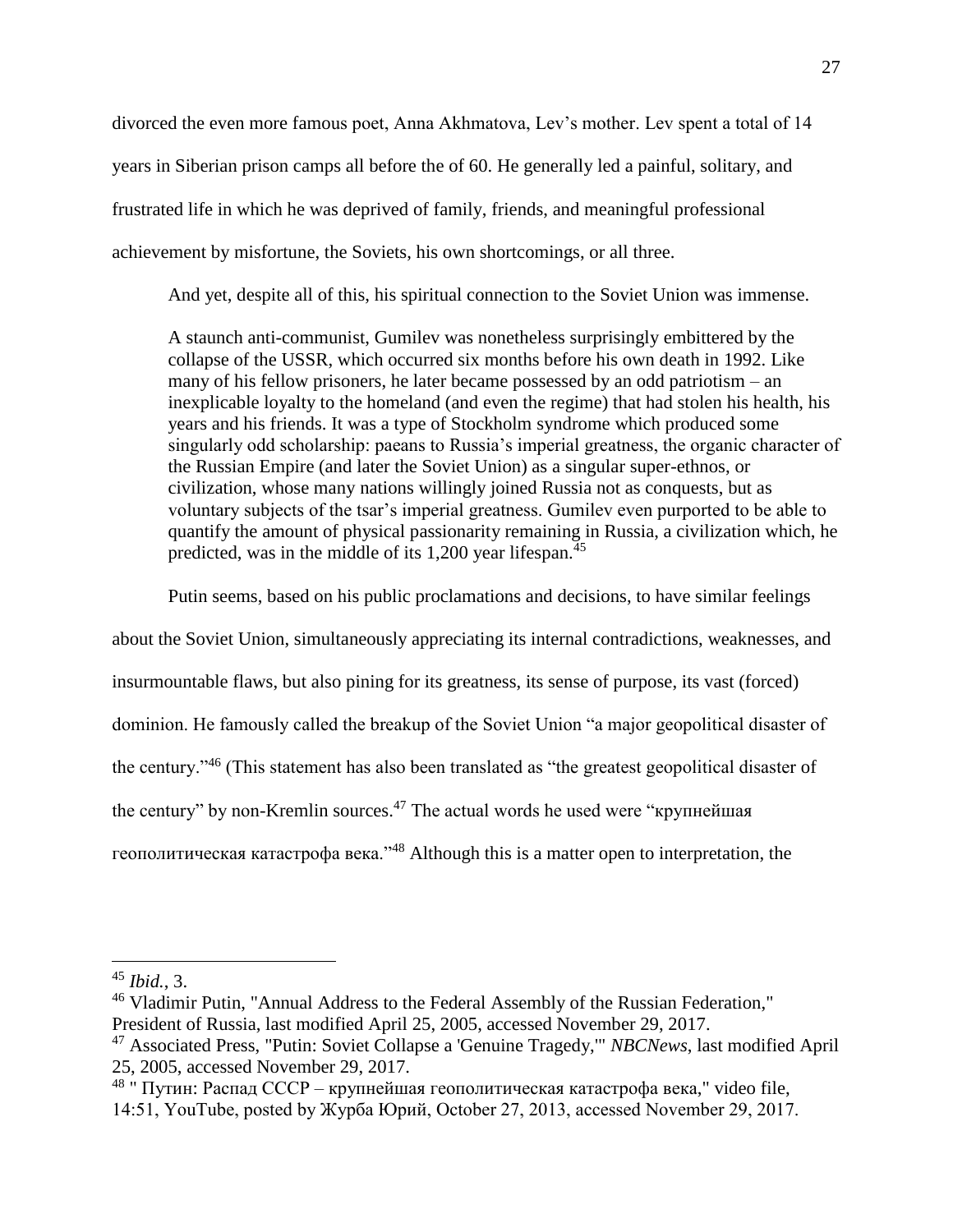divorced the even more famous poet, Anna Akhmatova, Lev's mother. Lev spent a total of 14 years in Siberian prison camps all before the of 60. He generally led a painful, solitary, and frustrated life in which he was deprived of family, friends, and meaningful professional achievement by misfortune, the Soviets, his own shortcomings, or all three.

And yet, despite all of this, his spiritual connection to the Soviet Union was immense.

A staunch anti-communist, Gumilev was nonetheless surprisingly embittered by the collapse of the USSR, which occurred six months before his own death in 1992. Like many of his fellow prisoners, he later became possessed by an odd patriotism – an inexplicable loyalty to the homeland (and even the regime) that had stolen his health, his years and his friends. It was a type of Stockholm syndrome which produced some singularly odd scholarship: paeans to Russia's imperial greatness, the organic character of the Russian Empire (and later the Soviet Union) as a singular super-ethnos, or civilization, whose many nations willingly joined Russia not as conquests, but as voluntary subjects of the tsar's imperial greatness. Gumilev even purported to be able to quantify the amount of physical passionarity remaining in Russia, a civilization which, he predicted, was in the middle of its 1,200 year lifespan.<sup>45</sup>

Putin seems, based on his public proclamations and decisions, to have similar feelings

about the Soviet Union, simultaneously appreciating its internal contradictions, weaknesses, and insurmountable flaws, but also pining for its greatness, its sense of purpose, its vast (forced) dominion. He famously called the breakup of the Soviet Union "a major geopolitical disaster of the century."<sup>46</sup> (This statement has also been translated as "the greatest geopolitical disaster of the century" by non-Kremlin sources.<sup>47</sup> The actual words he used were "крупнейшая геополитическая катастрофа века."<sup>48</sup> Although this is a matter open to interpretation, the

<sup>45</sup> *Ibid.*, 3.

<sup>46</sup> Vladimir Putin, "Annual Address to the Federal Assembly of the Russian Federation,"

President of Russia, last modified April 25, 2005, accessed November 29, 2017.

<sup>47</sup> Associated Press, "Putin: Soviet Collapse a 'Genuine Tragedy,'" *NBCNews*, last modified April 25, 2005, accessed November 29, 2017.

<sup>&</sup>lt;sup>48</sup> " Путин: Распад СССР – крупнейшая геополитическая катастрофа века," video file, 14:51, YouTube, posted by Журба Юрий, October 27, 2013, accessed November 29, 2017.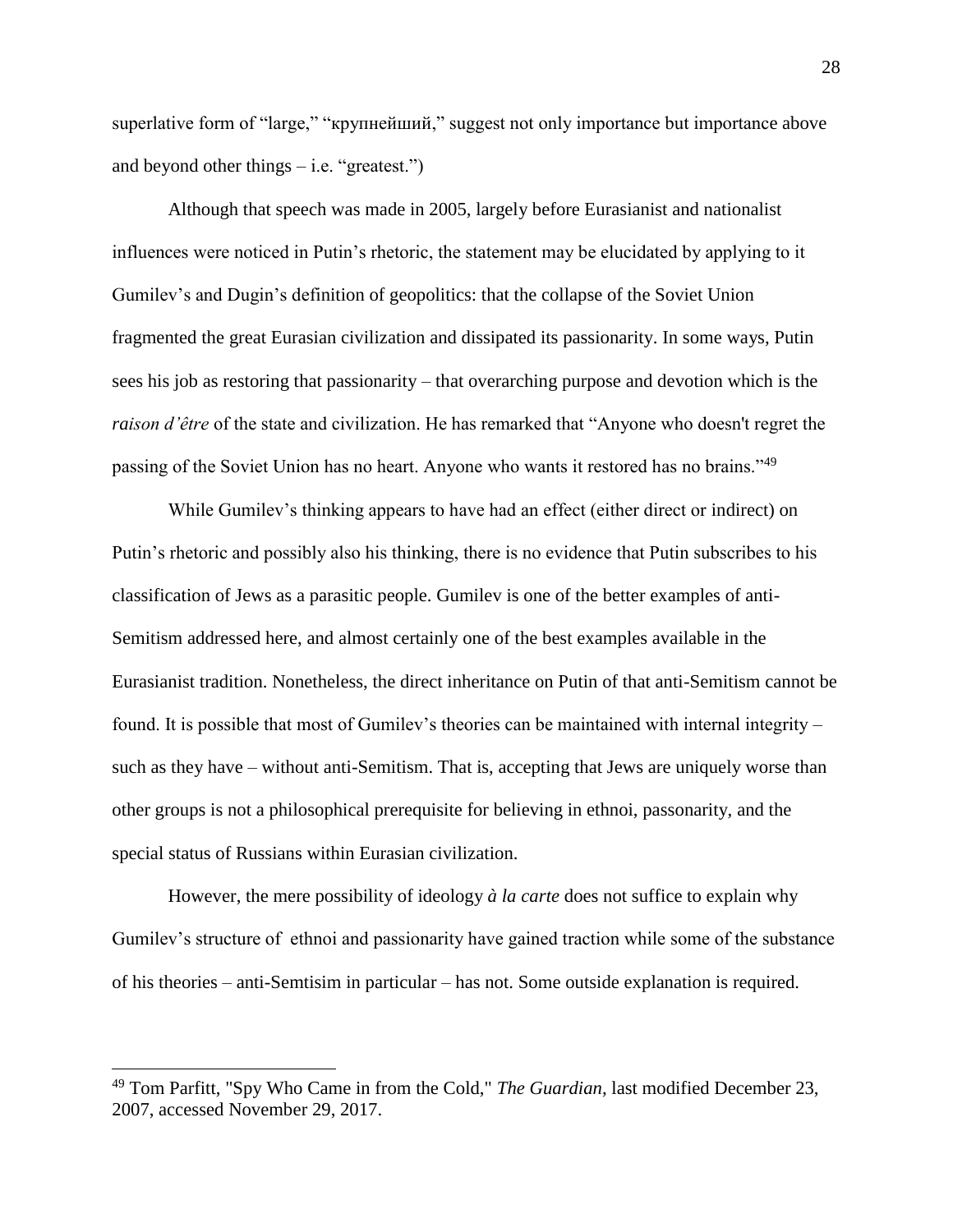superlative form of "large," "крупнейший," suggest not only importance but importance above and beyond other things  $-$  i.e. "greatest.")

Although that speech was made in 2005, largely before Eurasianist and nationalist influences were noticed in Putin's rhetoric, the statement may be elucidated by applying to it Gumilev's and Dugin's definition of geopolitics: that the collapse of the Soviet Union fragmented the great Eurasian civilization and dissipated its passionarity. In some ways, Putin sees his job as restoring that passionarity – that overarching purpose and devotion which is the *raison d'être* of the state and civilization. He has remarked that "Anyone who doesn't regret the passing of the Soviet Union has no heart. Anyone who wants it restored has no brains."<sup>49</sup>

While Gumilev's thinking appears to have had an effect (either direct or indirect) on Putin's rhetoric and possibly also his thinking, there is no evidence that Putin subscribes to his classification of Jews as a parasitic people. Gumilev is one of the better examples of anti-Semitism addressed here, and almost certainly one of the best examples available in the Eurasianist tradition. Nonetheless, the direct inheritance on Putin of that anti-Semitism cannot be found. It is possible that most of Gumilev's theories can be maintained with internal integrity – such as they have – without anti-Semitism. That is, accepting that Jews are uniquely worse than other groups is not a philosophical prerequisite for believing in ethnoi, passonarity, and the special status of Russians within Eurasian civilization.

However, the mere possibility of ideology *à la carte* does not suffice to explain why Gumilev's structure of ethnoi and passionarity have gained traction while some of the substance of his theories – anti-Semtisim in particular – has not. Some outside explanation is required.

<sup>49</sup> Tom Parfitt, "Spy Who Came in from the Cold," *The Guardian*, last modified December 23, 2007, accessed November 29, 2017.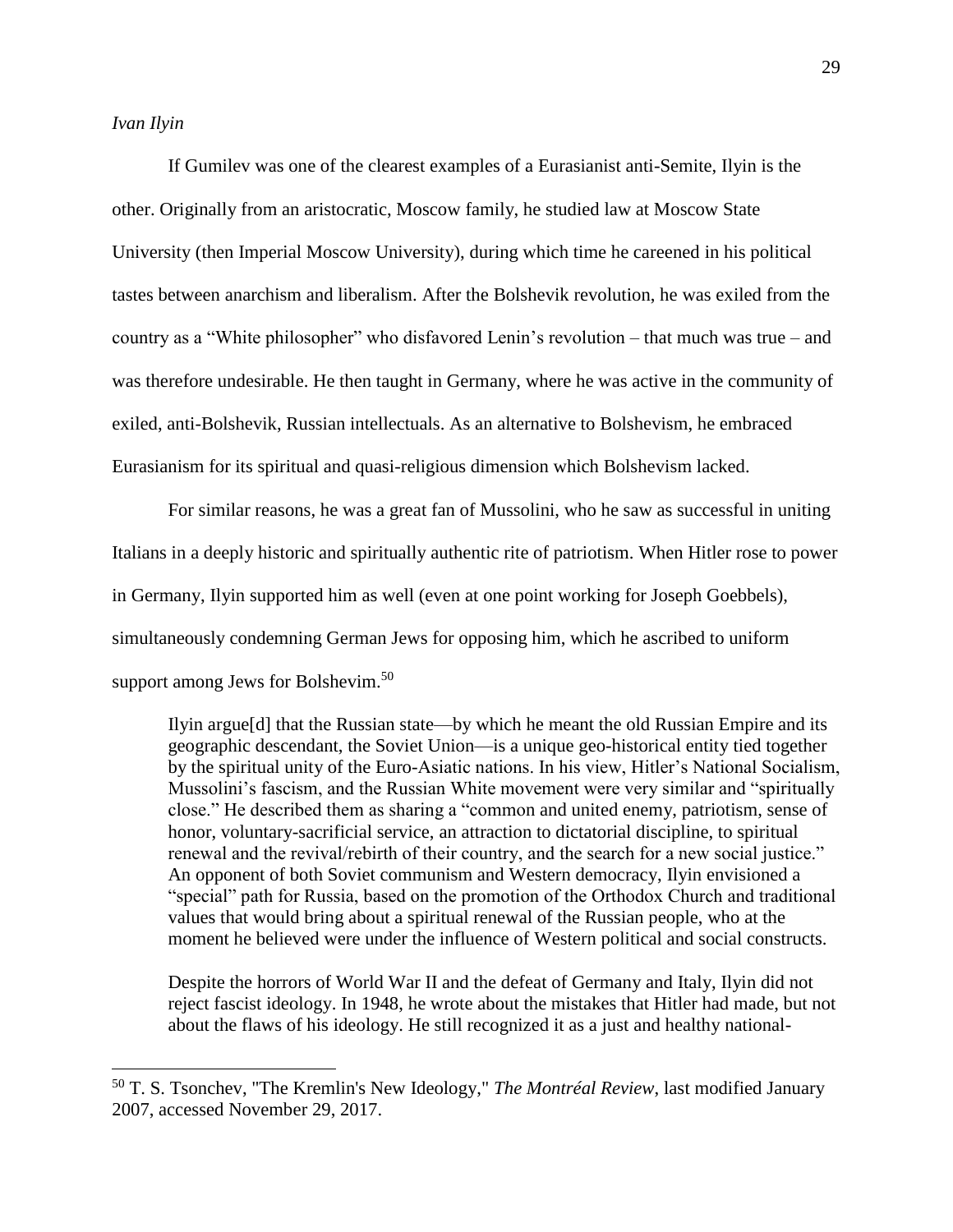$\overline{a}$ 

If Gumilev was one of the clearest examples of a Eurasianist anti-Semite, Ilyin is the other. Originally from an aristocratic, Moscow family, he studied law at Moscow State University (then Imperial Moscow University), during which time he careened in his political tastes between anarchism and liberalism. After the Bolshevik revolution, he was exiled from the country as a "White philosopher" who disfavored Lenin's revolution – that much was true – and was therefore undesirable. He then taught in Germany, where he was active in the community of exiled, anti-Bolshevik, Russian intellectuals. As an alternative to Bolshevism, he embraced Eurasianism for its spiritual and quasi-religious dimension which Bolshevism lacked.

For similar reasons, he was a great fan of Mussolini, who he saw as successful in uniting Italians in a deeply historic and spiritually authentic rite of patriotism. When Hitler rose to power in Germany, Ilyin supported him as well (even at one point working for Joseph Goebbels), simultaneously condemning German Jews for opposing him, which he ascribed to uniform support among Jews for Bolshevim.<sup>50</sup>

Ilyin argue[d] that the Russian state—by which he meant the old Russian Empire and its geographic descendant, the Soviet Union—is a unique geo-historical entity tied together by the spiritual unity of the Euro-Asiatic nations. In his view, Hitler's National Socialism, Mussolini's fascism, and the Russian White movement were very similar and "spiritually close." He described them as sharing a "common and united enemy, patriotism, sense of honor, voluntary-sacrificial service, an attraction to dictatorial discipline, to spiritual renewal and the revival/rebirth of their country, and the search for a new social justice." An opponent of both Soviet communism and Western democracy, Ilyin envisioned a "special" path for Russia, based on the promotion of the Orthodox Church and traditional values that would bring about a spiritual renewal of the Russian people, who at the moment he believed were under the influence of Western political and social constructs.

Despite the horrors of World War II and the defeat of Germany and Italy, Ilyin did not reject fascist ideology. In 1948, he wrote about the mistakes that Hitler had made, but not about the flaws of his ideology. He still recognized it as a just and healthy national-

<sup>50</sup> T. S. Tsonchev, "The Kremlin's New Ideology," *The Montréal Review*, last modified January 2007, accessed November 29, 2017.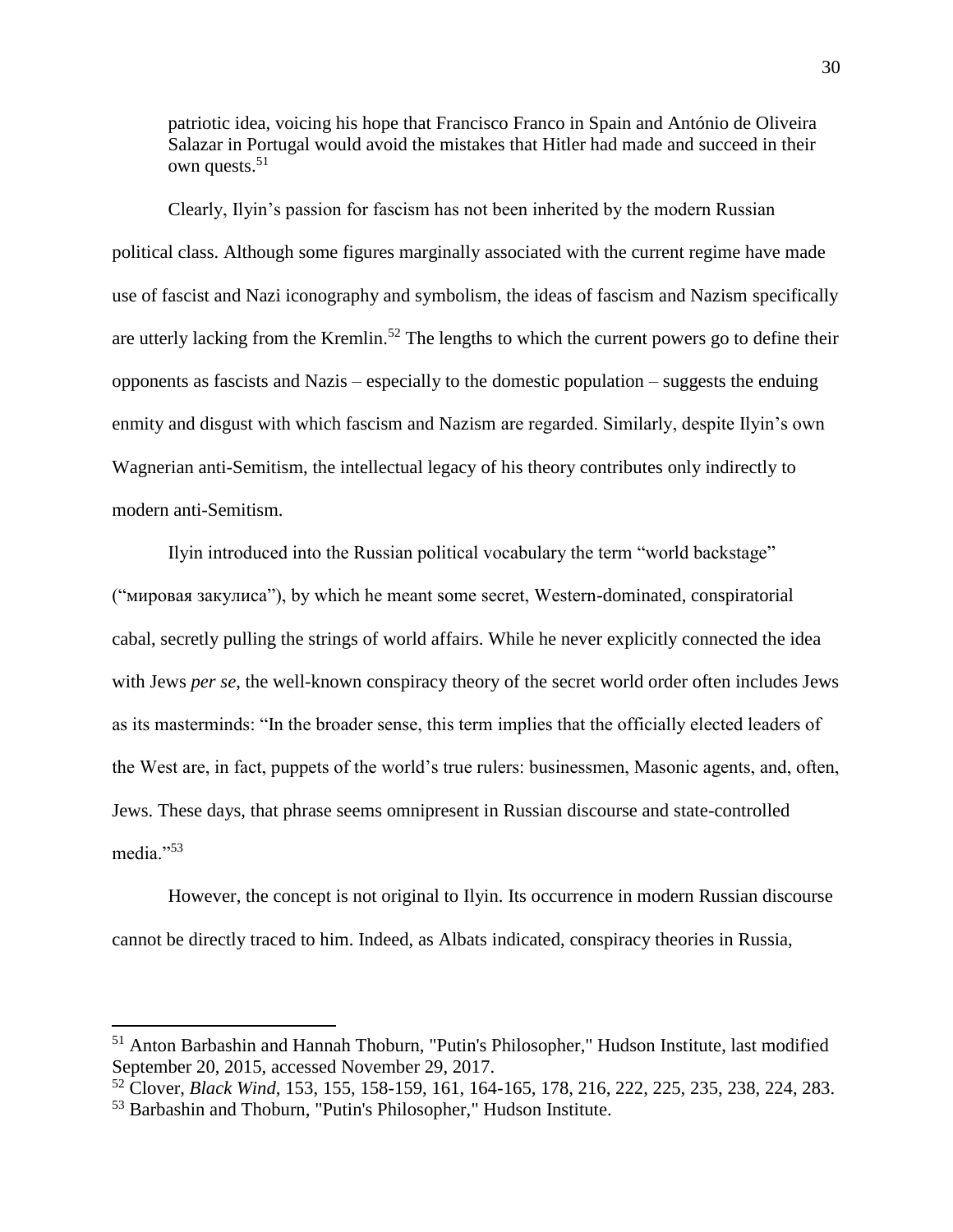patriotic idea, voicing his hope that Francisco Franco in Spain and António de Oliveira Salazar in Portugal would avoid the mistakes that Hitler had made and succeed in their own quests.<sup>51</sup>

Clearly, Ilyin's passion for fascism has not been inherited by the modern Russian political class. Although some figures marginally associated with the current regime have made use of fascist and Nazi iconography and symbolism, the ideas of fascism and Nazism specifically are utterly lacking from the Kremlin.<sup>52</sup> The lengths to which the current powers go to define their opponents as fascists and Nazis – especially to the domestic population – suggests the enduing enmity and disgust with which fascism and Nazism are regarded. Similarly, despite Ilyin's own Wagnerian anti-Semitism, the intellectual legacy of his theory contributes only indirectly to modern anti-Semitism.

Ilyin introduced into the Russian political vocabulary the term "world backstage" ("мировая закулиса"), by which he meant some secret, Western-dominated, conspiratorial cabal, secretly pulling the strings of world affairs. While he never explicitly connected the idea with Jews *per se*, the well-known conspiracy theory of the secret world order often includes Jews as its masterminds: "In the broader sense, this term implies that the officially elected leaders of the West are, in fact, puppets of the world's true rulers: businessmen, Masonic agents, and, often, Jews. These days, that phrase seems omnipresent in Russian discourse and state-controlled media."<sup>53</sup>

However, the concept is not original to Ilyin. Its occurrence in modern Russian discourse cannot be directly traced to him. Indeed, as Albats indicated, conspiracy theories in Russia,

<sup>51</sup> Anton Barbashin and Hannah Thoburn, "Putin's Philosopher," Hudson Institute, last modified September 20, 2015, accessed November 29, 2017.

<sup>52</sup> Clover, *Black Wind*, 153, 155, 158-159, 161, 164-165, 178, 216, 222, 225, 235, 238, 224, 283.

<sup>53</sup> Barbashin and Thoburn, "Putin's Philosopher," Hudson Institute.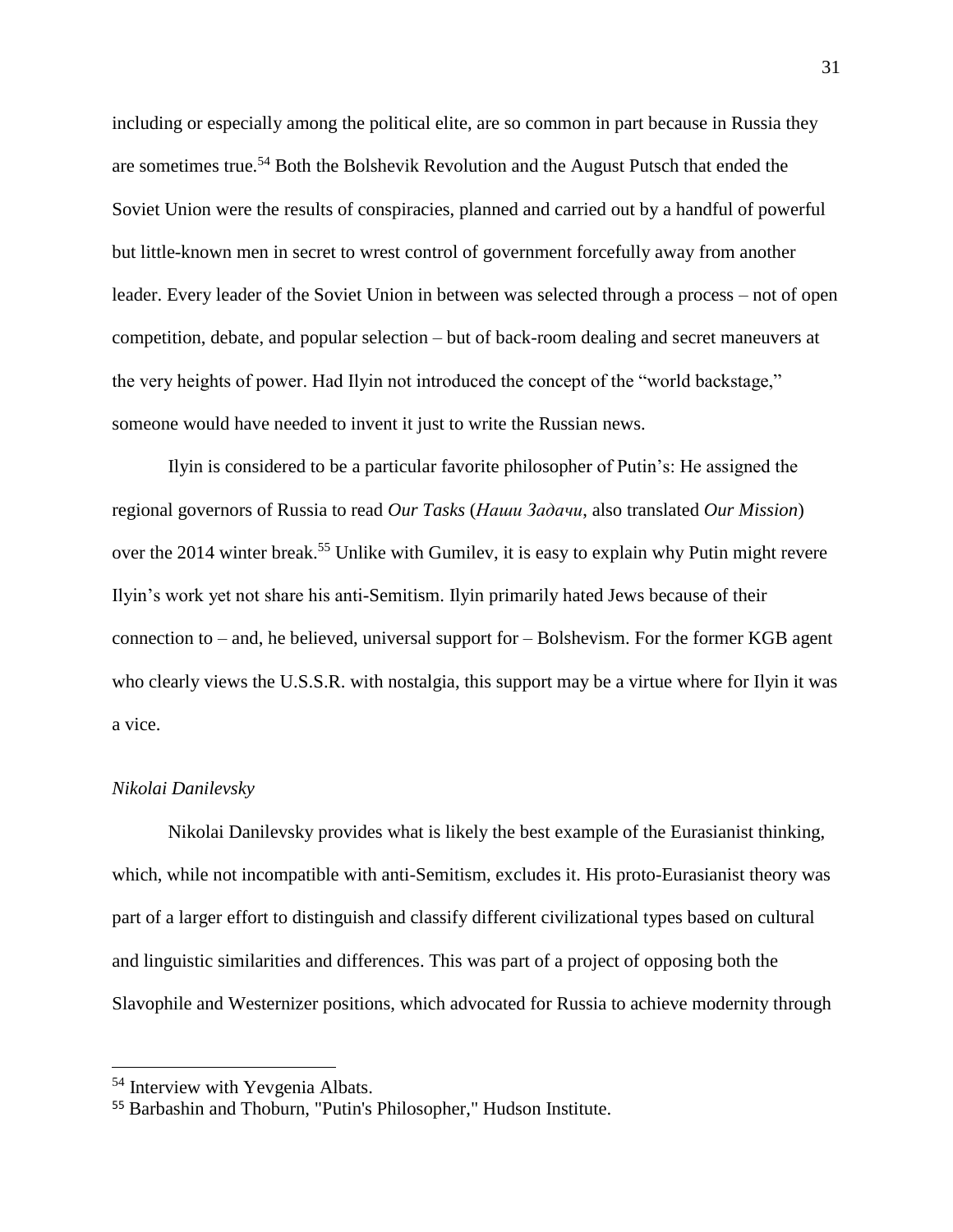including or especially among the political elite, are so common in part because in Russia they are sometimes true.<sup>54</sup> Both the Bolshevik Revolution and the August Putsch that ended the Soviet Union were the results of conspiracies, planned and carried out by a handful of powerful but little-known men in secret to wrest control of government forcefully away from another leader. Every leader of the Soviet Union in between was selected through a process – not of open competition, debate, and popular selection – but of back-room dealing and secret maneuvers at the very heights of power. Had Ilyin not introduced the concept of the "world backstage," someone would have needed to invent it just to write the Russian news.

Ilyin is considered to be a particular favorite philosopher of Putin's: He assigned the regional governors of Russia to read *Our Tasks* (*Наши Задачи*, also translated *Our Mission*) over the 2014 winter break.<sup>55</sup> Unlike with Gumilev, it is easy to explain why Putin might revere Ilyin's work yet not share his anti-Semitism. Ilyin primarily hated Jews because of their connection to – and, he believed, universal support for – Bolshevism. For the former KGB agent who clearly views the U.S.S.R. with nostalgia, this support may be a virtue where for Ilyin it was a vice.

#### *Nikolai Danilevsky*

 $\overline{a}$ 

Nikolai Danilevsky provides what is likely the best example of the Eurasianist thinking, which, while not incompatible with anti-Semitism, excludes it. His proto-Eurasianist theory was part of a larger effort to distinguish and classify different civilizational types based on cultural and linguistic similarities and differences. This was part of a project of opposing both the Slavophile and Westernizer positions, which advocated for Russia to achieve modernity through

<sup>54</sup> Interview with Yevgenia Albats.

<sup>55</sup> Barbashin and Thoburn, "Putin's Philosopher," Hudson Institute.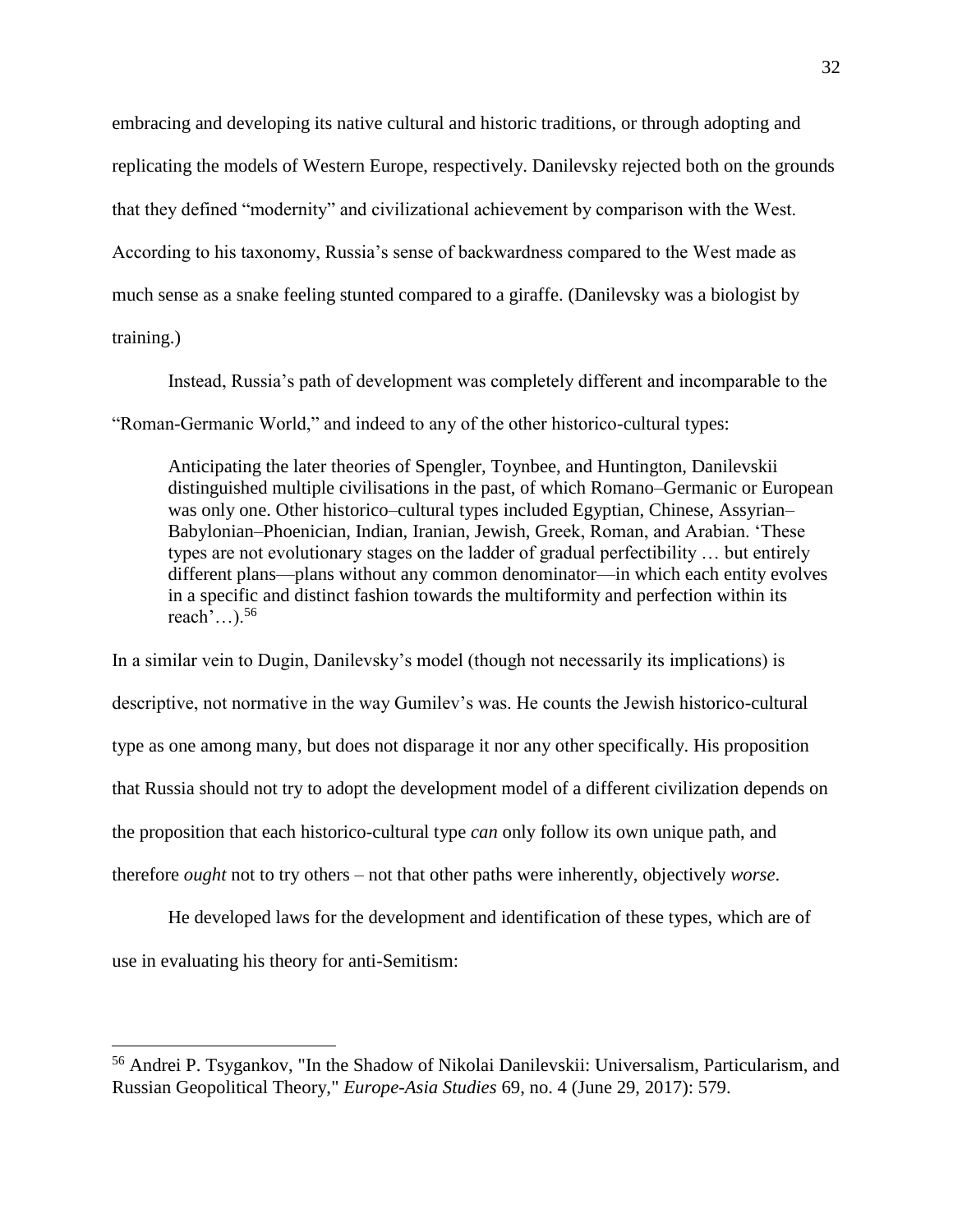embracing and developing its native cultural and historic traditions, or through adopting and replicating the models of Western Europe, respectively. Danilevsky rejected both on the grounds that they defined "modernity" and civilizational achievement by comparison with the West. According to his taxonomy, Russia's sense of backwardness compared to the West made as much sense as a snake feeling stunted compared to a giraffe. (Danilevsky was a biologist by training.)

Instead, Russia's path of development was completely different and incomparable to the "Roman-Germanic World," and indeed to any of the other historico-cultural types:

Anticipating the later theories of Spengler, Toynbee, and Huntington, Danilevskii distinguished multiple civilisations in the past, of which Romano–Germanic or European was only one. Other historico–cultural types included Egyptian, Chinese, Assyrian– Babylonian–Phoenician, Indian, Iranian, Jewish, Greek, Roman, and Arabian. 'These types are not evolutionary stages on the ladder of gradual perfectibility … but entirely different plans—plans without any common denominator—in which each entity evolves in a specific and distinct fashion towards the multiformity and perfection within its reach'... $)^{56}$ 

In a similar vein to Dugin, Danilevsky's model (though not necessarily its implications) is descriptive, not normative in the way Gumilev's was. He counts the Jewish historico-cultural type as one among many, but does not disparage it nor any other specifically. His proposition that Russia should not try to adopt the development model of a different civilization depends on the proposition that each historico-cultural type *can* only follow its own unique path, and therefore *ought* not to try others – not that other paths were inherently, objectively *worse*.

He developed laws for the development and identification of these types, which are of use in evaluating his theory for anti-Semitism:

<sup>56</sup> Andrei P. Tsygankov, "In the Shadow of Nikolai Danilevskii: Universalism, Particularism, and Russian Geopolitical Theory," *Europe-Asia Studies* 69, no. 4 (June 29, 2017): 579.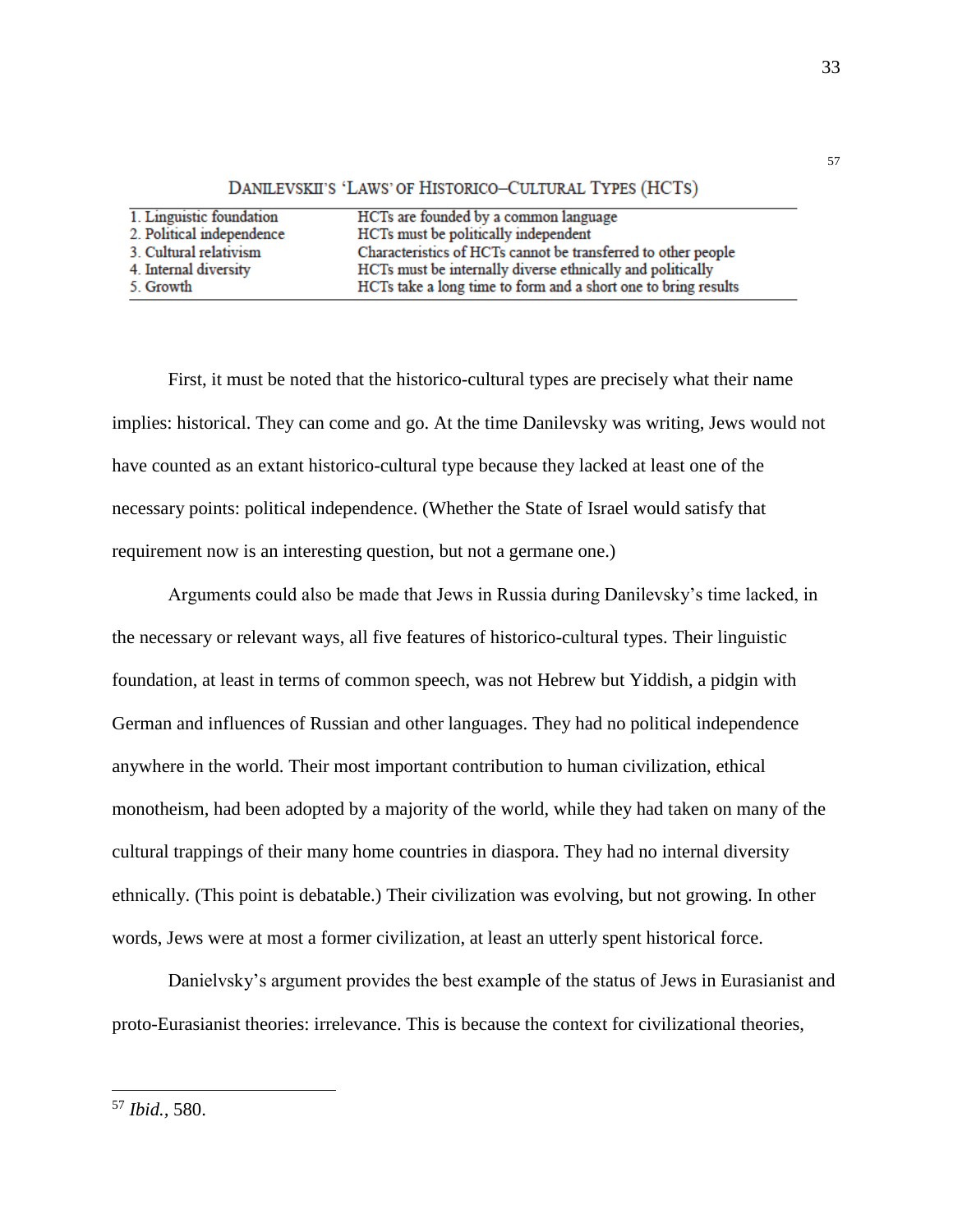| 1. Linguistic foundation  | HCTs are founded by a common language                          |
|---------------------------|----------------------------------------------------------------|
| 2. Political independence | HCTs must be politically independent                           |
| 3. Cultural relativism    | Characteristics of HCTs cannot be transferred to other people  |
| 4. Internal diversity     | HCTs must be internally diverse ethnically and politically     |
| 5. Growth                 | HCTs take a long time to form and a short one to bring results |

DANILEVSKII'S 'LAWS' OF HISTORICO-CULTURAL TYPES (HCTS)

First, it must be noted that the historico-cultural types are precisely what their name implies: historical. They can come and go. At the time Danilevsky was writing, Jews would not have counted as an extant historico-cultural type because they lacked at least one of the necessary points: political independence. (Whether the State of Israel would satisfy that requirement now is an interesting question, but not a germane one.)

Arguments could also be made that Jews in Russia during Danilevsky's time lacked, in the necessary or relevant ways, all five features of historico-cultural types. Their linguistic foundation, at least in terms of common speech, was not Hebrew but Yiddish, a pidgin with German and influences of Russian and other languages. They had no political independence anywhere in the world. Their most important contribution to human civilization, ethical monotheism, had been adopted by a majority of the world, while they had taken on many of the cultural trappings of their many home countries in diaspora. They had no internal diversity ethnically. (This point is debatable.) Their civilization was evolving, but not growing. In other words, Jews were at most a former civilization, at least an utterly spent historical force.

Danielvsky's argument provides the best example of the status of Jews in Eurasianist and proto-Eurasianist theories: irrelevance. This is because the context for civilizational theories,

57

<sup>57</sup> *Ibid.,* 580.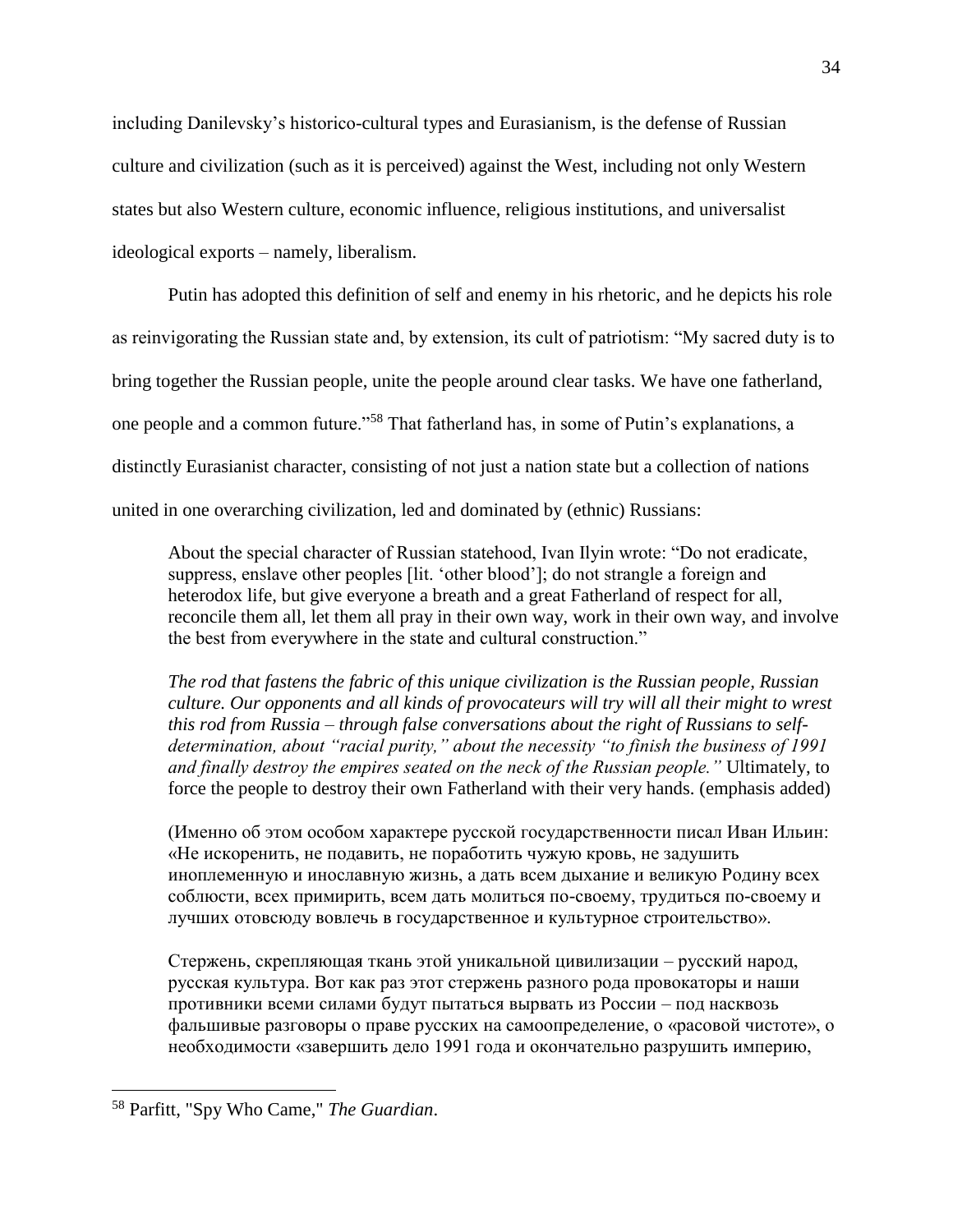including Danilevsky's historico-cultural types and Eurasianism, is the defense of Russian culture and civilization (such as it is perceived) against the West, including not only Western states but also Western culture, economic influence, religious institutions, and universalist ideological exports – namely, liberalism.

Putin has adopted this definition of self and enemy in his rhetoric, and he depicts his role as reinvigorating the Russian state and, by extension, its cult of patriotism: "My sacred duty is to bring together the Russian people, unite the people around clear tasks. We have one fatherland, one people and a common future."<sup>58</sup> That fatherland has, in some of Putin's explanations, a distinctly Eurasianist character, consisting of not just a nation state but a collection of nations united in one overarching civilization, led and dominated by (ethnic) Russians:

About the special character of Russian statehood, Ivan Ilyin wrote: "Do not eradicate, suppress, enslave other peoples [lit. 'other blood']; do not strangle a foreign and heterodox life, but give everyone a breath and a great Fatherland of respect for all, reconcile them all, let them all pray in their own way, work in their own way, and involve the best from everywhere in the state and cultural construction."

*The rod that fastens the fabric of this unique civilization is the Russian people, Russian culture. Our opponents and all kinds of provocateurs will try will all their might to wrest this rod from Russia – through false conversations about the right of Russians to selfdetermination, about "racial purity," about the necessity "to finish the business of 1991 and finally destroy the empires seated on the neck of the Russian people."* Ultimately, to force the people to destroy their own Fatherland with their very hands. (emphasis added)

(Именно об этом особом характере русской государственности писал Иван Ильин: «Не искоренить, не подавить, не поработить чужую кровь, не задушить иноплеменную и инославную жизнь, а дать всем дыхание и великую Родину всех соблюсти, всех примирить, всем дать молиться по-своему, трудиться по-своему и лучших отовсюду вовлечь в государственное и культурное строительство».

Стержень, скрепляющая ткань этой уникальной цивилизации – русский народ, русская культура. Вот как раз этот стержень разного рода провокаторы и наши противники всеми силами будут пытаться вырвать из России – под насквозь фальшивые разговоры о праве русских на самоопределение, о «расовой чистоте», о необходимости «завершить дело 1991 года и окончательно разрушить империю,

<sup>58</sup> Parfitt, "Spy Who Came," *The Guardian*.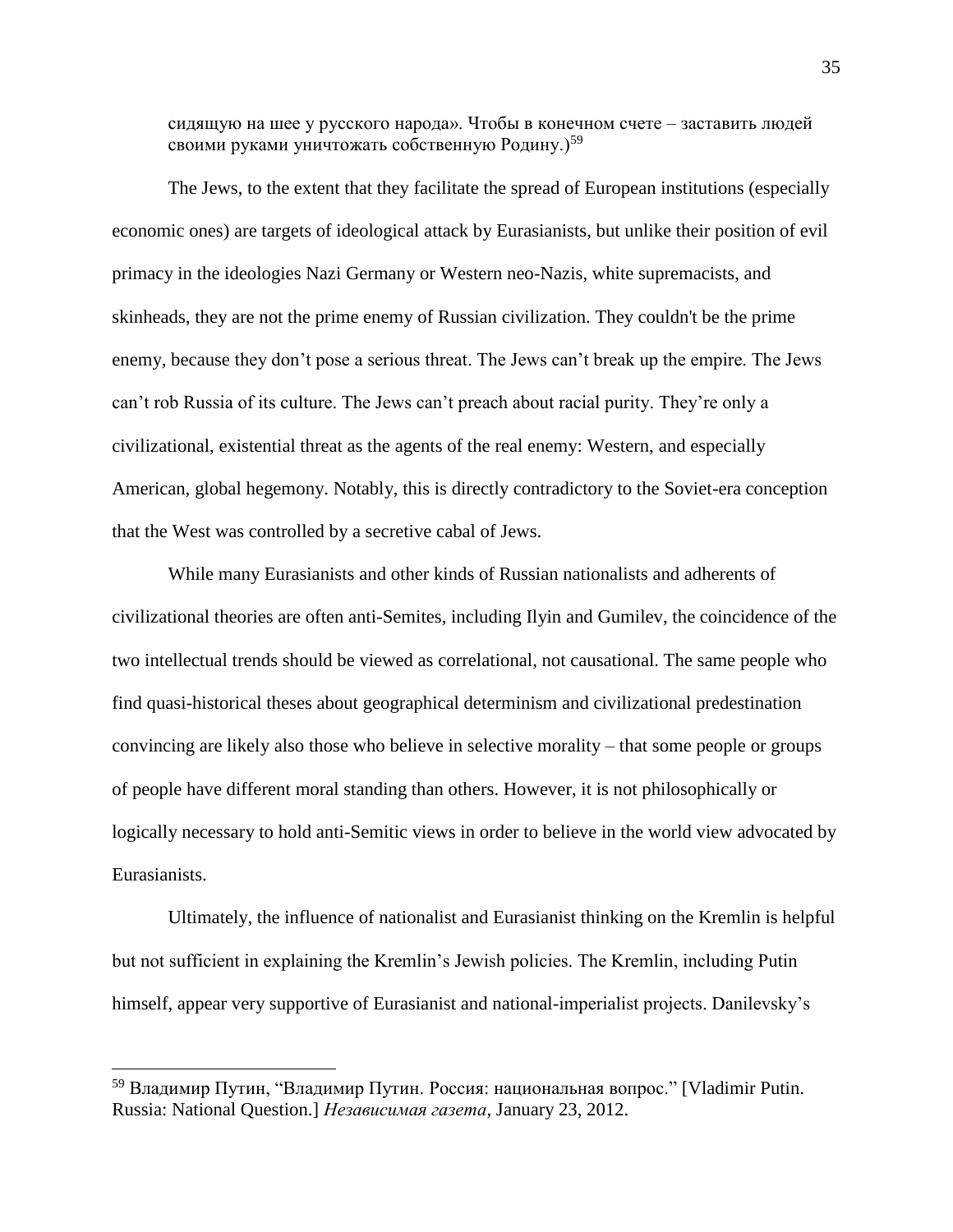сидящую на шее у русского народа». Чтобы в конечном счете – заставить людей своими руками уничтожать собственную Родину.)<sup>59</sup>

The Jews, to the extent that they facilitate the spread of European institutions (especially economic ones) are targets of ideological attack by Eurasianists, but unlike their position of evil primacy in the ideologies Nazi Germany or Western neo-Nazis, white supremacists, and skinheads, they are not the prime enemy of Russian civilization. They couldn't be the prime enemy, because they don't pose a serious threat. The Jews can't break up the empire. The Jews can't rob Russia of its culture. The Jews can't preach about racial purity. They're only a civilizational, existential threat as the agents of the real enemy: Western, and especially American, global hegemony. Notably, this is directly contradictory to the Soviet-era conception that the West was controlled by a secretive cabal of Jews.

While many Eurasianists and other kinds of Russian nationalists and adherents of civilizational theories are often anti-Semites, including Ilyin and Gumilev, the coincidence of the two intellectual trends should be viewed as correlational, not causational. The same people who find quasi-historical theses about geographical determinism and civilizational predestination convincing are likely also those who believe in selective morality – that some people or groups of people have different moral standing than others. However, it is not philosophically or logically necessary to hold anti-Semitic views in order to believe in the world view advocated by Eurasianists.

Ultimately, the influence of nationalist and Eurasianist thinking on the Kremlin is helpful but not sufficient in explaining the Kremlin's Jewish policies. The Kremlin, including Putin himself, appear very supportive of Eurasianist and national-imperialist projects. Danilevsky's

<sup>&</sup>lt;sup>59</sup> Владимир Путин, "Владимир Путин. Россия: национальная вопрос." [Vladimir Putin. Russia: National Question.] *Независимая газета*, January 23, 2012.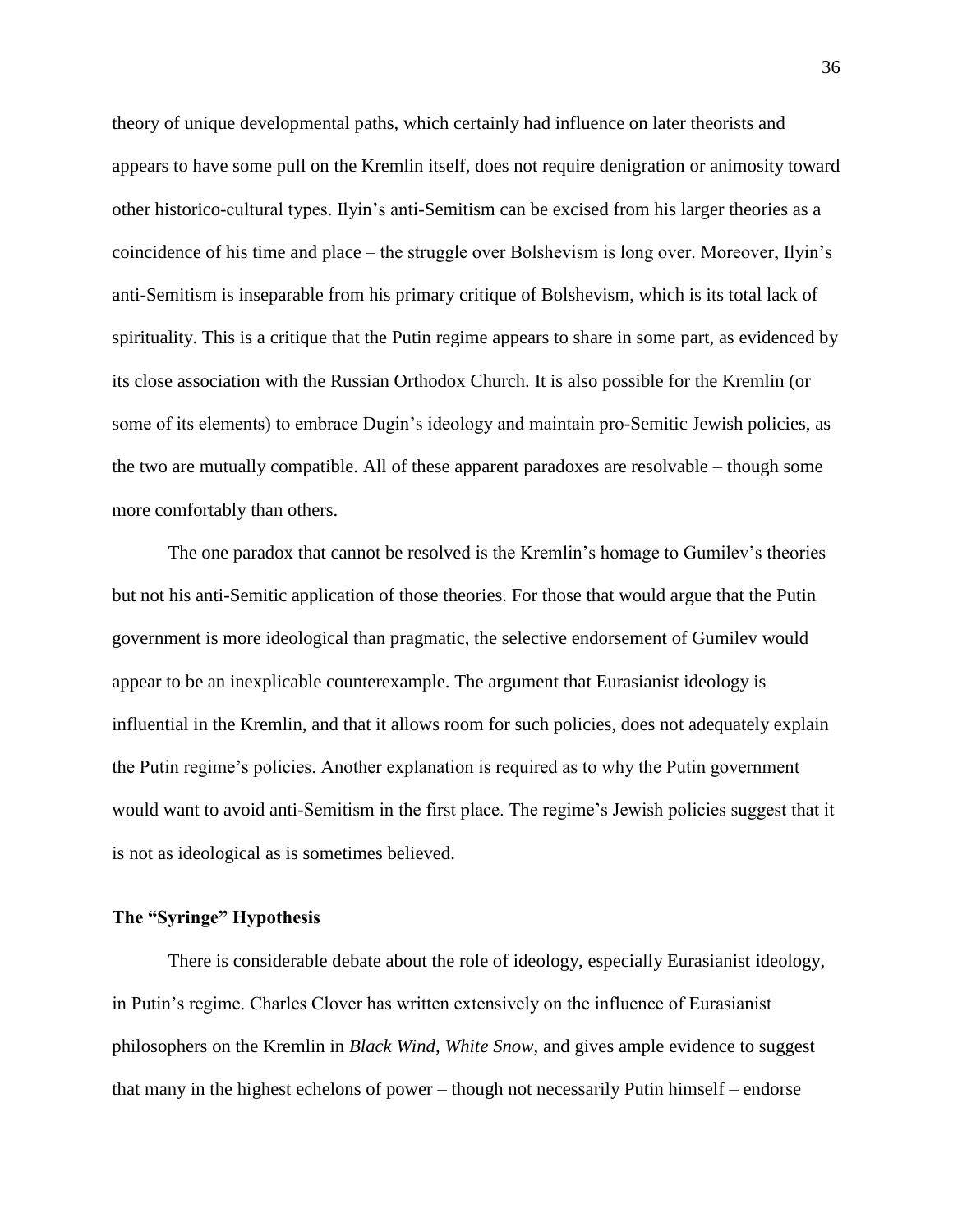theory of unique developmental paths, which certainly had influence on later theorists and appears to have some pull on the Kremlin itself, does not require denigration or animosity toward other historico-cultural types. Ilyin's anti-Semitism can be excised from his larger theories as a coincidence of his time and place – the struggle over Bolshevism is long over. Moreover, Ilyin's anti-Semitism is inseparable from his primary critique of Bolshevism, which is its total lack of spirituality. This is a critique that the Putin regime appears to share in some part, as evidenced by its close association with the Russian Orthodox Church. It is also possible for the Kremlin (or some of its elements) to embrace Dugin's ideology and maintain pro-Semitic Jewish policies, as the two are mutually compatible. All of these apparent paradoxes are resolvable – though some more comfortably than others.

The one paradox that cannot be resolved is the Kremlin's homage to Gumilev's theories but not his anti-Semitic application of those theories. For those that would argue that the Putin government is more ideological than pragmatic, the selective endorsement of Gumilev would appear to be an inexplicable counterexample. The argument that Eurasianist ideology is influential in the Kremlin, and that it allows room for such policies, does not adequately explain the Putin regime's policies. Another explanation is required as to why the Putin government would want to avoid anti-Semitism in the first place. The regime's Jewish policies suggest that it is not as ideological as is sometimes believed.

## **The "Syringe" Hypothesis**

There is considerable debate about the role of ideology, especially Eurasianist ideology, in Putin's regime. Charles Clover has written extensively on the influence of Eurasianist philosophers on the Kremlin in *Black Wind, White Snow*, and gives ample evidence to suggest that many in the highest echelons of power – though not necessarily Putin himself – endorse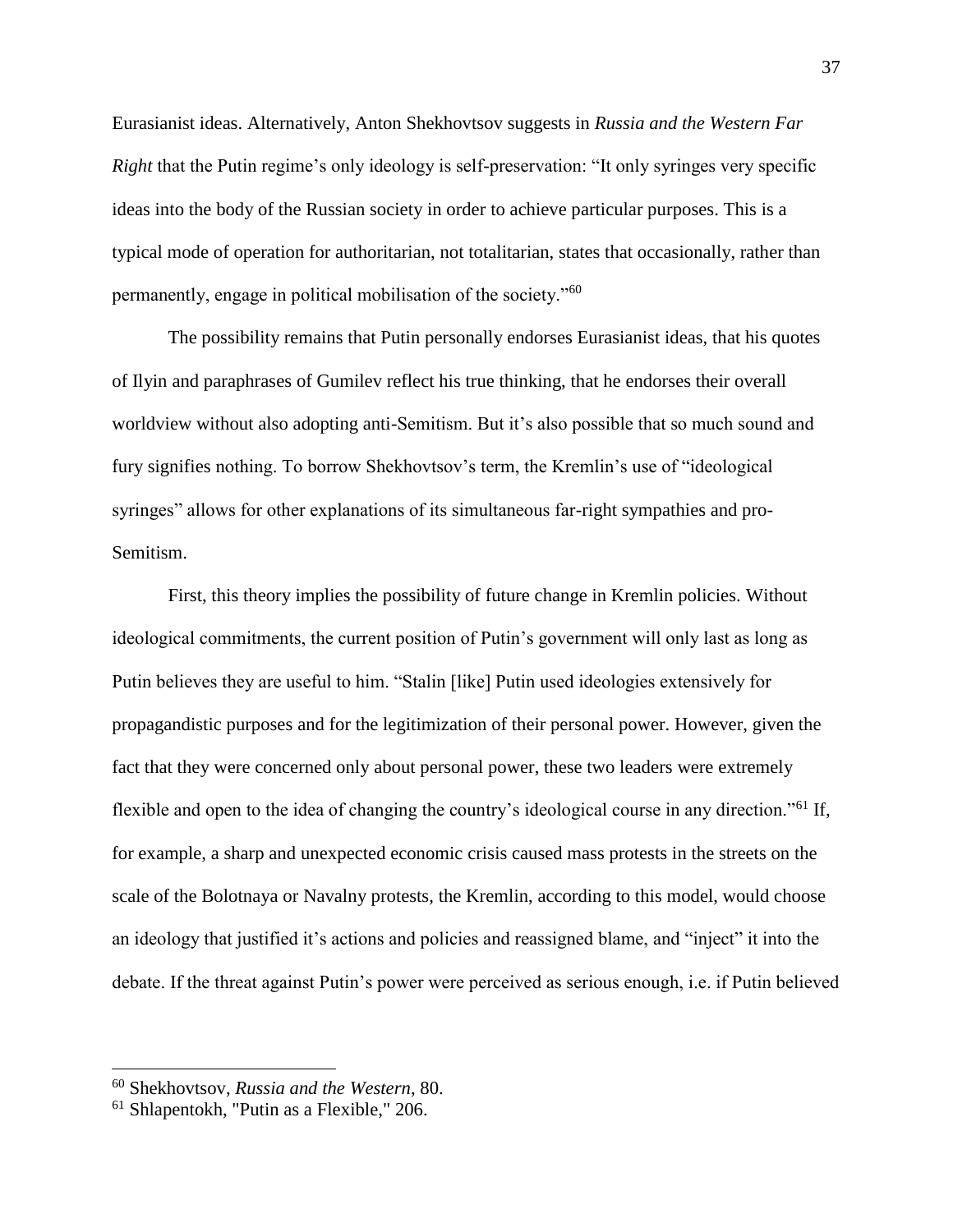Eurasianist ideas. Alternatively, Anton Shekhovtsov suggests in *Russia and the Western Far Right* that the Putin regime's only ideology is self-preservation: "It only syringes very specific ideas into the body of the Russian society in order to achieve particular purposes. This is a typical mode of operation for authoritarian, not totalitarian, states that occasionally, rather than permanently, engage in political mobilisation of the society."<sup>60</sup>

The possibility remains that Putin personally endorses Eurasianist ideas, that his quotes of Ilyin and paraphrases of Gumilev reflect his true thinking, that he endorses their overall worldview without also adopting anti-Semitism. But it's also possible that so much sound and fury signifies nothing. To borrow Shekhovtsov's term, the Kremlin's use of "ideological syringes" allows for other explanations of its simultaneous far-right sympathies and pro-Semitism.

First, this theory implies the possibility of future change in Kremlin policies. Without ideological commitments, the current position of Putin's government will only last as long as Putin believes they are useful to him. "Stalin [like] Putin used ideologies extensively for propagandistic purposes and for the legitimization of their personal power. However, given the fact that they were concerned only about personal power, these two leaders were extremely flexible and open to the idea of changing the country's ideological course in any direction."<sup>61</sup> If, for example, a sharp and unexpected economic crisis caused mass protests in the streets on the scale of the Bolotnaya or Navalny protests, the Kremlin, according to this model, would choose an ideology that justified it's actions and policies and reassigned blame, and "inject" it into the debate. If the threat against Putin's power were perceived as serious enough, i.e. if Putin believed

<sup>60</sup> Shekhovtsov, *Russia and the Western*, 80.

<sup>61</sup> Shlapentokh, "Putin as a Flexible," 206.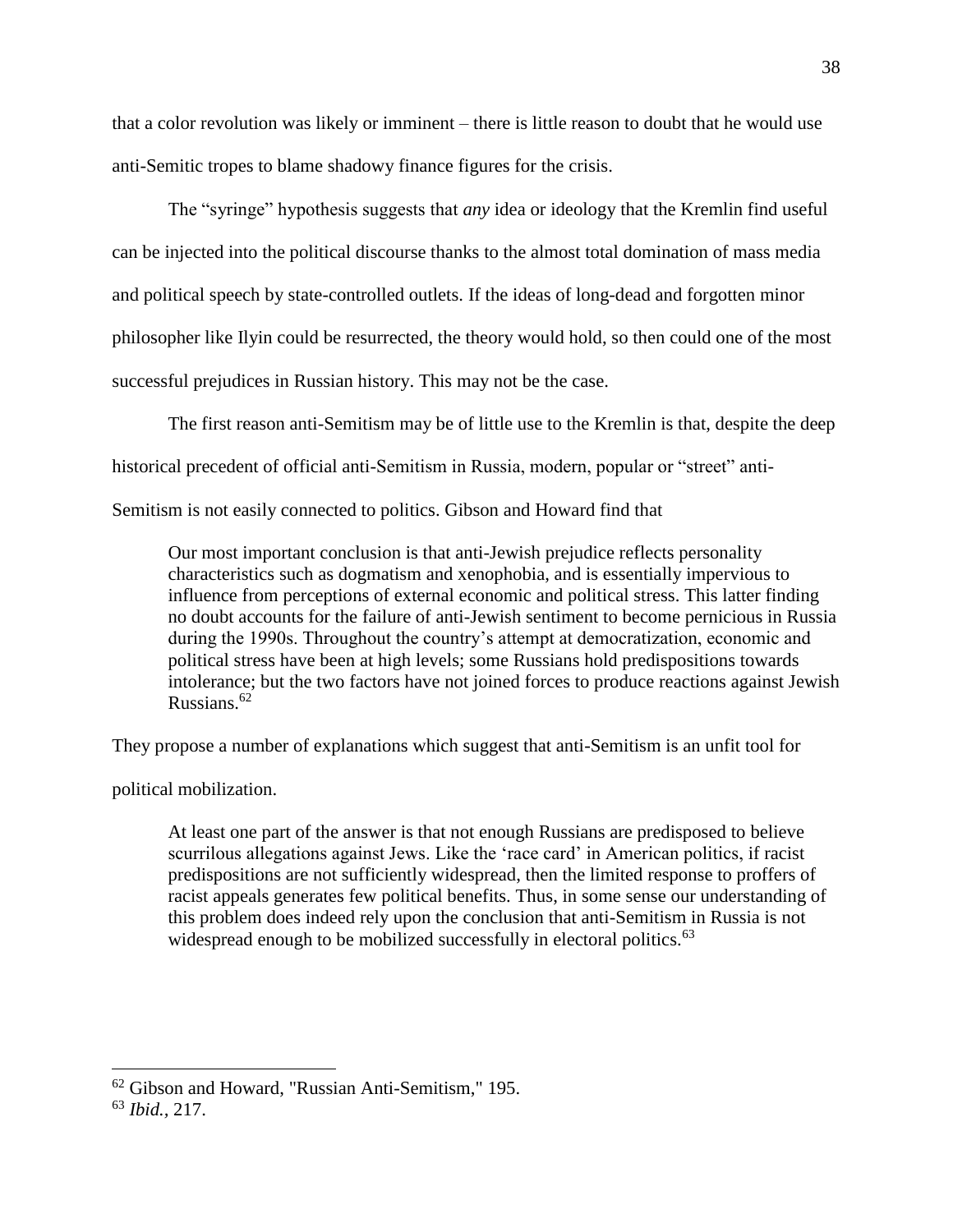that a color revolution was likely or imminent – there is little reason to doubt that he would use anti-Semitic tropes to blame shadowy finance figures for the crisis.

The "syringe" hypothesis suggests that *any* idea or ideology that the Kremlin find useful can be injected into the political discourse thanks to the almost total domination of mass media and political speech by state-controlled outlets. If the ideas of long-dead and forgotten minor philosopher like Ilyin could be resurrected, the theory would hold, so then could one of the most successful prejudices in Russian history. This may not be the case.

The first reason anti-Semitism may be of little use to the Kremlin is that, despite the deep

historical precedent of official anti-Semitism in Russia, modern, popular or "street" anti-

Semitism is not easily connected to politics. Gibson and Howard find that

Our most important conclusion is that anti-Jewish prejudice reflects personality characteristics such as dogmatism and xenophobia, and is essentially impervious to influence from perceptions of external economic and political stress. This latter finding no doubt accounts for the failure of anti-Jewish sentiment to become pernicious in Russia during the 1990s. Throughout the country's attempt at democratization, economic and political stress have been at high levels; some Russians hold predispositions towards intolerance; but the two factors have not joined forces to produce reactions against Jewish Russians.<sup>62</sup>

They propose a number of explanations which suggest that anti-Semitism is an unfit tool for

political mobilization.

At least one part of the answer is that not enough Russians are predisposed to believe scurrilous allegations against Jews. Like the 'race card' in American politics, if racist predispositions are not sufficiently widespread, then the limited response to proffers of racist appeals generates few political benefits. Thus, in some sense our understanding of this problem does indeed rely upon the conclusion that anti-Semitism in Russia is not widespread enough to be mobilized successfully in electoral politics.<sup>63</sup>

 $62$  Gibson and Howard, "Russian Anti-Semitism," 195.

<sup>63</sup> *Ibid.,* 217.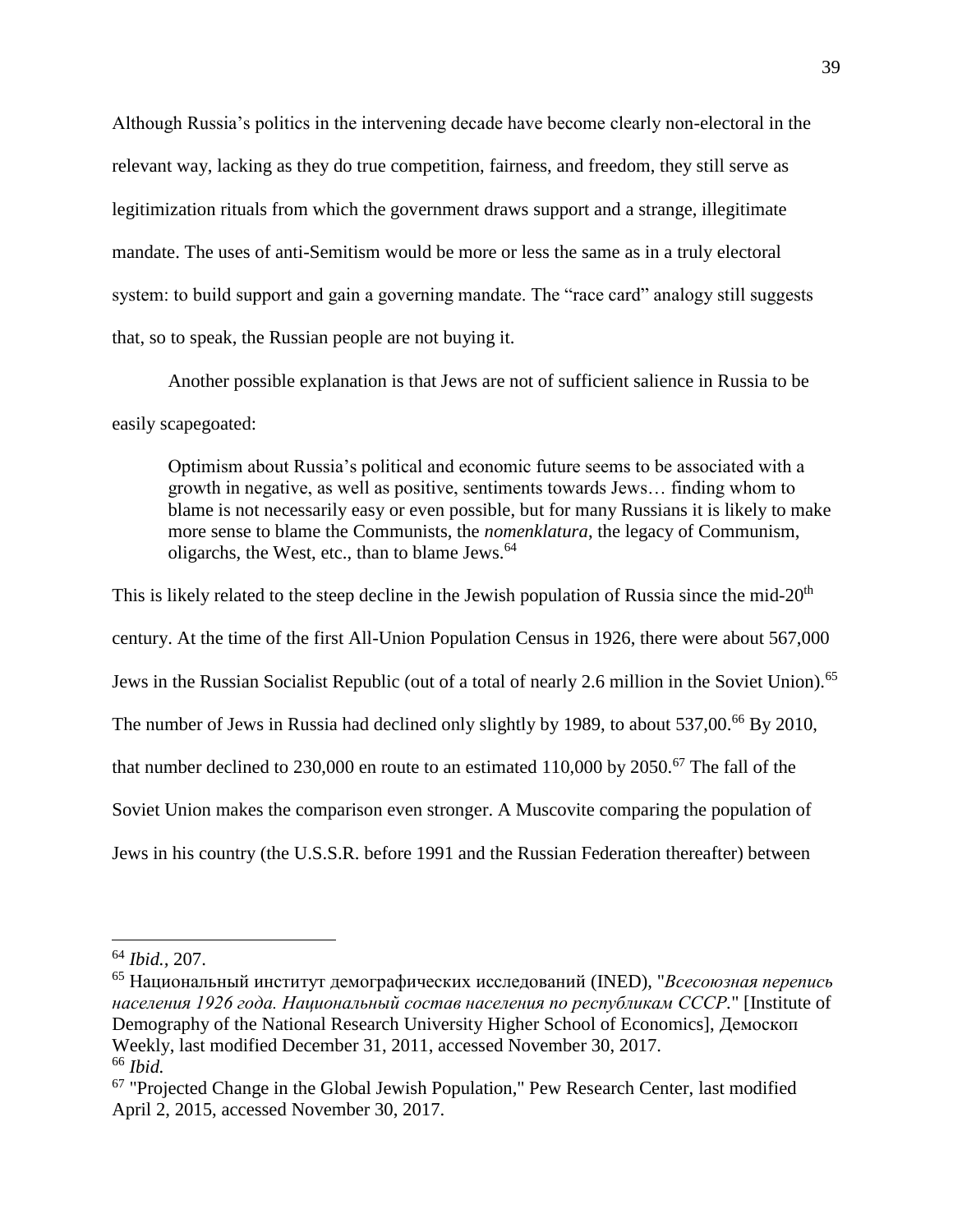Although Russia's politics in the intervening decade have become clearly non-electoral in the relevant way, lacking as they do true competition, fairness, and freedom, they still serve as legitimization rituals from which the government draws support and a strange, illegitimate mandate. The uses of anti-Semitism would be more or less the same as in a truly electoral system: to build support and gain a governing mandate. The "race card" analogy still suggests that, so to speak, the Russian people are not buying it.

Another possible explanation is that Jews are not of sufficient salience in Russia to be easily scapegoated:

Optimism about Russia's political and economic future seems to be associated with a growth in negative, as well as positive, sentiments towards Jews… finding whom to blame is not necessarily easy or even possible, but for many Russians it is likely to make more sense to blame the Communists, the *nomenklatura*, the legacy of Communism, oligarchs, the West, etc., than to blame Jews. $64$ 

This is likely related to the steep decline in the Jewish population of Russia since the mid-20<sup>th</sup> century. At the time of the first All-Union Population Census in 1926, there were about 567,000 Jews in the Russian Socialist Republic (out of a total of nearly 2.6 million in the Soviet Union).<sup>65</sup> The number of Jews in Russia had declined only slightly by 1989, to about 537,00.<sup>66</sup> By 2010, that number declined to 230,000 en route to an estimated  $110,000$  by  $2050$ .<sup>67</sup> The fall of the Soviet Union makes the comparison even stronger. A Muscovite comparing the population of Jews in his country (the U.S.S.R. before 1991 and the Russian Federation thereafter) between

<sup>64</sup> *Ibid.,* 207.

<sup>65</sup> Национальный институт демографических исследований (INED), "*Всесоюзная перепись населения 1926 года. Национальный состав населения по республикам СССР.*" [Institute of Demography of the National Research University Higher School of Economics], Демоскоп Weekly, last modified December 31, 2011, accessed November 30, 2017. <sup>66</sup> *Ibid.*

<sup>67</sup> "Projected Change in the Global Jewish Population," Pew Research Center, last modified April 2, 2015, accessed November 30, 2017.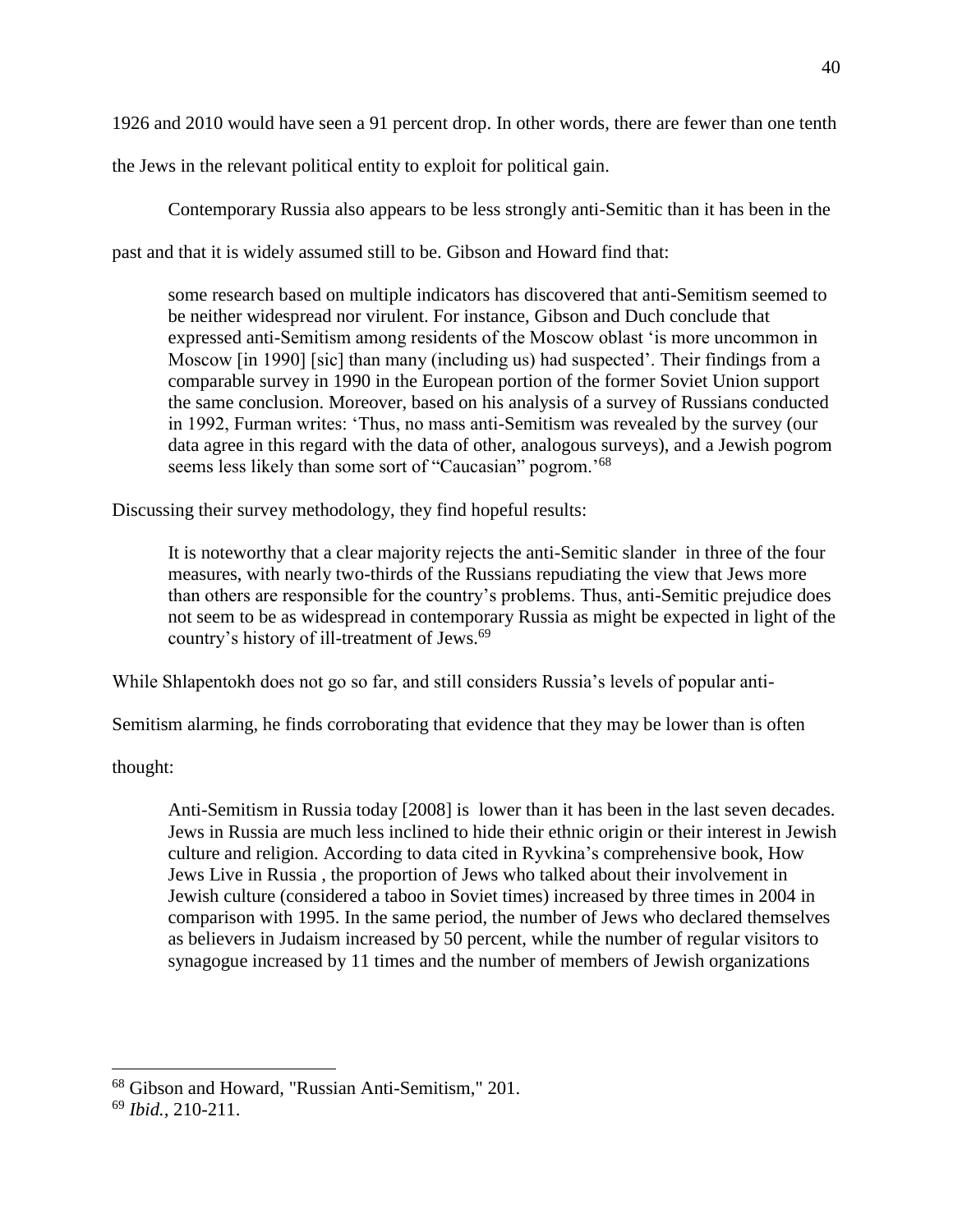1926 and 2010 would have seen a 91 percent drop. In other words, there are fewer than one tenth

the Jews in the relevant political entity to exploit for political gain.

Contemporary Russia also appears to be less strongly anti-Semitic than it has been in the past and that it is widely assumed still to be. Gibson and Howard find that:

some research based on multiple indicators has discovered that anti-Semitism seemed to be neither widespread nor virulent. For instance, Gibson and Duch conclude that expressed anti-Semitism among residents of the Moscow oblast 'is more uncommon in Moscow [in 1990] [sic] than many (including us) had suspected'. Their findings from a comparable survey in 1990 in the European portion of the former Soviet Union support the same conclusion. Moreover, based on his analysis of a survey of Russians conducted in 1992, Furman writes: 'Thus, no mass anti-Semitism was revealed by the survey (our data agree in this regard with the data of other, analogous surveys), and a Jewish pogrom seems less likely than some sort of "Caucasian" pogrom.<sup>'68</sup>

Discussing their survey methodology, they find hopeful results:

It is noteworthy that a clear majority rejects the anti-Semitic slander in three of the four measures, with nearly two-thirds of the Russians repudiating the view that Jews more than others are responsible for the country's problems. Thus, anti-Semitic prejudice does not seem to be as widespread in contemporary Russia as might be expected in light of the country's history of ill-treatment of Jews.<sup>69</sup>

While Shlapentokh does not go so far, and still considers Russia's levels of popular anti-

Semitism alarming, he finds corroborating that evidence that they may be lower than is often

thought:

Anti-Semitism in Russia today [2008] is lower than it has been in the last seven decades. Jews in Russia are much less inclined to hide their ethnic origin or their interest in Jewish culture and religion. According to data cited in Ryvkina's comprehensive book, How Jews Live in Russia , the proportion of Jews who talked about their involvement in Jewish culture (considered a taboo in Soviet times) increased by three times in 2004 in comparison with 1995. In the same period, the number of Jews who declared themselves as believers in Judaism increased by 50 percent, while the number of regular visitors to synagogue increased by 11 times and the number of members of Jewish organizations

<sup>&</sup>lt;sup>68</sup> Gibson and Howard, "Russian Anti-Semitism," 201.

<sup>69</sup> *Ibid.,* 210-211.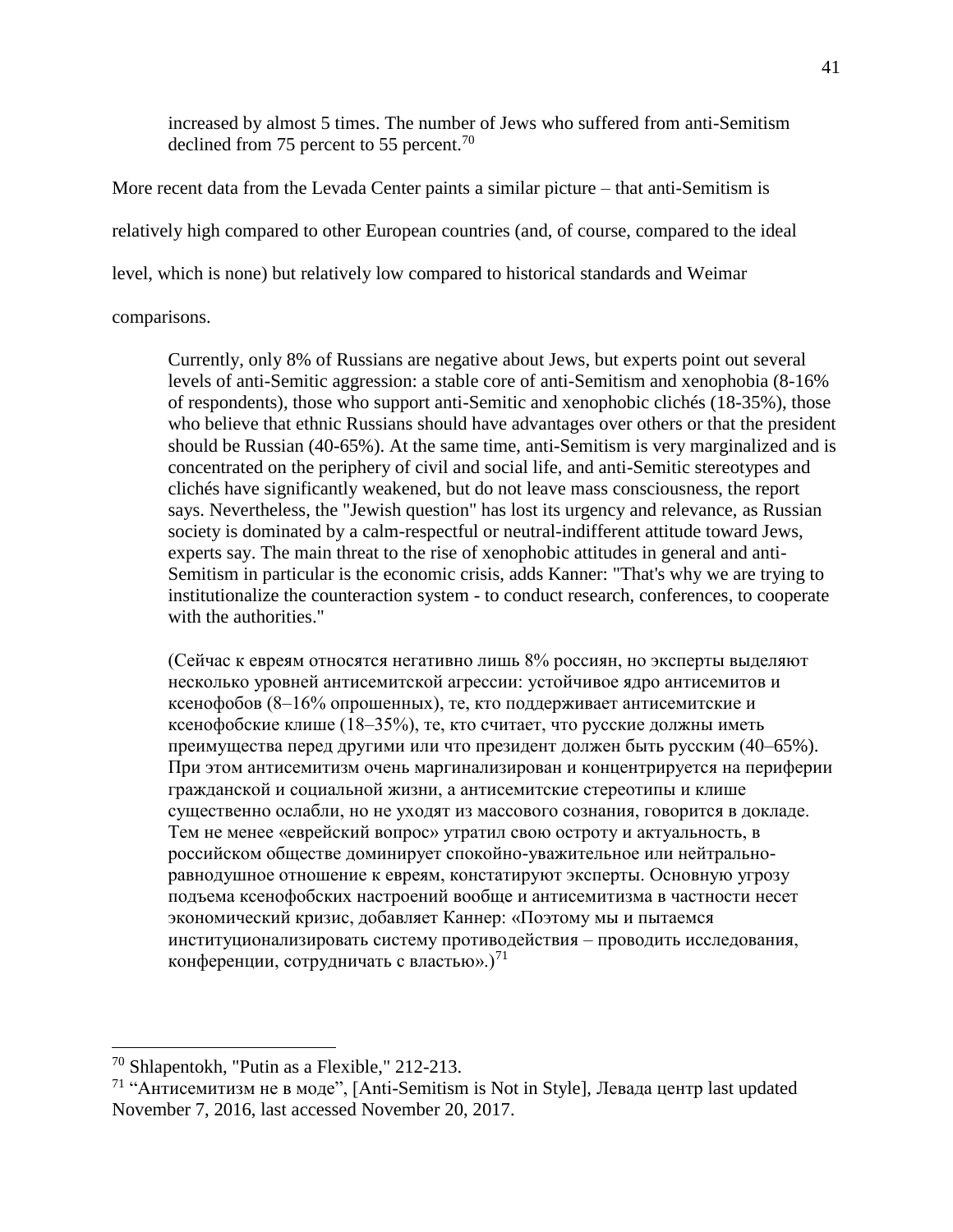increased by almost 5 times. The number of Jews who suffered from anti-Semitism declined from 75 percent to 55 percent.<sup>70</sup>

More recent data from the Levada Center paints a similar picture – that anti-Semitism is relatively high compared to other European countries (and, of course, compared to the ideal level, which is none) but relatively low compared to historical standards and Weimar

comparisons.

Currently, only 8% of Russians are negative about Jews, but experts point out several levels of anti-Semitic aggression: a stable core of anti-Semitism and xenophobia (8-16% of respondents), those who support anti-Semitic and xenophobic clichés (18-35%), those who believe that ethnic Russians should have advantages over others or that the president should be Russian (40-65%). At the same time, anti-Semitism is very marginalized and is concentrated on the periphery of civil and social life, and anti-Semitic stereotypes and clichés have significantly weakened, but do not leave mass consciousness, the report says. Nevertheless, the "Jewish question" has lost its urgency and relevance, as Russian society is dominated by a calm-respectful or neutral-indifferent attitude toward Jews, experts say. The main threat to the rise of xenophobic attitudes in general and anti-Semitism in particular is the economic crisis, adds Kanner: "That's why we are trying to institutionalize the counteraction system - to conduct research, conferences, to cooperate with the authorities."

(Сейчас к евреям относятся негативно лишь 8% россиян, но эксперты выделяют несколько уровней антисемитской агрессии: устойчивое ядро антисемитов и ксенофобов (8–16% опрошенных), те, кто поддерживает антисемитские и ксенофобские клише (18–35%), те, кто считает, что русские должны иметь преимущества перед другими или что президент должен быть русским (40–65%). При этом антисемитизм очень маргинализирован и концентрируется на периферии гражданской и социальной жизни, а антисемитские стереотипы и клише существенно ослабли, но не уходят из массового сознания, говорится в докладе. Тем не менее «еврейский вопрос» утратил свою остроту и актуальность, в российском обществе доминирует спокойно-уважительное или нейтральноравнодушное отношение к евреям, констатируют эксперты. Основную угрозу подъема ксенофобских настроений вообще и антисемитизма в частности несет экономический кризис, добавляет Каннер: «Поэтому мы и пытаемся институционализировать систему противодействия – проводить исследования, конференции, сотрудничать с властью».)<sup>71</sup>

<sup>70</sup> Shlapentokh, "Putin as a Flexible," 212-213.

<sup>71</sup> "Антисемитизм не в моде", [Anti-Semitism is Not in Style], Левада центр last updated November 7, 2016, last accessed November 20, 2017.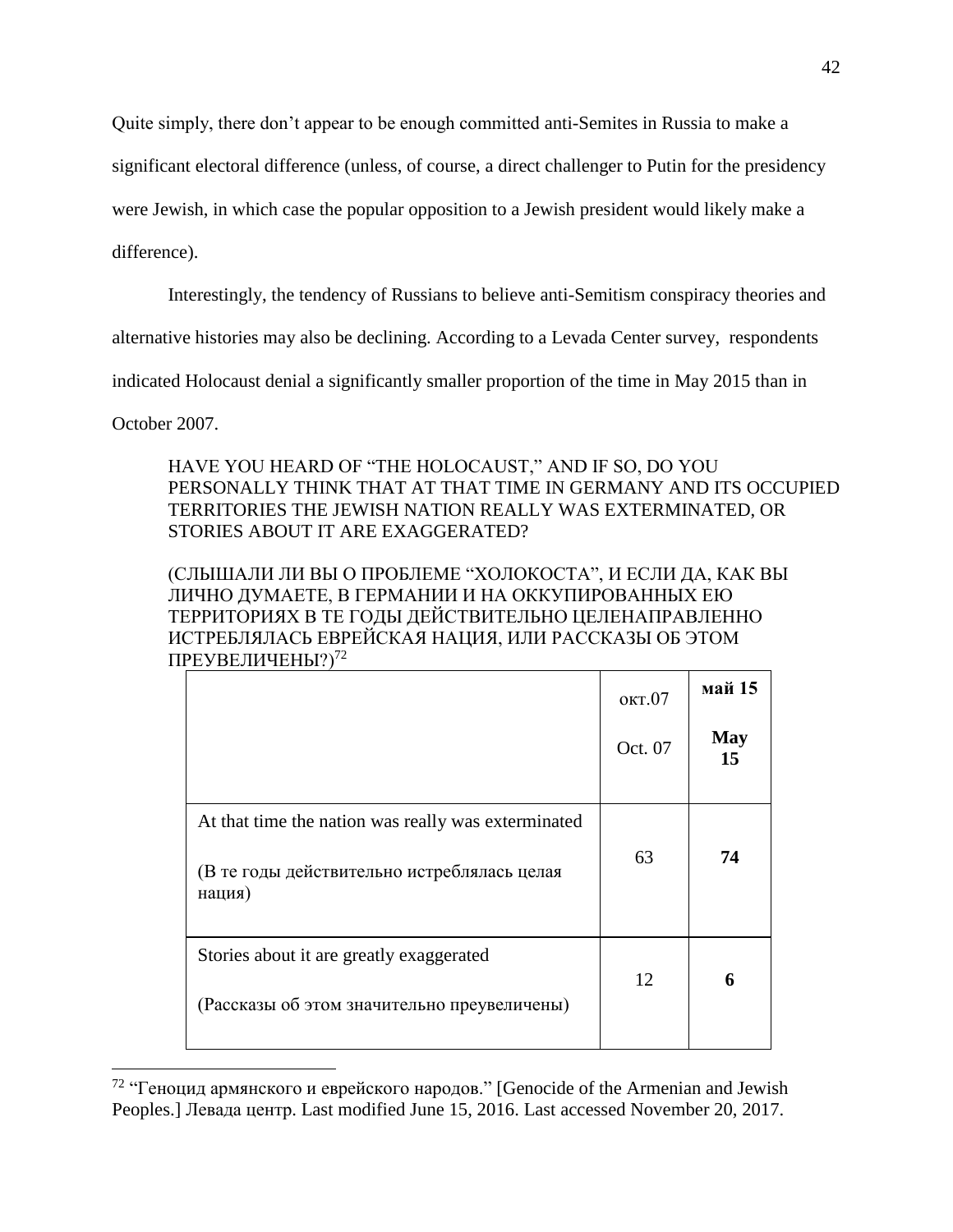Quite simply, there don't appear to be enough committed anti-Semites in Russia to make a

significant electoral difference (unless, of course, a direct challenger to Putin for the presidency

were Jewish, in which case the popular opposition to a Jewish president would likely make a

difference).

Interestingly, the tendency of Russians to believe anti-Semitism conspiracy theories and

alternative histories may also be declining. According to a Levada Center survey, respondents

indicated Holocaust denial a significantly smaller proportion of the time in May 2015 than in

October 2007.

 $\overline{a}$ 

## HAVE YOU HEARD OF "THE HOLOCAUST," AND IF SO, DO YOU PERSONALLY THINK THAT AT THAT TIME IN GERMANY AND ITS OCCUPIED TERRITORIES THE JEWISH NATION REALLY WAS EXTERMINATED, OR STORIES ABOUT IT ARE EXAGGERATED?

(СЛЫШАЛИ ЛИ ВЫ О ПРОБЛЕМЕ "ХОЛОКОСТА", И ЕСЛИ ДА, КАК ВЫ ЛИЧНО ДУМАЕТЕ, В ГЕРМАНИИ И НА ОККУПИРОВАННЫХ ЕЮ ТЕРРИТОРИЯХ В ТЕ ГОДЫ ДЕЙСТВИТЕЛЬНО ЦЕЛЕНАПРАВЛЕННО ИСТРЕБЛЯЛАСЬ ЕВРЕЙСКАЯ НАЦИЯ, ИЛИ РАССКАЗЫ ОБ ЭТОМ ПРЕУВЕЛИЧЕНЫ?)<sup>72</sup>

|                                                                                                              | окт.07  | май 15           |
|--------------------------------------------------------------------------------------------------------------|---------|------------------|
|                                                                                                              | Oct. 07 | <b>May</b><br>15 |
| At that time the nation was really was exterminated<br>(В те годы действительно истреблялась целая<br>нация) | 63      | 74               |
| Stories about it are greatly exaggerated<br>(Рассказы об этом значительно преувеличены)                      | 12      | 6                |

 $72$  "Геноцид армянского и еврейского народов." [Genocide of the Armenian and Jewish Peoples.] Левада центр. Last modified June 15, 2016. Last accessed November 20, 2017.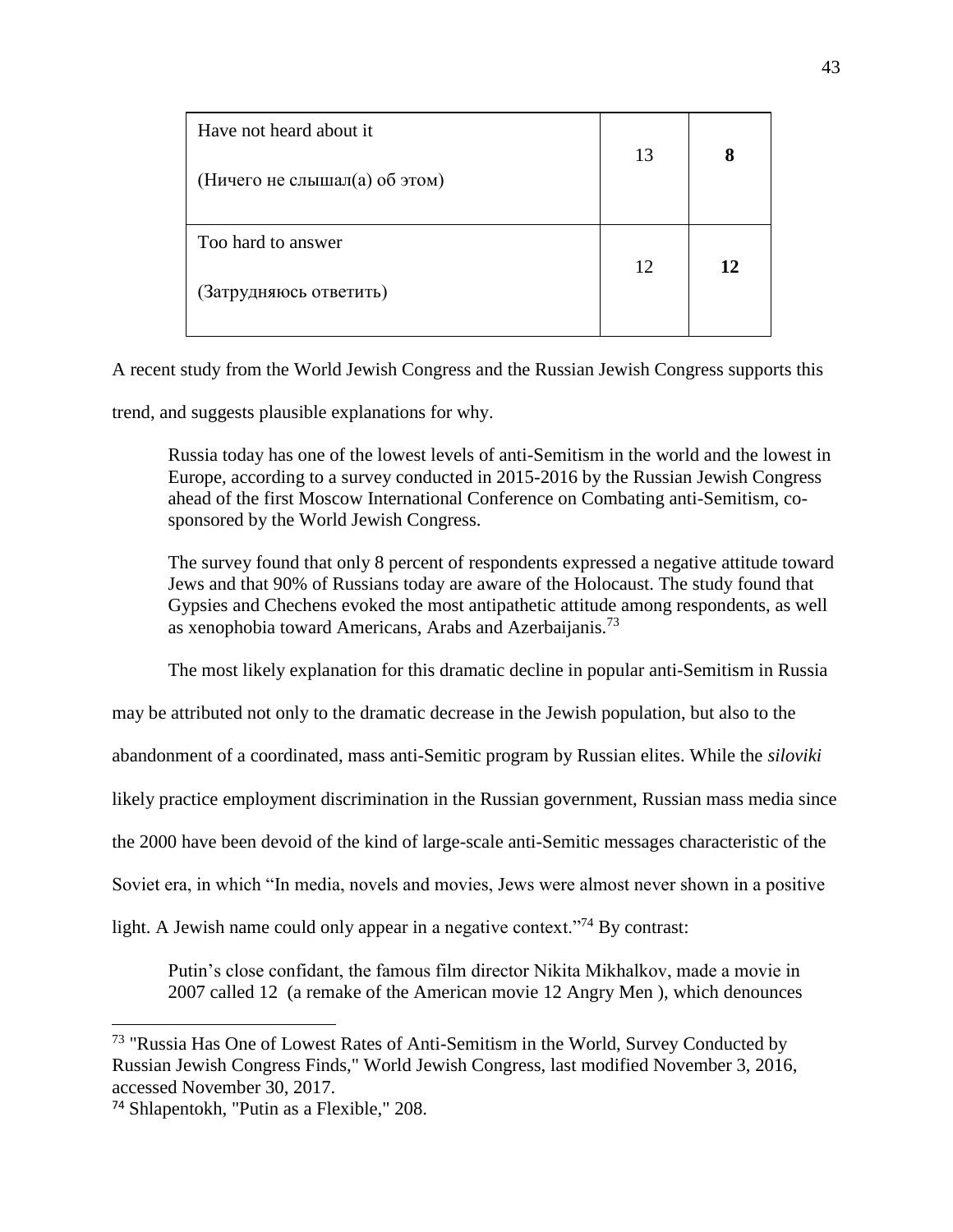| Have not heard about it<br>(Ничего не слышал(а) об этом) | 13 | 8  |
|----------------------------------------------------------|----|----|
| Too hard to answer<br>(Затрудняюсь ответить)             | 12 | 12 |

A recent study from the World Jewish Congress and the Russian Jewish Congress supports this

trend, and suggests plausible explanations for why.

Russia today has one of the lowest levels of anti-Semitism in the world and the lowest in Europe, according to a survey conducted in 2015-2016 by the Russian Jewish Congress ahead of the first Moscow International Conference on Combating anti-Semitism, cosponsored by the World Jewish Congress.

The survey found that only 8 percent of respondents expressed a negative attitude toward Jews and that 90% of Russians today are aware of the Holocaust. The study found that Gypsies and Chechens evoked the most antipathetic attitude among respondents, as well as xenophobia toward Americans, Arabs and Azerbaijanis.<sup>73</sup>

The most likely explanation for this dramatic decline in popular anti-Semitism in Russia

may be attributed not only to the dramatic decrease in the Jewish population, but also to the

abandonment of a coordinated, mass anti-Semitic program by Russian elites. While the *siloviki*

likely practice employment discrimination in the Russian government, Russian mass media since

the 2000 have been devoid of the kind of large-scale anti-Semitic messages characteristic of the

Soviet era, in which "In media, novels and movies, Jews were almost never shown in a positive

light. A Jewish name could only appear in a negative context.<sup>"74</sup> By contrast:

Putin's close confidant, the famous film director Nikita Mikhalkov, made a movie in 2007 called 12 (a remake of the American movie 12 Angry Men ), which denounces

<sup>&</sup>lt;sup>73</sup> "Russia Has One of Lowest Rates of Anti-Semitism in the World, Survey Conducted by Russian Jewish Congress Finds," World Jewish Congress, last modified November 3, 2016, accessed November 30, 2017.

<sup>74</sup> Shlapentokh, "Putin as a Flexible," 208.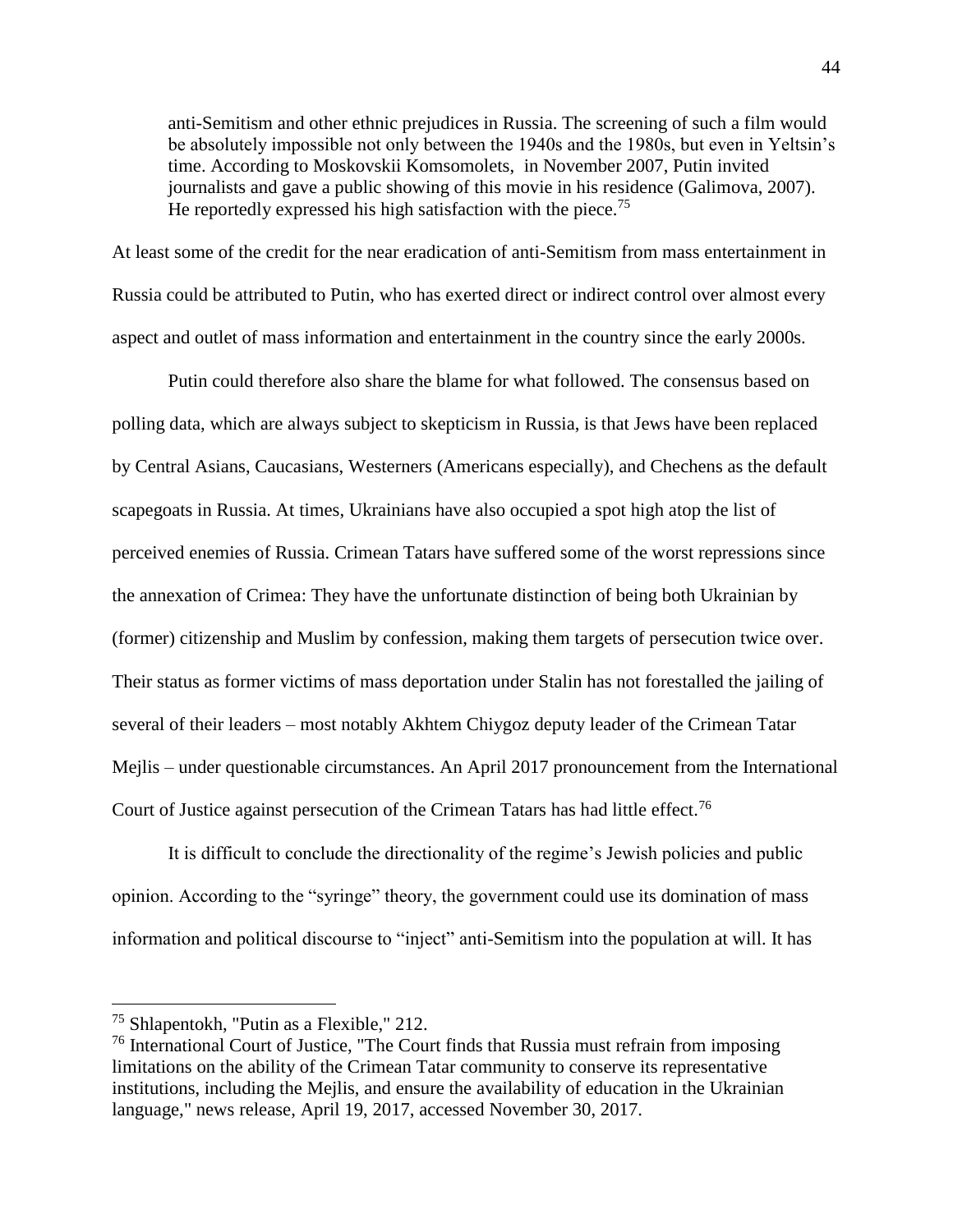anti-Semitism and other ethnic prejudices in Russia. The screening of such a film would be absolutely impossible not only between the 1940s and the 1980s, but even in Yeltsin's time. According to Moskovskii Komsomolets, in November 2007, Putin invited journalists and gave a public showing of this movie in his residence (Galimova, 2007). He reportedly expressed his high satisfaction with the piece.<sup>75</sup>

At least some of the credit for the near eradication of anti-Semitism from mass entertainment in Russia could be attributed to Putin, who has exerted direct or indirect control over almost every aspect and outlet of mass information and entertainment in the country since the early 2000s.

Putin could therefore also share the blame for what followed. The consensus based on polling data, which are always subject to skepticism in Russia, is that Jews have been replaced by Central Asians, Caucasians, Westerners (Americans especially), and Chechens as the default scapegoats in Russia. At times, Ukrainians have also occupied a spot high atop the list of perceived enemies of Russia. Crimean Tatars have suffered some of the worst repressions since the annexation of Crimea: They have the unfortunate distinction of being both Ukrainian by (former) citizenship and Muslim by confession, making them targets of persecution twice over. Their status as former victims of mass deportation under Stalin has not forestalled the jailing of several of their leaders – most notably Akhtem Chiygoz deputy leader of the Crimean Tatar Mejlis – under questionable circumstances. An April 2017 pronouncement from the International Court of Justice against persecution of the Crimean Tatars has had little effect.<sup>76</sup>

It is difficult to conclude the directionality of the regime's Jewish policies and public opinion. According to the "syringe" theory, the government could use its domination of mass information and political discourse to "inject" anti-Semitism into the population at will. It has

<sup>75</sup> Shlapentokh, "Putin as a Flexible," 212.

<sup>76</sup> International Court of Justice, "The Court finds that Russia must refrain from imposing limitations on the ability of the Crimean Tatar community to conserve its representative institutions, including the Mejlis, and ensure the availability of education in the Ukrainian language," news release, April 19, 2017, accessed November 30, 2017.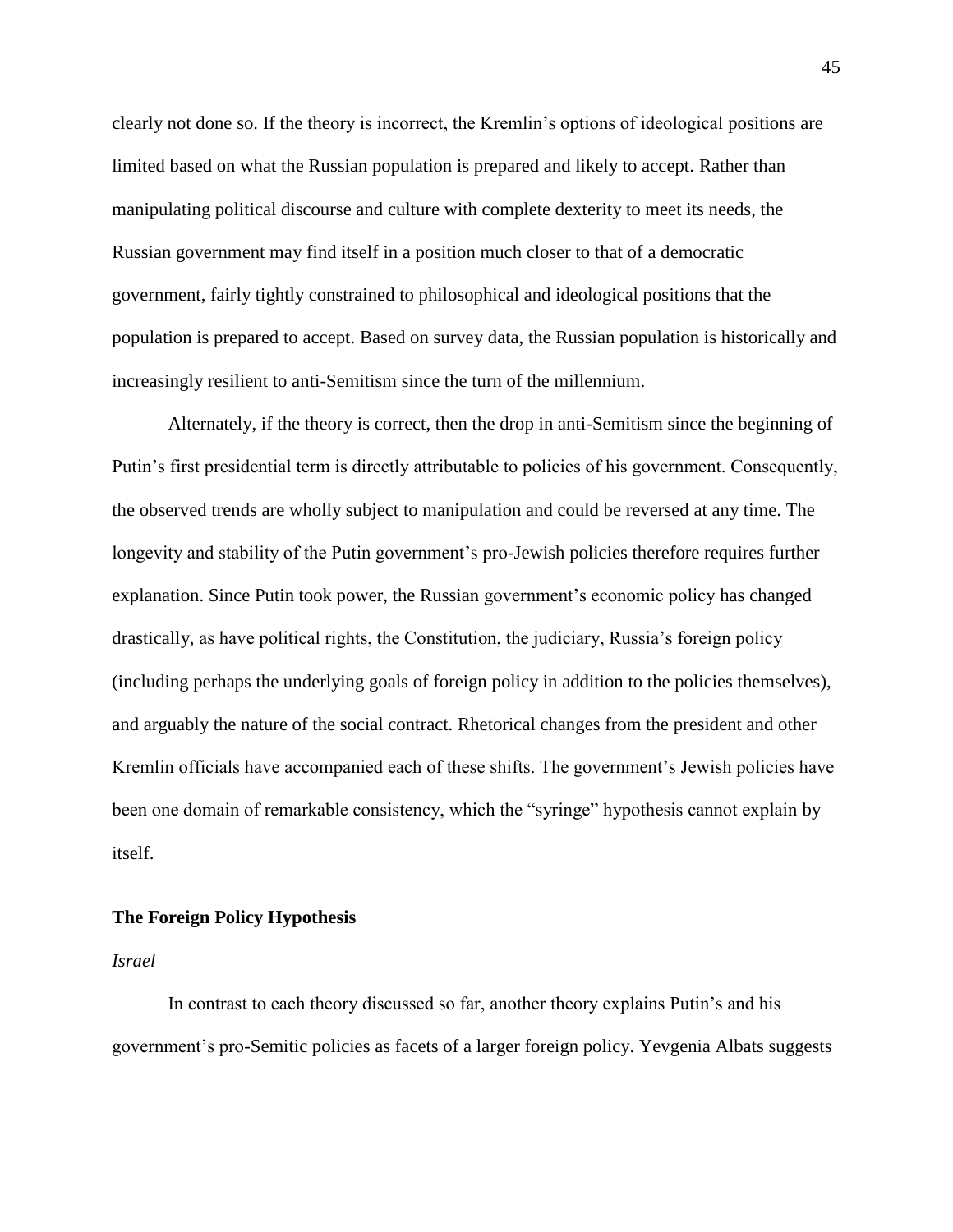clearly not done so. If the theory is incorrect, the Kremlin's options of ideological positions are limited based on what the Russian population is prepared and likely to accept. Rather than manipulating political discourse and culture with complete dexterity to meet its needs, the Russian government may find itself in a position much closer to that of a democratic government, fairly tightly constrained to philosophical and ideological positions that the population is prepared to accept. Based on survey data, the Russian population is historically and increasingly resilient to anti-Semitism since the turn of the millennium.

Alternately, if the theory is correct, then the drop in anti-Semitism since the beginning of Putin's first presidential term is directly attributable to policies of his government. Consequently, the observed trends are wholly subject to manipulation and could be reversed at any time. The longevity and stability of the Putin government's pro-Jewish policies therefore requires further explanation. Since Putin took power, the Russian government's economic policy has changed drastically, as have political rights, the Constitution, the judiciary, Russia's foreign policy (including perhaps the underlying goals of foreign policy in addition to the policies themselves), and arguably the nature of the social contract. Rhetorical changes from the president and other Kremlin officials have accompanied each of these shifts. The government's Jewish policies have been one domain of remarkable consistency, which the "syringe" hypothesis cannot explain by itself.

#### **The Foreign Policy Hypothesis**

#### *Israel*

In contrast to each theory discussed so far, another theory explains Putin's and his government's pro-Semitic policies as facets of a larger foreign policy. Yevgenia Albats suggests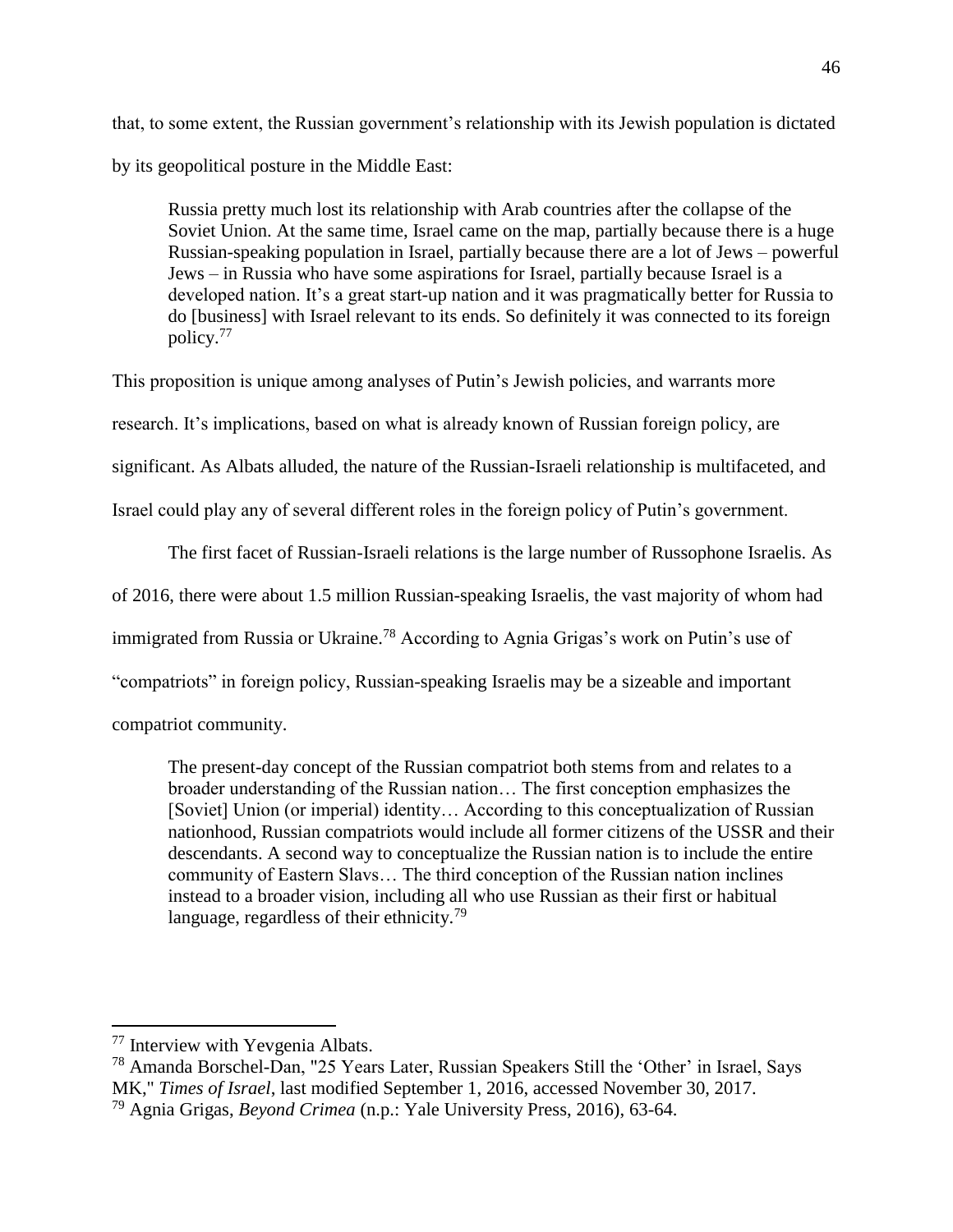that, to some extent, the Russian government's relationship with its Jewish population is dictated by its geopolitical posture in the Middle East:

Russia pretty much lost its relationship with Arab countries after the collapse of the Soviet Union. At the same time, Israel came on the map, partially because there is a huge Russian-speaking population in Israel, partially because there are a lot of Jews – powerful Jews – in Russia who have some aspirations for Israel, partially because Israel is a developed nation. It's a great start-up nation and it was pragmatically better for Russia to do [business] with Israel relevant to its ends. So definitely it was connected to its foreign policy.<sup>77</sup>

This proposition is unique among analyses of Putin's Jewish policies, and warrants more research. It's implications, based on what is already known of Russian foreign policy, are significant. As Albats alluded, the nature of the Russian-Israeli relationship is multifaceted, and Israel could play any of several different roles in the foreign policy of Putin's government.

The first facet of Russian-Israeli relations is the large number of Russophone Israelis. As of 2016, there were about 1.5 million Russian-speaking Israelis, the vast majority of whom had immigrated from Russia or Ukraine.<sup>78</sup> According to Agnia Grigas's work on Putin's use of "compatriots" in foreign policy, Russian-speaking Israelis may be a sizeable and important compatriot community.

The present-day concept of the Russian compatriot both stems from and relates to a broader understanding of the Russian nation… The first conception emphasizes the [Soviet] Union (or imperial) identity… According to this conceptualization of Russian nationhood, Russian compatriots would include all former citizens of the USSR and their descendants. A second way to conceptualize the Russian nation is to include the entire community of Eastern Slavs… The third conception of the Russian nation inclines instead to a broader vision, including all who use Russian as their first or habitual language, regardless of their ethnicity.<sup>79</sup>

<sup>77</sup> Interview with Yevgenia Albats.

<sup>78</sup> Amanda Borschel-Dan, "25 Years Later, Russian Speakers Still the 'Other' in Israel, Says MK," *Times of Israel*, last modified September 1, 2016, accessed November 30, 2017.

<sup>79</sup> Agnia Grigas, *Beyond Crimea* (n.p.: Yale University Press, 2016), 63-64.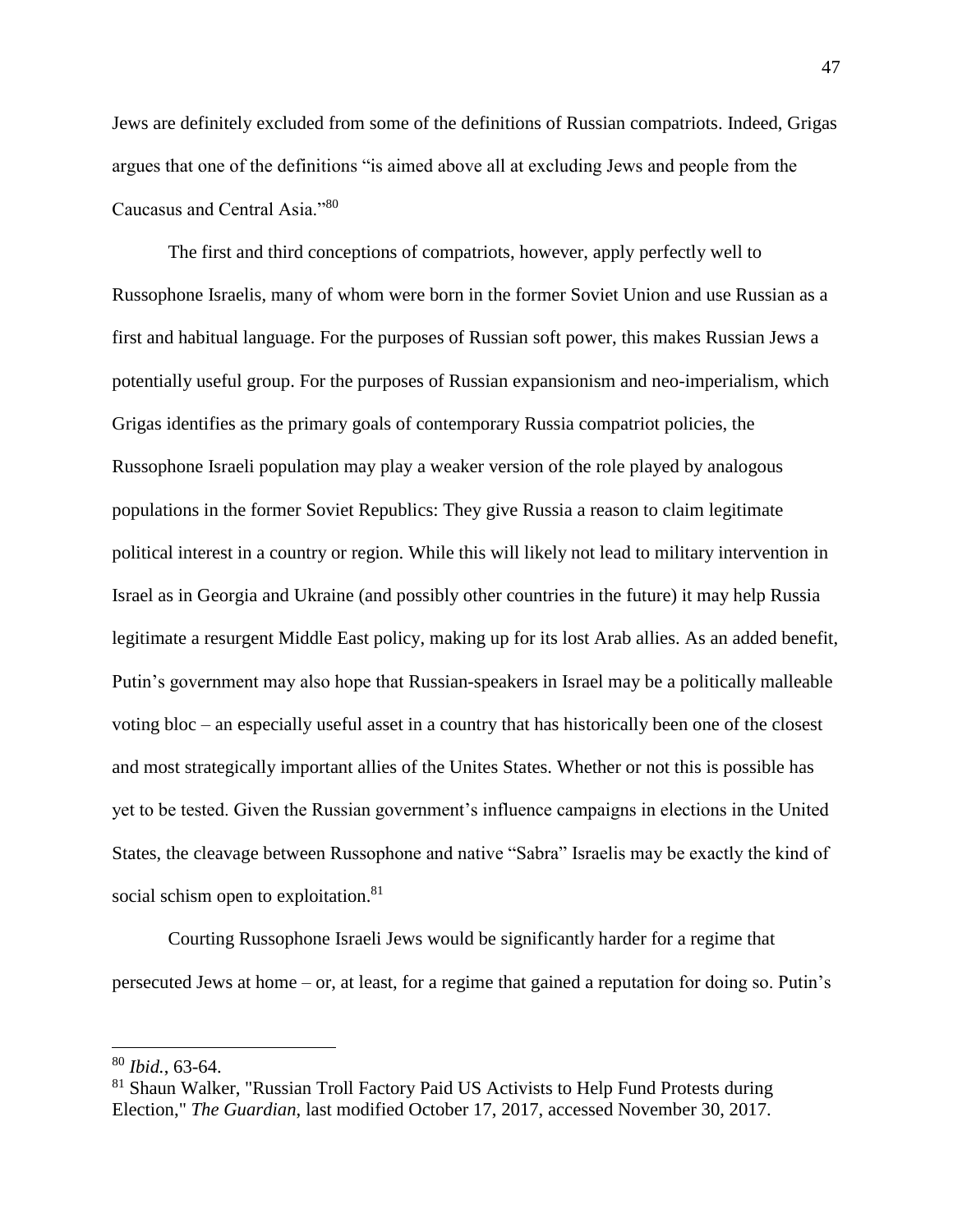Jews are definitely excluded from some of the definitions of Russian compatriots. Indeed, Grigas argues that one of the definitions "is aimed above all at excluding Jews and people from the Caucasus and Central Asia."<sup>80</sup>

The first and third conceptions of compatriots, however, apply perfectly well to Russophone Israelis, many of whom were born in the former Soviet Union and use Russian as a first and habitual language. For the purposes of Russian soft power, this makes Russian Jews a potentially useful group. For the purposes of Russian expansionism and neo-imperialism, which Grigas identifies as the primary goals of contemporary Russia compatriot policies, the Russophone Israeli population may play a weaker version of the role played by analogous populations in the former Soviet Republics: They give Russia a reason to claim legitimate political interest in a country or region. While this will likely not lead to military intervention in Israel as in Georgia and Ukraine (and possibly other countries in the future) it may help Russia legitimate a resurgent Middle East policy, making up for its lost Arab allies. As an added benefit, Putin's government may also hope that Russian-speakers in Israel may be a politically malleable voting bloc – an especially useful asset in a country that has historically been one of the closest and most strategically important allies of the Unites States. Whether or not this is possible has yet to be tested. Given the Russian government's influence campaigns in elections in the United States, the cleavage between Russophone and native "Sabra" Israelis may be exactly the kind of social schism open to exploitation.<sup>81</sup>

Courting Russophone Israeli Jews would be significantly harder for a regime that persecuted Jews at home – or, at least, for a regime that gained a reputation for doing so. Putin's

<sup>80</sup> *Ibid.*, 63-64.

<sup>&</sup>lt;sup>81</sup> Shaun Walker, "Russian Troll Factory Paid US Activists to Help Fund Protests during Election," *The Guardian*, last modified October 17, 2017, accessed November 30, 2017.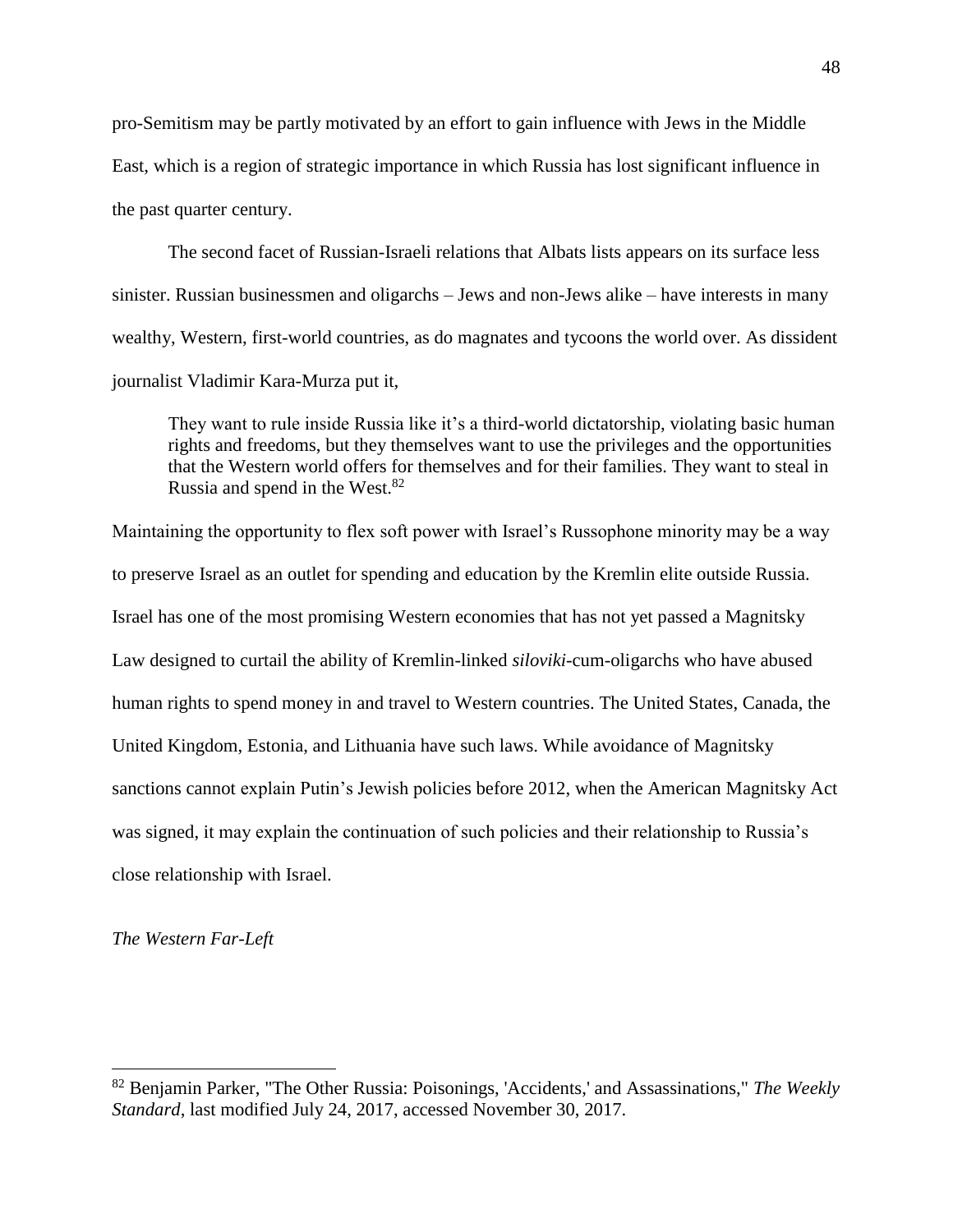pro-Semitism may be partly motivated by an effort to gain influence with Jews in the Middle East, which is a region of strategic importance in which Russia has lost significant influence in the past quarter century.

The second facet of Russian-Israeli relations that Albats lists appears on its surface less sinister. Russian businessmen and oligarchs – Jews and non-Jews alike – have interests in many wealthy, Western, first-world countries, as do magnates and tycoons the world over. As dissident journalist Vladimir Kara-Murza put it,

They want to rule inside Russia like it's a third-world dictatorship, violating basic human rights and freedoms, but they themselves want to use the privileges and the opportunities that the Western world offers for themselves and for their families. They want to steal in Russia and spend in the West.<sup>82</sup>

Maintaining the opportunity to flex soft power with Israel's Russophone minority may be a way to preserve Israel as an outlet for spending and education by the Kremlin elite outside Russia. Israel has one of the most promising Western economies that has not yet passed a Magnitsky Law designed to curtail the ability of Kremlin-linked *siloviki*-cum-oligarchs who have abused human rights to spend money in and travel to Western countries. The United States, Canada, the United Kingdom, Estonia, and Lithuania have such laws. While avoidance of Magnitsky sanctions cannot explain Putin's Jewish policies before 2012, when the American Magnitsky Act was signed, it may explain the continuation of such policies and their relationship to Russia's close relationship with Israel.

*The Western Far-Left*

<sup>82</sup> Benjamin Parker, "The Other Russia: Poisonings, 'Accidents,' and Assassinations," *The Weekly Standard*, last modified July 24, 2017, accessed November 30, 2017.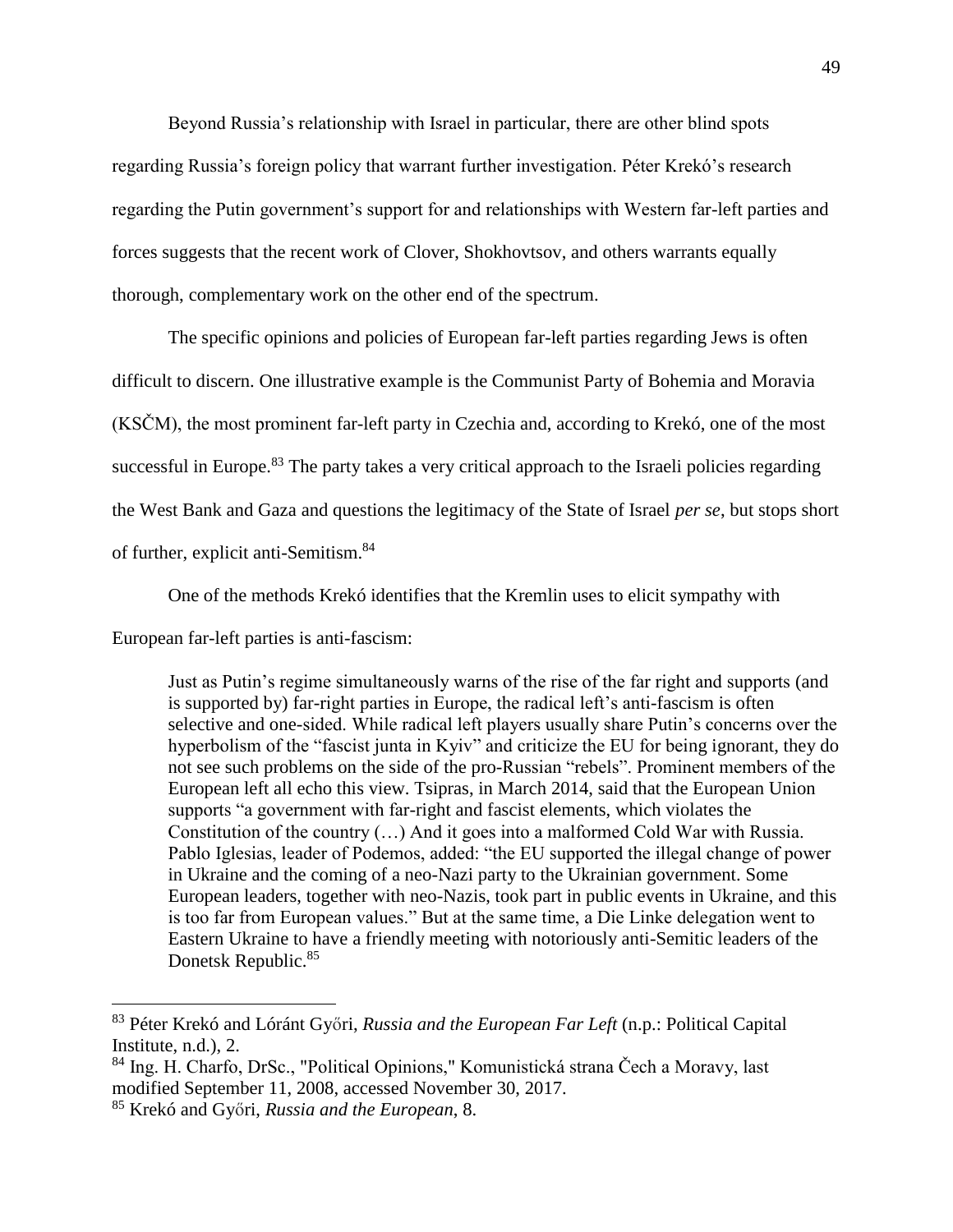Beyond Russia's relationship with Israel in particular, there are other blind spots regarding Russia's foreign policy that warrant further investigation. Péter Krekó's research regarding the Putin government's support for and relationships with Western far-left parties and forces suggests that the recent work of Clover, Shokhovtsov, and others warrants equally thorough, complementary work on the other end of the spectrum.

The specific opinions and policies of European far-left parties regarding Jews is often difficult to discern. One illustrative example is the Communist Party of Bohemia and Moravia (KSČM), the most prominent far-left party in Czechia and, according to Krekó, one of the most successful in Europe.<sup>83</sup> The party takes a very critical approach to the Israeli policies regarding the West Bank and Gaza and questions the legitimacy of the State of Israel *per se*, but stops short of further, explicit anti-Semitism.<sup>84</sup>

One of the methods Krekó identifies that the Kremlin uses to elicit sympathy with

European far-left parties is anti-fascism:

Just as Putin's regime simultaneously warns of the rise of the far right and supports (and is supported by) far-right parties in Europe, the radical left's anti-fascism is often selective and one-sided. While radical left players usually share Putin's concerns over the hyperbolism of the "fascist junta in Kyiv" and criticize the EU for being ignorant, they do not see such problems on the side of the pro-Russian "rebels". Prominent members of the European left all echo this view. Tsipras, in March 2014, said that the European Union supports "a government with far-right and fascist elements, which violates the Constitution of the country (…) And it goes into a malformed Cold War with Russia. Pablo Iglesias, leader of Podemos, added: "the EU supported the illegal change of power in Ukraine and the coming of a neo-Nazi party to the Ukrainian government. Some European leaders, together with neo-Nazis, took part in public events in Ukraine, and this is too far from European values." But at the same time, a Die Linke delegation went to Eastern Ukraine to have a friendly meeting with notoriously anti-Semitic leaders of the Donetsk Republic.<sup>85</sup>

<sup>83</sup> Péter Krekó and Lóránt Győri, *Russia and the European Far Left* (n.p.: Political Capital Institute, n.d.), 2.

<sup>84</sup> Ing. H. Charfo, DrSc., "Political Opinions," Komunistická strana Čech a Moravy, last modified September 11, 2008, accessed November 30, 2017.

<sup>85</sup> Krekó and Győri, *Russia and the European*, 8.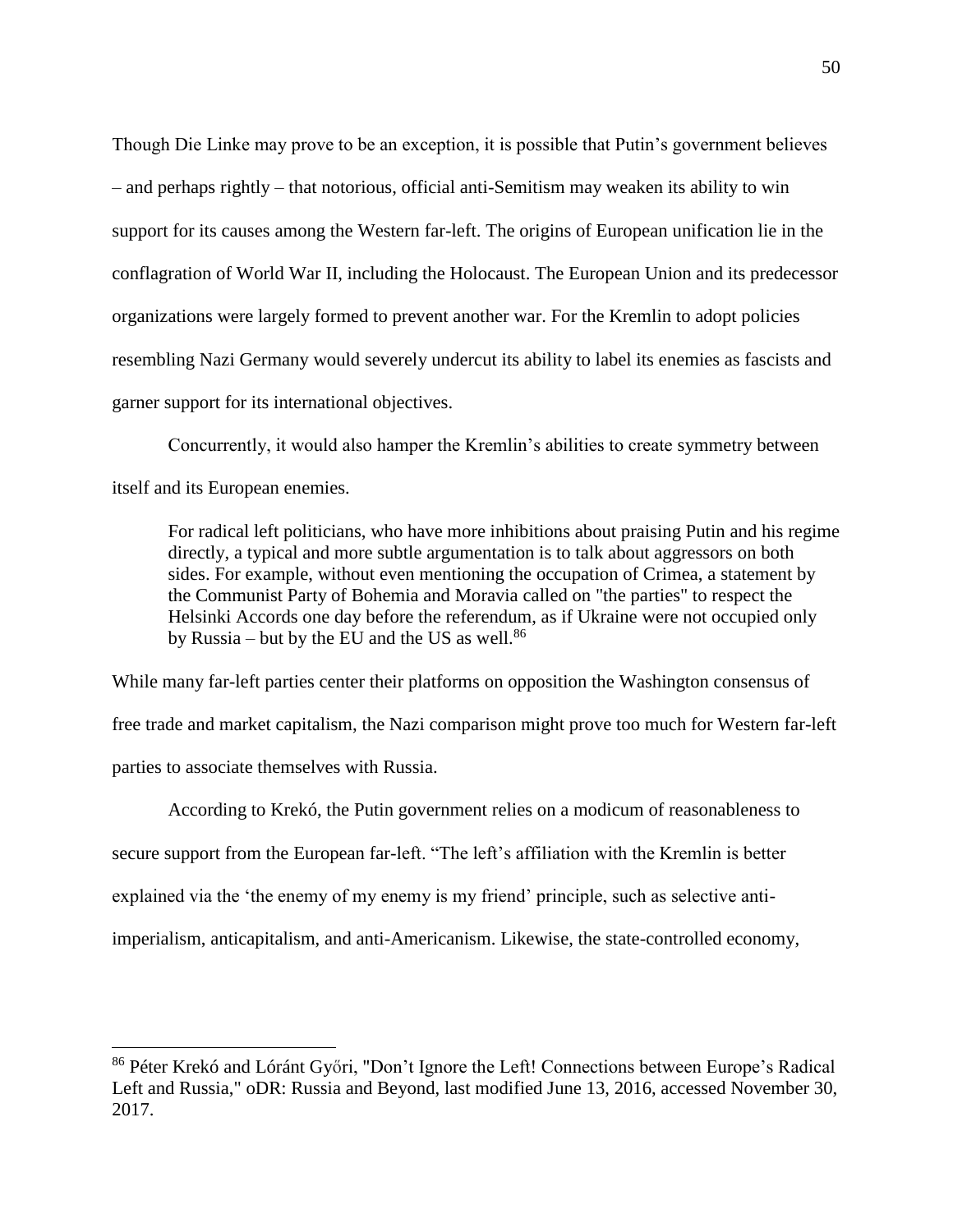Though Die Linke may prove to be an exception, it is possible that Putin's government believes – and perhaps rightly – that notorious, official anti-Semitism may weaken its ability to win support for its causes among the Western far-left. The origins of European unification lie in the conflagration of World War II, including the Holocaust. The European Union and its predecessor organizations were largely formed to prevent another war. For the Kremlin to adopt policies resembling Nazi Germany would severely undercut its ability to label its enemies as fascists and garner support for its international objectives.

Concurrently, it would also hamper the Kremlin's abilities to create symmetry between itself and its European enemies.

For radical left politicians, who have more inhibitions about praising Putin and his regime directly, a typical and more subtle argumentation is to talk about aggressors on both sides. For example, without even mentioning the occupation of Crimea, a statement by the Communist Party of Bohemia and Moravia called on "the parties" to respect the Helsinki Accords one day before the referendum, as if Ukraine were not occupied only by Russia – but by the EU and the US as well. $86$ 

While many far-left parties center their platforms on opposition the Washington consensus of free trade and market capitalism, the Nazi comparison might prove too much for Western far-left parties to associate themselves with Russia.

According to Krekó, the Putin government relies on a modicum of reasonableness to secure support from the European far-left. "The left's affiliation with the Kremlin is better explained via the 'the enemy of my enemy is my friend' principle, such as selective antiimperialism, anticapitalism, and anti-Americanism. Likewise, the state-controlled economy,

<sup>&</sup>lt;sup>86</sup> Péter Krekó and Lóránt Győri, "Don't Ignore the Left! Connections between Europe's Radical Left and Russia," oDR: Russia and Beyond, last modified June 13, 2016, accessed November 30, 2017.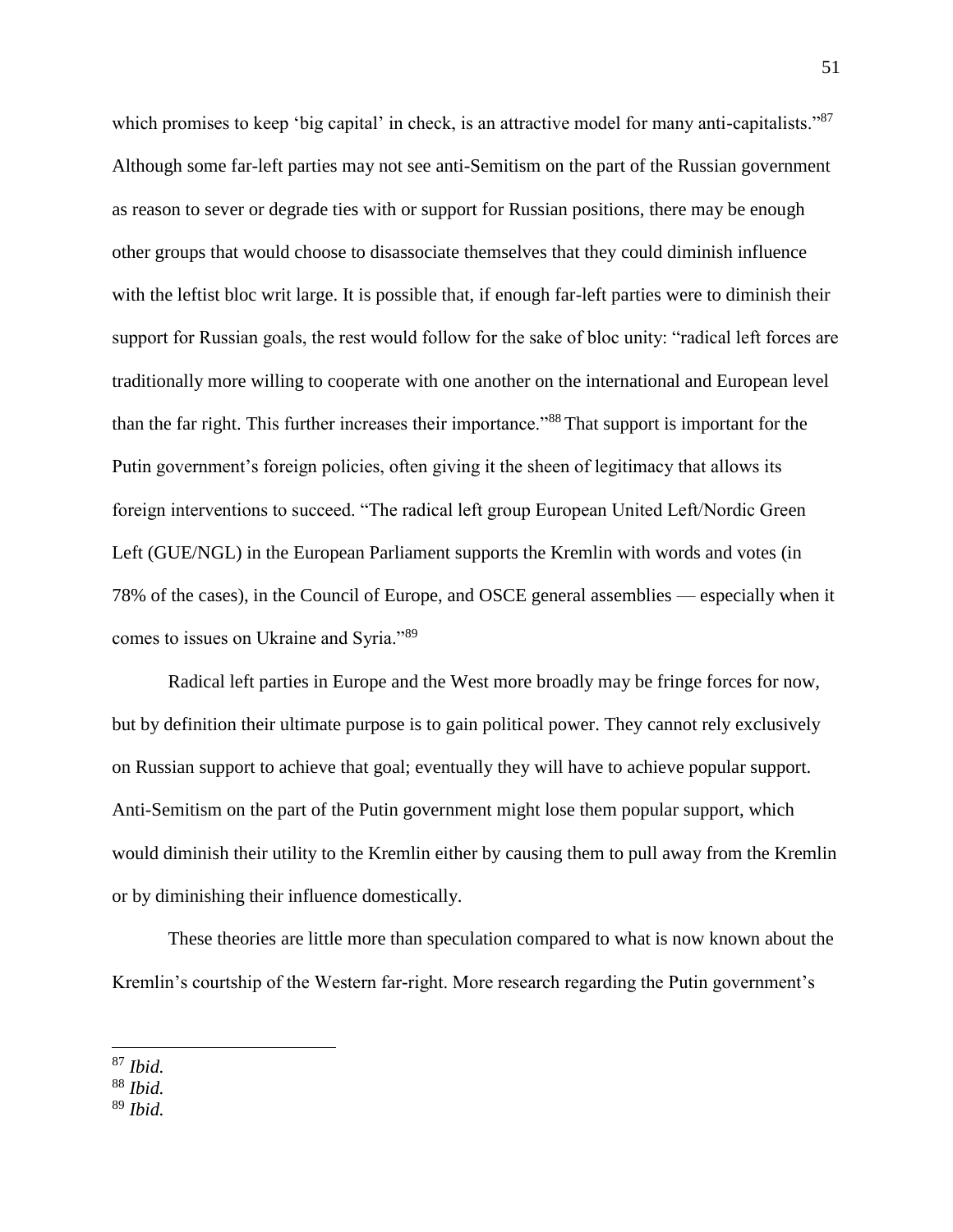which promises to keep 'big capital' in check, is an attractive model for many anti-capitalists."<sup>87</sup> Although some far-left parties may not see anti-Semitism on the part of the Russian government as reason to sever or degrade ties with or support for Russian positions, there may be enough other groups that would choose to disassociate themselves that they could diminish influence with the leftist bloc writ large. It is possible that, if enough far-left parties were to diminish their support for Russian goals, the rest would follow for the sake of bloc unity: "radical left forces are traditionally more willing to cooperate with one another on the international and European level than the far right. This further increases their importance."<sup>88</sup> That support is important for the Putin government's foreign policies, often giving it the sheen of legitimacy that allows its foreign interventions to succeed. "The radical left group European United Left/Nordic Green Left (GUE/NGL) in the European Parliament supports the Kremlin with words and votes (in 78% of the cases), in the Council of Europe, and OSCE general assemblies — especially when it comes to issues on Ukraine and Syria."<sup>89</sup>

Radical left parties in Europe and the West more broadly may be fringe forces for now, but by definition their ultimate purpose is to gain political power. They cannot rely exclusively on Russian support to achieve that goal; eventually they will have to achieve popular support. Anti-Semitism on the part of the Putin government might lose them popular support, which would diminish their utility to the Kremlin either by causing them to pull away from the Kremlin or by diminishing their influence domestically.

These theories are little more than speculation compared to what is now known about the Kremlin's courtship of the Western far-right. More research regarding the Putin government's

<sup>87</sup> *Ibid.*

<sup>88</sup> *Ibid.*

<sup>89</sup> *Ibid.*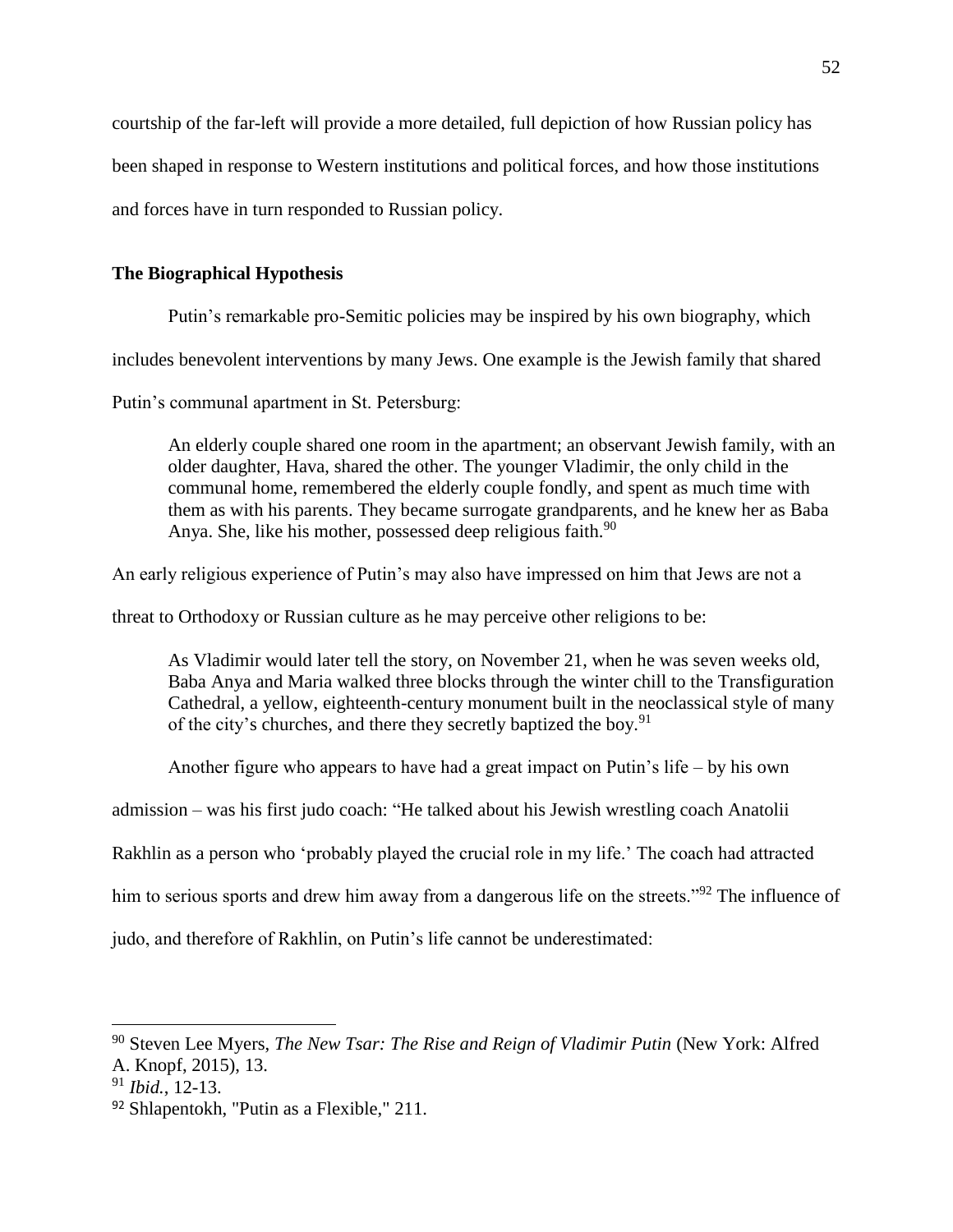courtship of the far-left will provide a more detailed, full depiction of how Russian policy has been shaped in response to Western institutions and political forces, and how those institutions and forces have in turn responded to Russian policy.

## **The Biographical Hypothesis**

Putin's remarkable pro-Semitic policies may be inspired by his own biography, which

includes benevolent interventions by many Jews. One example is the Jewish family that shared

Putin's communal apartment in St. Petersburg:

An elderly couple shared one room in the apartment; an observant Jewish family, with an older daughter, Hava, shared the other. The younger Vladimir, the only child in the communal home, remembered the elderly couple fondly, and spent as much time with them as with his parents. They became surrogate grandparents, and he knew her as Baba Anya. She, like his mother, possessed deep religious faith.<sup>90</sup>

An early religious experience of Putin's may also have impressed on him that Jews are not a

threat to Orthodoxy or Russian culture as he may perceive other religions to be:

As Vladimir would later tell the story, on November 21, when he was seven weeks old, Baba Anya and Maria walked three blocks through the winter chill to the Transfiguration Cathedral, a yellow, eighteenth-century monument built in the neoclassical style of many of the city's churches, and there they secretly baptized the boy.<sup>91</sup>

Another figure who appears to have had a great impact on Putin's life – by his own

admission – was his first judo coach: "He talked about his Jewish wrestling coach Anatolii

Rakhlin as a person who 'probably played the crucial role in my life.' The coach had attracted

him to serious sports and drew him away from a dangerous life on the streets."<sup>92</sup> The influence of

judo, and therefore of Rakhlin, on Putin's life cannot be underestimated:

<sup>90</sup> Steven Lee Myers, *The New Tsar: The Rise and Reign of Vladimir Putin* (New York: Alfred A. Knopf, 2015), 13.

<sup>91</sup> *Ibid.*, 12-13.

<sup>92</sup> Shlapentokh, "Putin as a Flexible," 211.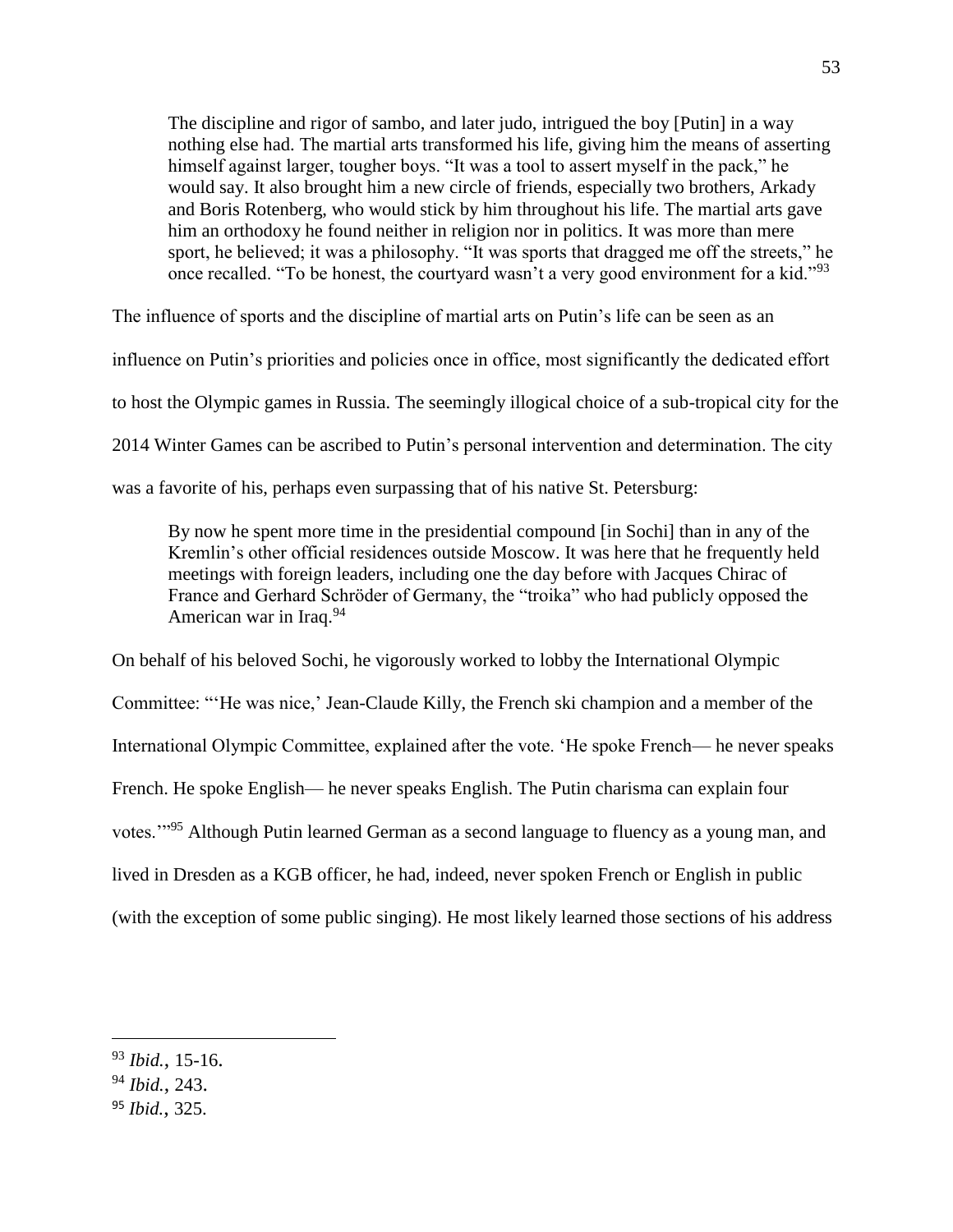The discipline and rigor of sambo, and later judo, intrigued the boy [Putin] in a way nothing else had. The martial arts transformed his life, giving him the means of asserting himself against larger, tougher boys. "It was a tool to assert myself in the pack," he would say. It also brought him a new circle of friends, especially two brothers, Arkady and Boris Rotenberg, who would stick by him throughout his life. The martial arts gave him an orthodoxy he found neither in religion nor in politics. It was more than mere sport, he believed; it was a philosophy. "It was sports that dragged me off the streets," he once recalled. "To be honest, the courtyard wasn't a very good environment for a kid."<sup>93</sup>

The influence of sports and the discipline of martial arts on Putin's life can be seen as an influence on Putin's priorities and policies once in office, most significantly the dedicated effort to host the Olympic games in Russia. The seemingly illogical choice of a sub-tropical city for the 2014 Winter Games can be ascribed to Putin's personal intervention and determination. The city was a favorite of his, perhaps even surpassing that of his native St. Petersburg:

By now he spent more time in the presidential compound [in Sochi] than in any of the Kremlin's other official residences outside Moscow. It was here that he frequently held meetings with foreign leaders, including one the day before with Jacques Chirac of France and Gerhard Schröder of Germany, the "troika" who had publicly opposed the American war in Iraq.<sup>94</sup>

On behalf of his beloved Sochi, he vigorously worked to lobby the International Olympic Committee: "'He was nice,' Jean-Claude Killy, the French ski champion and a member of the International Olympic Committee, explained after the vote. 'He spoke French— he never speaks French. He spoke English— he never speaks English. The Putin charisma can explain four votes.'"<sup>95</sup> Although Putin learned German as a second language to fluency as a young man, and lived in Dresden as a KGB officer, he had, indeed, never spoken French or English in public (with the exception of some public singing). He most likely learned those sections of his address

<sup>94</sup> *Ibid.*, 243.

<sup>93</sup> *Ibid.*, 15-16.

<sup>95</sup> *Ibid.*, 325.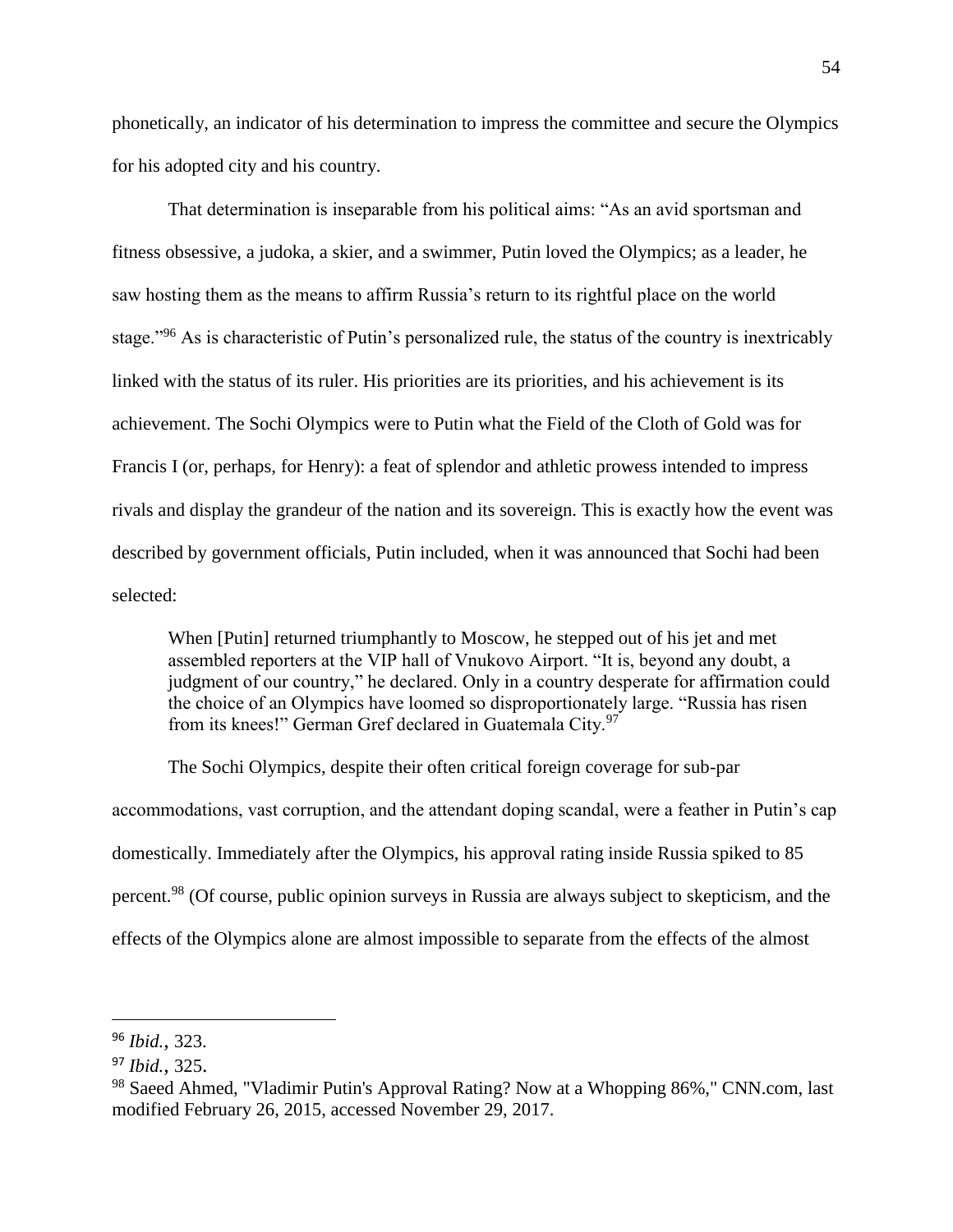phonetically, an indicator of his determination to impress the committee and secure the Olympics for his adopted city and his country.

That determination is inseparable from his political aims: "As an avid sportsman and fitness obsessive, a judoka, a skier, and a swimmer, Putin loved the Olympics; as a leader, he saw hosting them as the means to affirm Russia's return to its rightful place on the world stage."<sup>96</sup> As is characteristic of Putin's personalized rule, the status of the country is inextricably linked with the status of its ruler. His priorities are its priorities, and his achievement is its achievement. The Sochi Olympics were to Putin what the Field of the Cloth of Gold was for Francis I (or, perhaps, for Henry): a feat of splendor and athletic prowess intended to impress rivals and display the grandeur of the nation and its sovereign. This is exactly how the event was described by government officials, Putin included, when it was announced that Sochi had been selected:

When [Putin] returned triumphantly to Moscow, he stepped out of his jet and met assembled reporters at the VIP hall of Vnukovo Airport. "It is, beyond any doubt, a judgment of our country," he declared. Only in a country desperate for affirmation could the choice of an Olympics have loomed so disproportionately large. "Russia has risen from its knees!" German Gref declared in Guatemala City.<sup>97</sup>

The Sochi Olympics, despite their often critical foreign coverage for sub-par accommodations, vast corruption, and the attendant doping scandal, were a feather in Putin's cap domestically. Immediately after the Olympics, his approval rating inside Russia spiked to 85 percent.<sup>98</sup> (Of course, public opinion surveys in Russia are always subject to skepticism, and the effects of the Olympics alone are almost impossible to separate from the effects of the almost

<sup>96</sup> *Ibid.*, 323.

<sup>97</sup> *Ibid.*, 325.

<sup>98</sup> Saeed Ahmed, "Vladimir Putin's Approval Rating? Now at a Whopping 86%," CNN.com, last modified February 26, 2015, accessed November 29, 2017.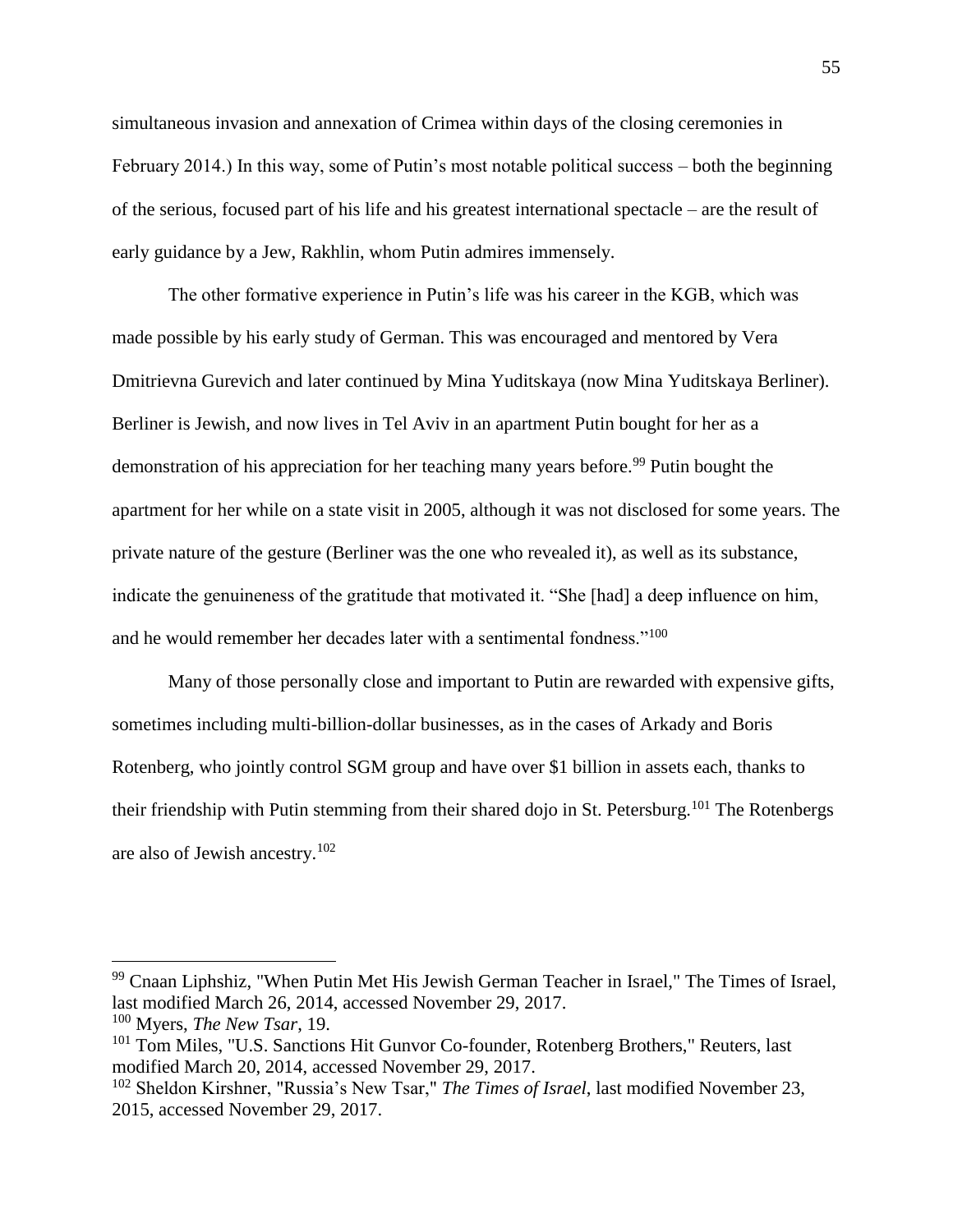simultaneous invasion and annexation of Crimea within days of the closing ceremonies in February 2014.) In this way, some of Putin's most notable political success – both the beginning of the serious, focused part of his life and his greatest international spectacle – are the result of early guidance by a Jew, Rakhlin, whom Putin admires immensely.

The other formative experience in Putin's life was his career in the KGB, which was made possible by his early study of German. This was encouraged and mentored by Vera Dmitrievna Gurevich and later continued by Mina Yuditskaya (now Mina Yuditskaya Berliner). Berliner is Jewish, and now lives in Tel Aviv in an apartment Putin bought for her as a demonstration of his appreciation for her teaching many years before.<sup>99</sup> Putin bought the apartment for her while on a state visit in 2005, although it was not disclosed for some years. The private nature of the gesture (Berliner was the one who revealed it), as well as its substance, indicate the genuineness of the gratitude that motivated it. "She [had] a deep influence on him, and he would remember her decades later with a sentimental fondness."<sup>100</sup>

Many of those personally close and important to Putin are rewarded with expensive gifts, sometimes including multi-billion-dollar businesses, as in the cases of Arkady and Boris Rotenberg, who jointly control SGM group and have over \$1 billion in assets each, thanks to their friendship with Putin stemming from their shared dojo in St. Petersburg.<sup>101</sup> The Rotenbergs are also of Jewish ancestry.<sup>102</sup>

<sup>99</sup> Cnaan Liphshiz, "When Putin Met His Jewish German Teacher in Israel," The Times of Israel, last modified March 26, 2014, accessed November 29, 2017.

<sup>100</sup> Myers, *The New Tsar*, 19.

<sup>&</sup>lt;sup>101</sup> Tom Miles, "U.S. Sanctions Hit Gunvor Co-founder, Rotenberg Brothers," Reuters, last modified March 20, 2014, accessed November 29, 2017.

<sup>102</sup> Sheldon Kirshner, "Russia's New Tsar," *The Times of Israel*, last modified November 23, 2015, accessed November 29, 2017.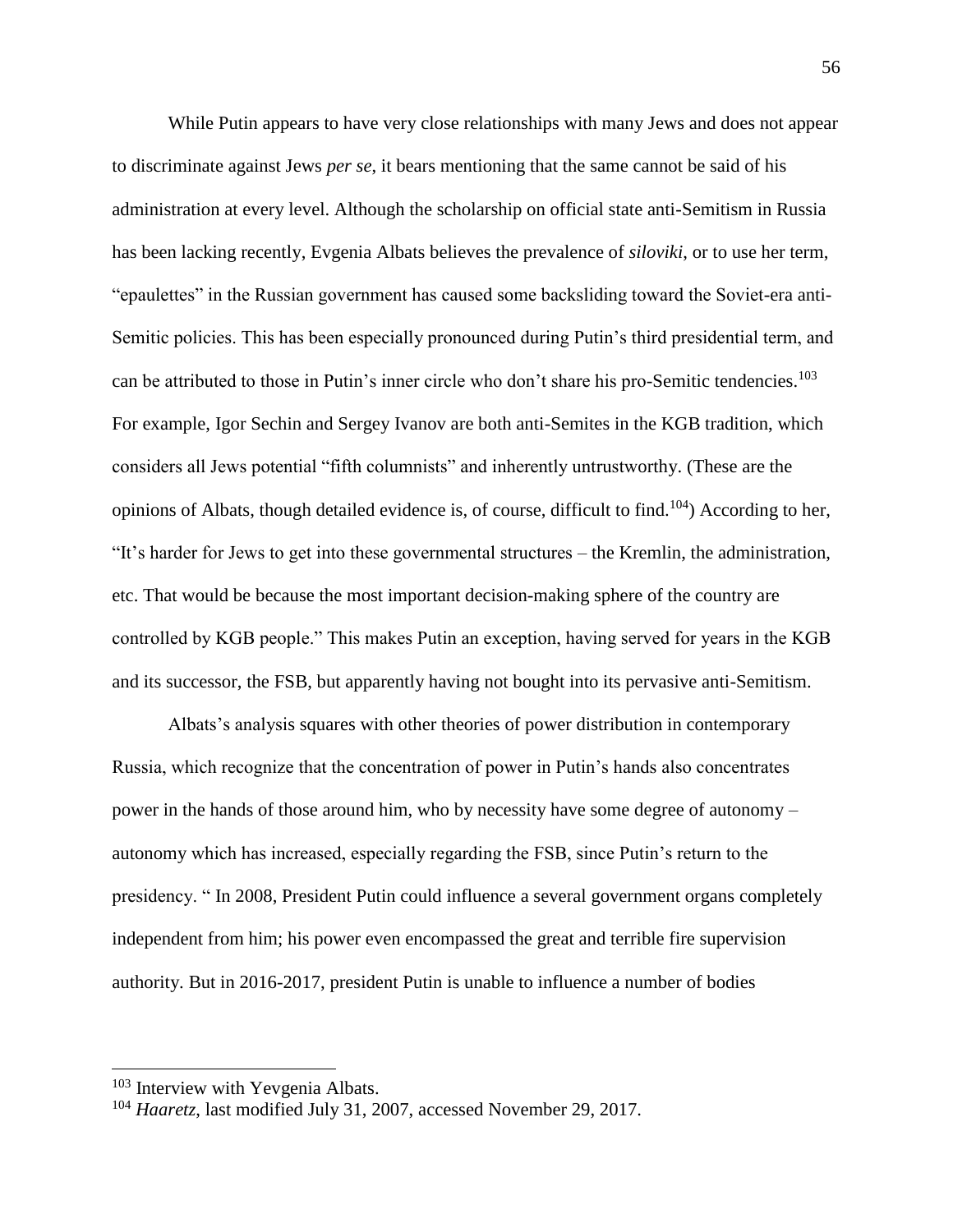While Putin appears to have very close relationships with many Jews and does not appear to discriminate against Jews *per se*, it bears mentioning that the same cannot be said of his administration at every level. Although the scholarship on official state anti-Semitism in Russia has been lacking recently, Evgenia Albats believes the prevalence of *siloviki*, or to use her term, "epaulettes" in the Russian government has caused some backsliding toward the Soviet-era anti-Semitic policies. This has been especially pronounced during Putin's third presidential term, and can be attributed to those in Putin's inner circle who don't share his pro-Semitic tendencies.<sup>103</sup> For example, Igor Sechin and Sergey Ivanov are both anti-Semites in the KGB tradition, which considers all Jews potential "fifth columnists" and inherently untrustworthy. (These are the opinions of Albats, though detailed evidence is, of course, difficult to find.<sup>104</sup>) According to her, "It's harder for Jews to get into these governmental structures – the Kremlin, the administration, etc. That would be because the most important decision-making sphere of the country are controlled by KGB people." This makes Putin an exception, having served for years in the KGB and its successor, the FSB, but apparently having not bought into its pervasive anti-Semitism.

Albats's analysis squares with other theories of power distribution in contemporary Russia, which recognize that the concentration of power in Putin's hands also concentrates power in the hands of those around him, who by necessity have some degree of autonomy – autonomy which has increased, especially regarding the FSB, since Putin's return to the presidency. " In 2008, President Putin could influence a several government organs completely independent from him; his power even encompassed the great and terrible fire supervision authority. But in 2016-2017, president Putin is unable to influence a number of bodies

<sup>&</sup>lt;sup>103</sup> Interview with Yevgenia Albats.

<sup>104</sup> *Haaretz*, last modified July 31, 2007, accessed November 29, 2017.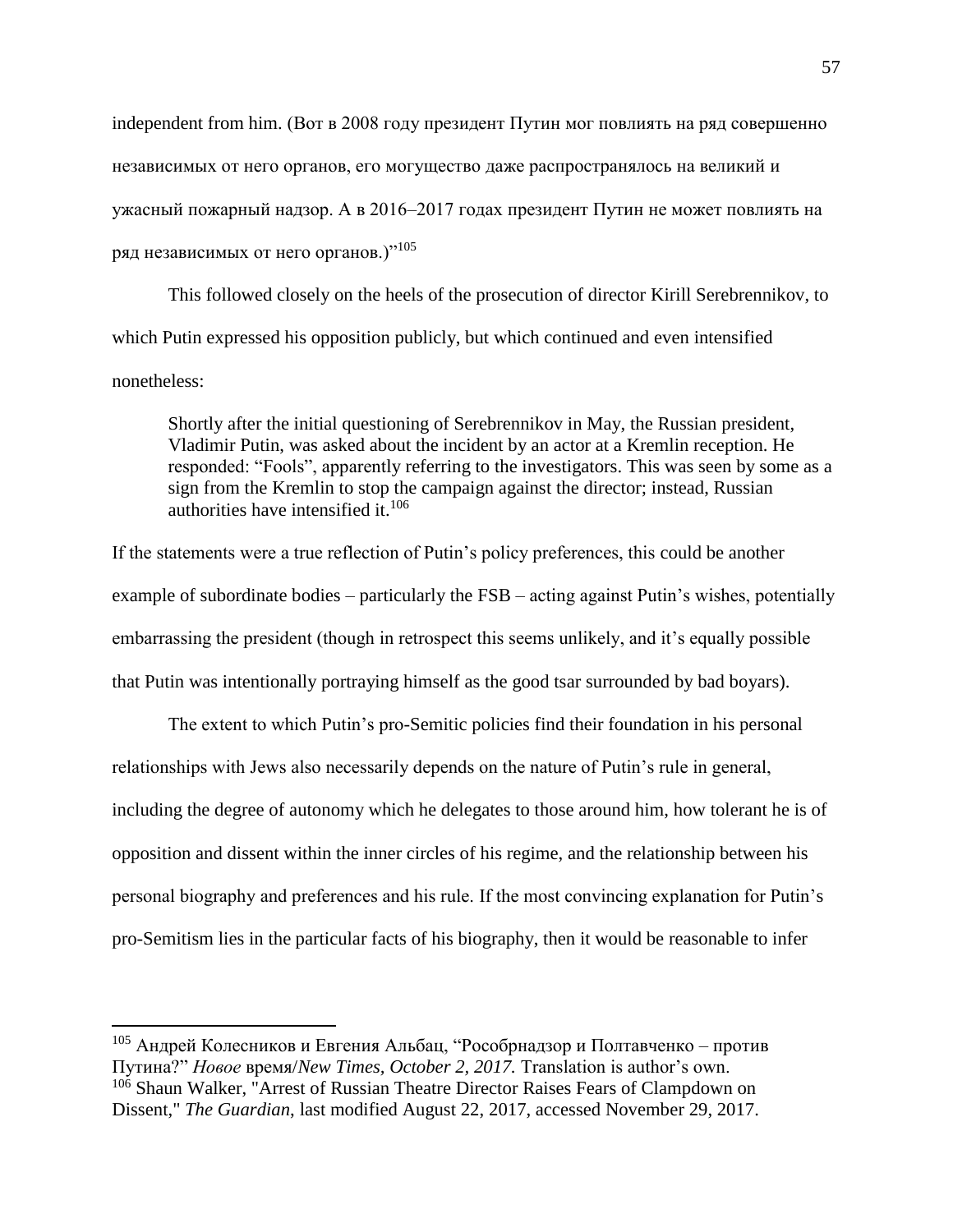independent from him. (Вот в 2008 году президент Путин мог повлиять на ряд совершенно независимых от него органов, его могущество даже распространялось на великий и ужасный пожарный надзор. А в 2016–2017 годах президент Путин не может повлиять на ряд независимых от него органов.)"<sup>105</sup>

This followed closely on the heels of the prosecution of director Kirill Serebrennikov, to which Putin expressed his opposition publicly, but which continued and even intensified nonetheless:

Shortly after the initial questioning of Serebrennikov in May, the Russian president, Vladimir Putin, was asked about the incident by an actor at a Kremlin reception. He responded: "Fools", apparently referring to the investigators. This was seen by some as a sign from the Kremlin to stop the campaign against the director; instead, Russian authorities have intensified it. $106$ 

If the statements were a true reflection of Putin's policy preferences, this could be another example of subordinate bodies – particularly the FSB – acting against Putin's wishes, potentially embarrassing the president (though in retrospect this seems unlikely, and it's equally possible that Putin was intentionally portraying himself as the good tsar surrounded by bad boyars).

The extent to which Putin's pro-Semitic policies find their foundation in his personal relationships with Jews also necessarily depends on the nature of Putin's rule in general, including the degree of autonomy which he delegates to those around him, how tolerant he is of opposition and dissent within the inner circles of his regime, and the relationship between his personal biography and preferences and his rule. If the most convincing explanation for Putin's pro-Semitism lies in the particular facts of his biography, then it would be reasonable to infer

<sup>&</sup>lt;sup>105</sup> Андрей Колесников и Евгения Альбац, "Рособрнадзор и Полтавченко – против Путина?" *Новое* время/*New Times, October 2, 2017.* Translation is author's own. <sup>106</sup> Shaun Walker, "Arrest of Russian Theatre Director Raises Fears of Clampdown on Dissent," *The Guardian*, last modified August 22, 2017, accessed November 29, 2017.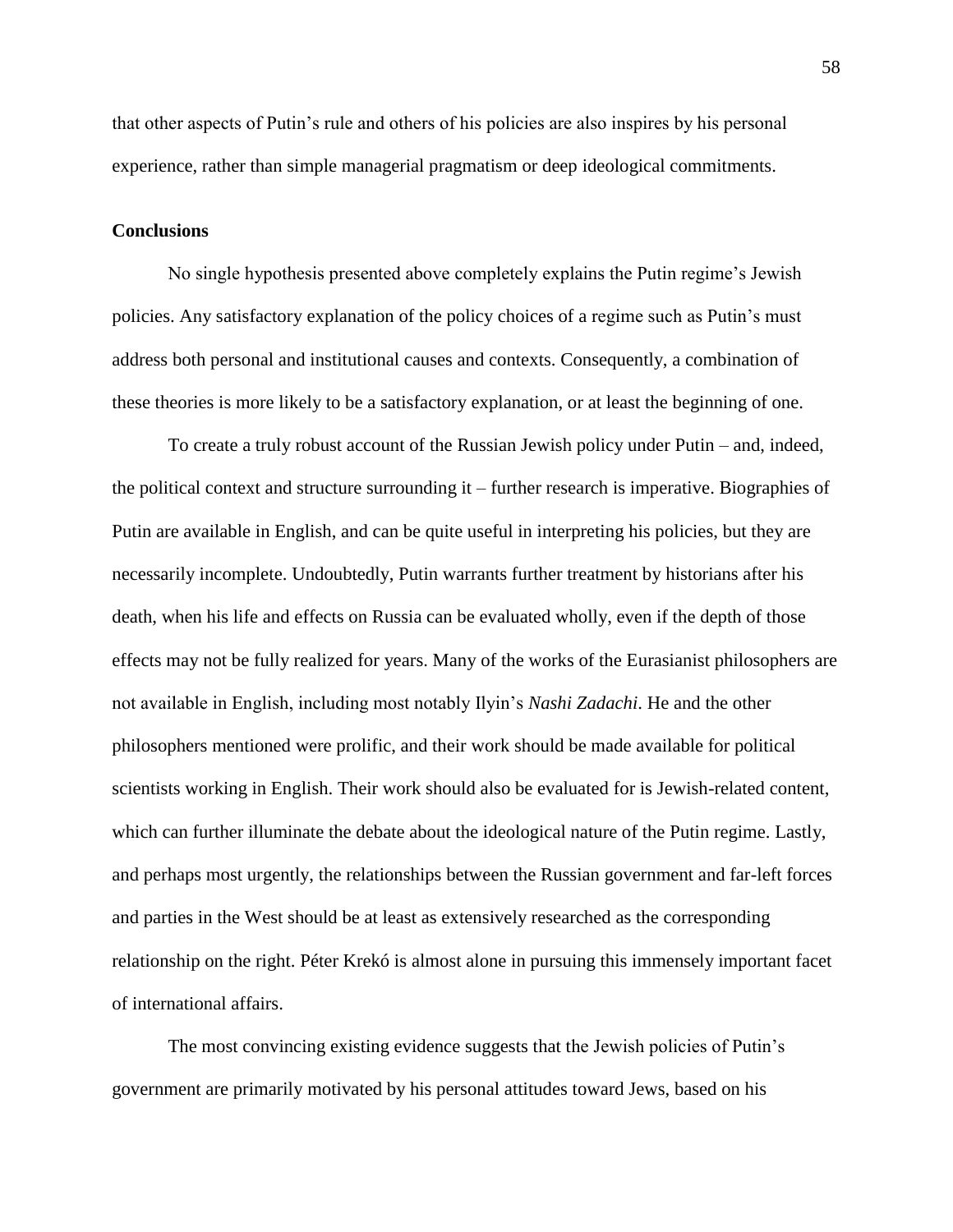that other aspects of Putin's rule and others of his policies are also inspires by his personal experience, rather than simple managerial pragmatism or deep ideological commitments.

#### **Conclusions**

No single hypothesis presented above completely explains the Putin regime's Jewish policies. Any satisfactory explanation of the policy choices of a regime such as Putin's must address both personal and institutional causes and contexts. Consequently, a combination of these theories is more likely to be a satisfactory explanation, or at least the beginning of one.

To create a truly robust account of the Russian Jewish policy under Putin – and, indeed, the political context and structure surrounding it – further research is imperative. Biographies of Putin are available in English, and can be quite useful in interpreting his policies, but they are necessarily incomplete. Undoubtedly, Putin warrants further treatment by historians after his death, when his life and effects on Russia can be evaluated wholly, even if the depth of those effects may not be fully realized for years. Many of the works of the Eurasianist philosophers are not available in English, including most notably Ilyin's *Nashi Zadachi*. He and the other philosophers mentioned were prolific, and their work should be made available for political scientists working in English. Their work should also be evaluated for is Jewish-related content, which can further illuminate the debate about the ideological nature of the Putin regime. Lastly, and perhaps most urgently, the relationships between the Russian government and far-left forces and parties in the West should be at least as extensively researched as the corresponding relationship on the right. Péter Krekó is almost alone in pursuing this immensely important facet of international affairs.

The most convincing existing evidence suggests that the Jewish policies of Putin's government are primarily motivated by his personal attitudes toward Jews, based on his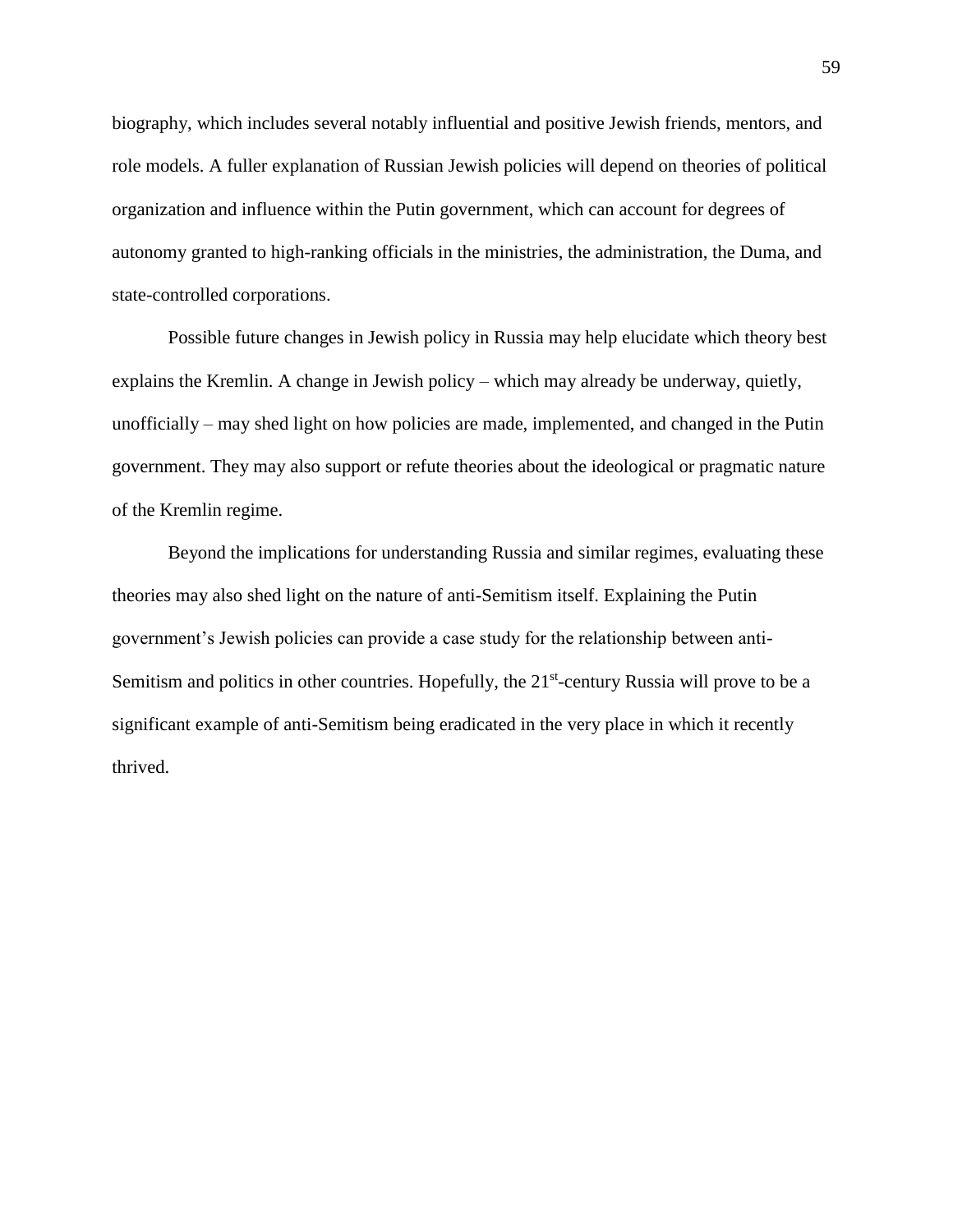biography, which includes several notably influential and positive Jewish friends, mentors, and role models. A fuller explanation of Russian Jewish policies will depend on theories of political organization and influence within the Putin government, which can account for degrees of autonomy granted to high-ranking officials in the ministries, the administration, the Duma, and state-controlled corporations.

Possible future changes in Jewish policy in Russia may help elucidate which theory best explains the Kremlin. A change in Jewish policy – which may already be underway, quietly, unofficially – may shed light on how policies are made, implemented, and changed in the Putin government. They may also support or refute theories about the ideological or pragmatic nature of the Kremlin regime.

Beyond the implications for understanding Russia and similar regimes, evaluating these theories may also shed light on the nature of anti-Semitism itself. Explaining the Putin government's Jewish policies can provide a case study for the relationship between anti-Semitism and politics in other countries. Hopefully, the 21<sup>st</sup>-century Russia will prove to be a significant example of anti-Semitism being eradicated in the very place in which it recently thrived.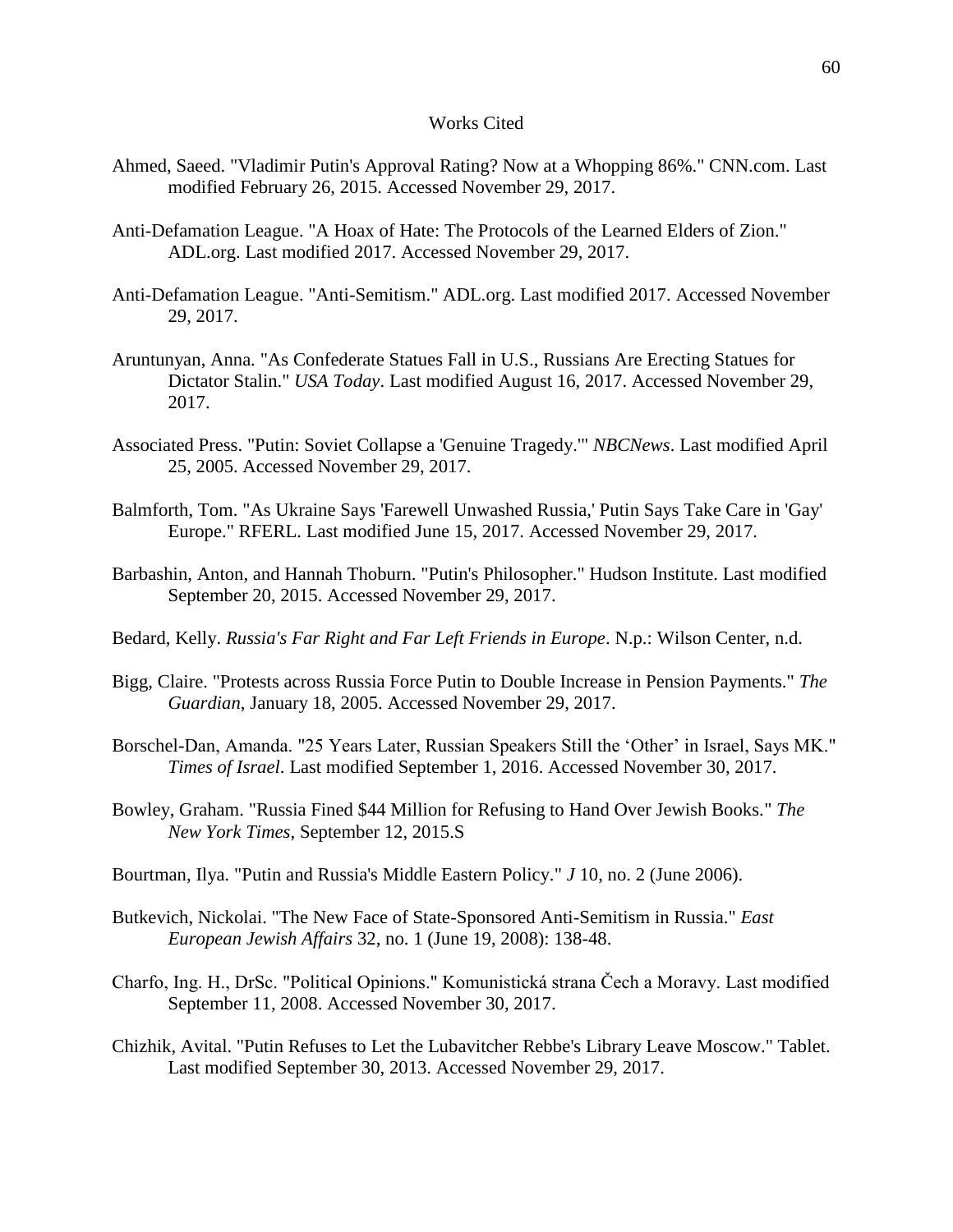#### Works Cited

- Ahmed, Saeed. "Vladimir Putin's Approval Rating? Now at a Whopping 86%." CNN.com. Last modified February 26, 2015. Accessed November 29, 2017.
- Anti-Defamation League. "A Hoax of Hate: The Protocols of the Learned Elders of Zion." ADL.org. Last modified 2017. Accessed November 29, 2017.
- Anti-Defamation League. "Anti-Semitism." ADL.org. Last modified 2017. Accessed November 29, 2017.
- Aruntunyan, Anna. "As Confederate Statues Fall in U.S., Russians Are Erecting Statues for Dictator Stalin." *USA Today*. Last modified August 16, 2017. Accessed November 29, 2017.
- Associated Press. "Putin: Soviet Collapse a 'Genuine Tragedy.'" *NBCNews*. Last modified April 25, 2005. Accessed November 29, 2017.
- Balmforth, Tom. "As Ukraine Says 'Farewell Unwashed Russia,' Putin Says Take Care in 'Gay' Europe." RFERL. Last modified June 15, 2017. Accessed November 29, 2017.
- Barbashin, Anton, and Hannah Thoburn. "Putin's Philosopher." Hudson Institute. Last modified September 20, 2015. Accessed November 29, 2017.
- Bedard, Kelly. *Russia's Far Right and Far Left Friends in Europe*. N.p.: Wilson Center, n.d.
- Bigg, Claire. "Protests across Russia Force Putin to Double Increase in Pension Payments." *The Guardian*, January 18, 2005. Accessed November 29, 2017.
- Borschel-Dan, Amanda. "25 Years Later, Russian Speakers Still the 'Other' in Israel, Says MK." *Times of Israel*. Last modified September 1, 2016. Accessed November 30, 2017.
- Bowley, Graham. "Russia Fined \$44 Million for Refusing to Hand Over Jewish Books." *The New York Times*, September 12, 2015.S
- Bourtman, Ilya. "Putin and Russia's Middle Eastern Policy." *J* 10, no. 2 (June 2006).
- Butkevich, Nickolai. "The New Face of State-Sponsored Anti-Semitism in Russia." *East European Jewish Affairs* 32, no. 1 (June 19, 2008): 138-48.
- Charfo, Ing. H., DrSc. "Political Opinions." Komunistická strana Čech a Moravy. Last modified September 11, 2008. Accessed November 30, 2017.
- Chizhik, Avital. "Putin Refuses to Let the Lubavitcher Rebbe's Library Leave Moscow." Tablet. Last modified September 30, 2013. Accessed November 29, 2017.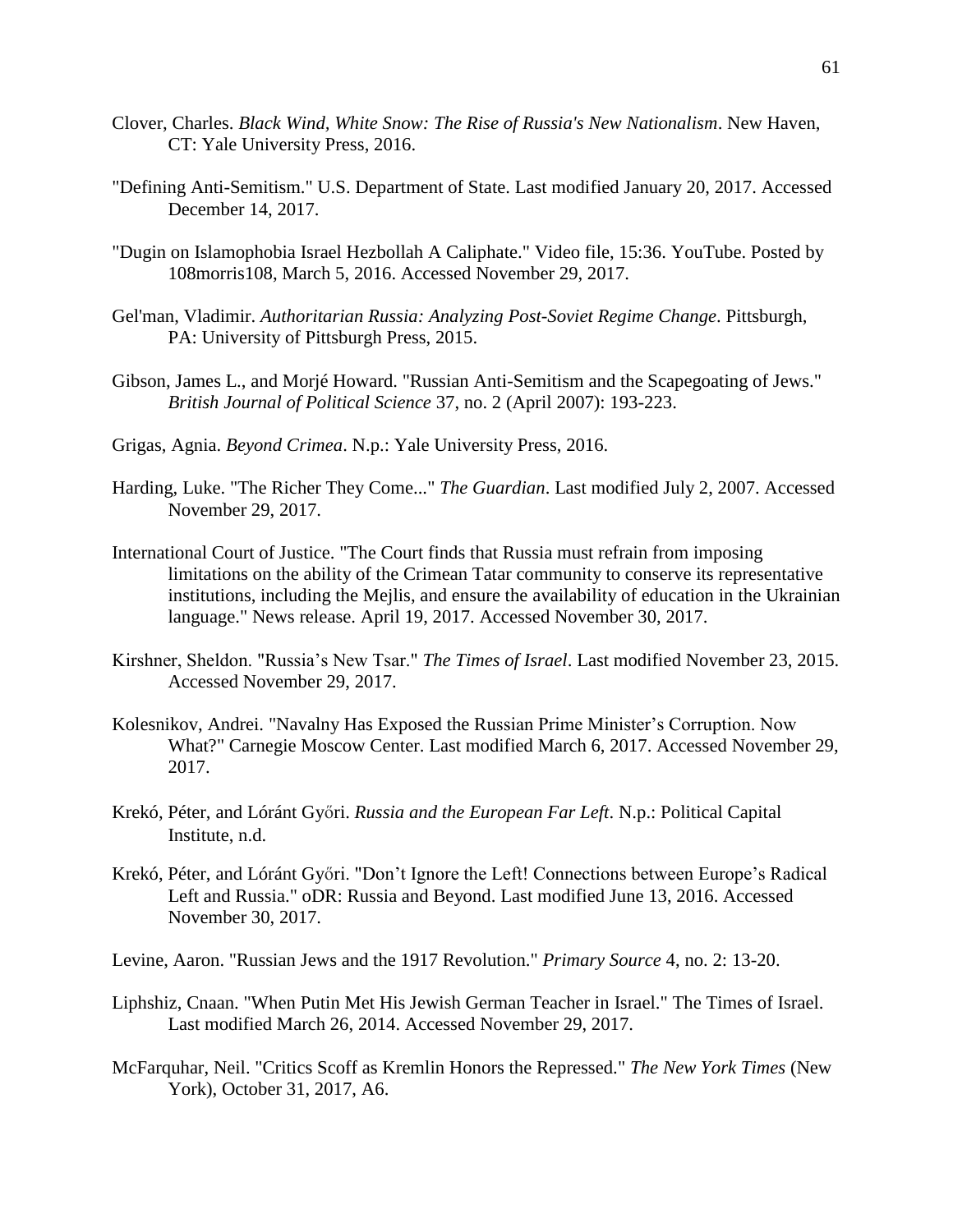- Clover, Charles. *Black Wind, White Snow: The Rise of Russia's New Nationalism*. New Haven, CT: Yale University Press, 2016.
- "Defining Anti-Semitism." U.S. Department of State. Last modified January 20, 2017. Accessed December 14, 2017.
- "Dugin on Islamophobia Israel Hezbollah A Caliphate." Video file, 15:36. YouTube. Posted by 108morris108, March 5, 2016. Accessed November 29, 2017.
- Gel'man, Vladimir. *Authoritarian Russia: Analyzing Post-Soviet Regime Change*. Pittsburgh, PA: University of Pittsburgh Press, 2015.
- Gibson, James L., and Morjé Howard. "Russian Anti-Semitism and the Scapegoating of Jews." *British Journal of Political Science* 37, no. 2 (April 2007): 193-223.
- Grigas, Agnia. *Beyond Crimea*. N.p.: Yale University Press, 2016.
- Harding, Luke. "The Richer They Come..." *The Guardian*. Last modified July 2, 2007. Accessed November 29, 2017.
- International Court of Justice. "The Court finds that Russia must refrain from imposing limitations on the ability of the Crimean Tatar community to conserve its representative institutions, including the Mejlis, and ensure the availability of education in the Ukrainian language." News release. April 19, 2017. Accessed November 30, 2017.
- Kirshner, Sheldon. "Russia's New Tsar." *The Times of Israel*. Last modified November 23, 2015. Accessed November 29, 2017.
- Kolesnikov, Andrei. "Navalny Has Exposed the Russian Prime Minister's Corruption. Now What?" Carnegie Moscow Center. Last modified March 6, 2017. Accessed November 29, 2017.
- Krekó, Péter, and Lóránt Győri. *Russia and the European Far Left*. N.p.: Political Capital Institute, n.d.
- Krekó, Péter, and Lóránt Győri. "Don't Ignore the Left! Connections between Europe's Radical Left and Russia." oDR: Russia and Beyond. Last modified June 13, 2016. Accessed November 30, 2017.
- Levine, Aaron. "Russian Jews and the 1917 Revolution." *Primary Source* 4, no. 2: 13-20.
- Liphshiz, Cnaan. "When Putin Met His Jewish German Teacher in Israel." The Times of Israel. Last modified March 26, 2014. Accessed November 29, 2017.
- McFarquhar, Neil. "Critics Scoff as Kremlin Honors the Repressed." *The New York Times* (New York), October 31, 2017, A6.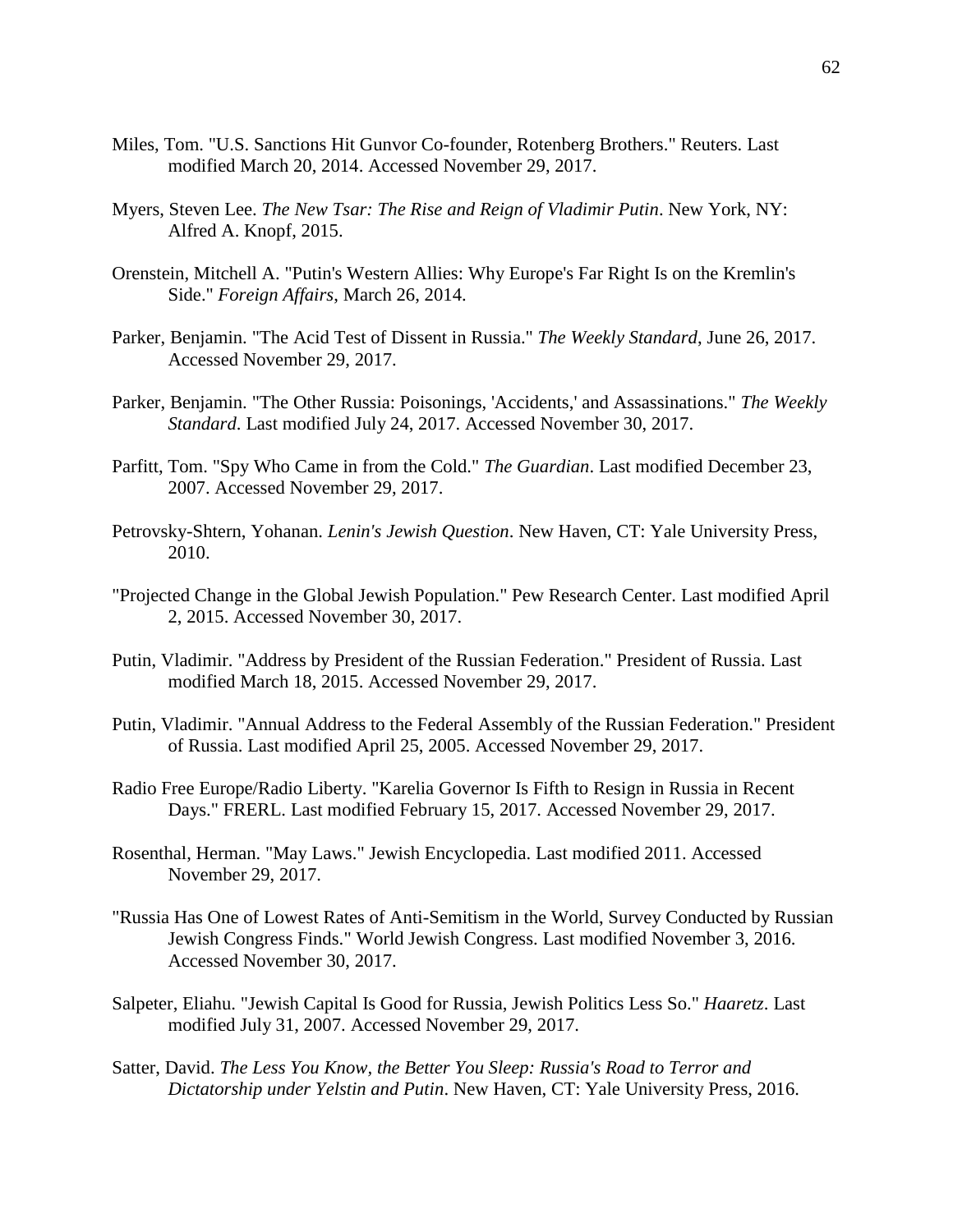- Miles, Tom. "U.S. Sanctions Hit Gunvor Co-founder, Rotenberg Brothers." Reuters. Last modified March 20, 2014. Accessed November 29, 2017.
- Myers, Steven Lee. *The New Tsar: The Rise and Reign of Vladimir Putin*. New York, NY: Alfred A. Knopf, 2015.
- Orenstein, Mitchell A. "Putin's Western Allies: Why Europe's Far Right Is on the Kremlin's Side." *Foreign Affairs*, March 26, 2014.
- Parker, Benjamin. "The Acid Test of Dissent in Russia." *The Weekly Standard*, June 26, 2017. Accessed November 29, 2017.
- Parker, Benjamin. "The Other Russia: Poisonings, 'Accidents,' and Assassinations." *The Weekly Standard*. Last modified July 24, 2017. Accessed November 30, 2017.
- Parfitt, Tom. "Spy Who Came in from the Cold." *The Guardian*. Last modified December 23, 2007. Accessed November 29, 2017.
- Petrovsky-Shtern, Yohanan. *Lenin's Jewish Question*. New Haven, CT: Yale University Press, 2010.
- "Projected Change in the Global Jewish Population." Pew Research Center. Last modified April 2, 2015. Accessed November 30, 2017.
- Putin, Vladimir. "Address by President of the Russian Federation." President of Russia. Last modified March 18, 2015. Accessed November 29, 2017.
- Putin, Vladimir. "Annual Address to the Federal Assembly of the Russian Federation." President of Russia. Last modified April 25, 2005. Accessed November 29, 2017.
- Radio Free Europe/Radio Liberty. "Karelia Governor Is Fifth to Resign in Russia in Recent Days." FRERL. Last modified February 15, 2017. Accessed November 29, 2017.
- Rosenthal, Herman. "May Laws." Jewish Encyclopedia. Last modified 2011. Accessed November 29, 2017.
- "Russia Has One of Lowest Rates of Anti-Semitism in the World, Survey Conducted by Russian Jewish Congress Finds." World Jewish Congress. Last modified November 3, 2016. Accessed November 30, 2017.
- Salpeter, Eliahu. "Jewish Capital Is Good for Russia, Jewish Politics Less So." *Haaretz*. Last modified July 31, 2007. Accessed November 29, 2017.
- Satter, David. *The Less You Know, the Better You Sleep: Russia's Road to Terror and Dictatorship under Yelstin and Putin*. New Haven, CT: Yale University Press, 2016.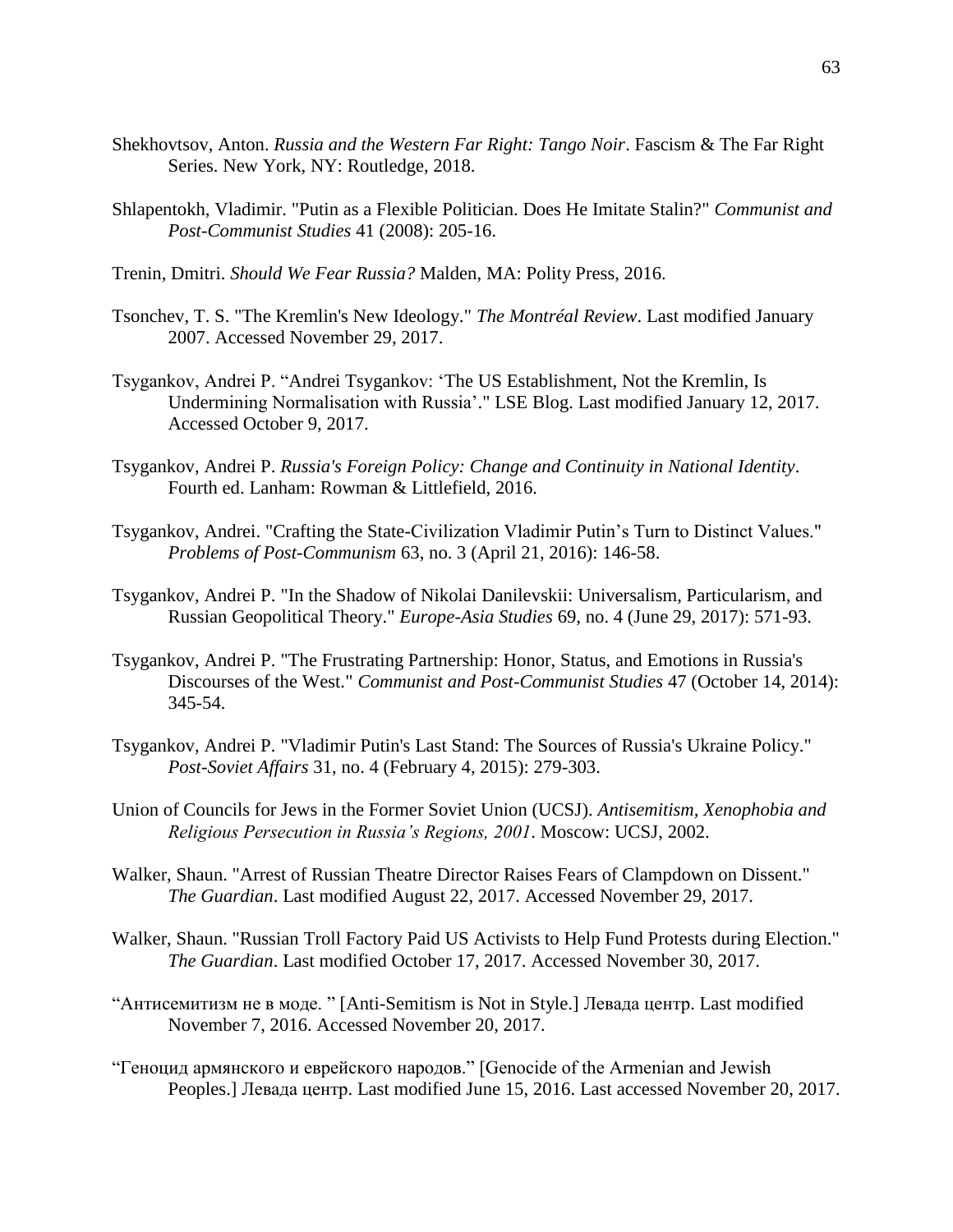- Shekhovtsov, Anton. *Russia and the Western Far Right: Tango Noir*. Fascism & The Far Right Series. New York, NY: Routledge, 2018.
- Shlapentokh, Vladimir. "Putin as a Flexible Politician. Does He Imitate Stalin?" *Communist and Post-Communist Studies* 41 (2008): 205-16.
- Trenin, Dmitri. *Should We Fear Russia?* Malden, MA: Polity Press, 2016.
- Tsonchev, T. S. "The Kremlin's New Ideology." *The Montréal Review*. Last modified January 2007. Accessed November 29, 2017.
- Tsygankov, Andrei P. "Andrei Tsygankov: 'The US Establishment, Not the Kremlin, Is Undermining Normalisation with Russia'." LSE Blog. Last modified January 12, 2017. Accessed October 9, 2017.
- Tsygankov, Andrei P. *Russia's Foreign Policy: Change and Continuity in National Identity*. Fourth ed. Lanham: Rowman & Littlefield, 2016.
- Tsygankov, Andrei. "Crafting the State-Civilization Vladimir Putin's Turn to Distinct Values." *Problems of Post-Communism* 63, no. 3 (April 21, 2016): 146-58.
- Tsygankov, Andrei P. "In the Shadow of Nikolai Danilevskii: Universalism, Particularism, and Russian Geopolitical Theory." *Europe-Asia Studies* 69, no. 4 (June 29, 2017): 571-93.
- Tsygankov, Andrei P. "The Frustrating Partnership: Honor, Status, and Emotions in Russia's Discourses of the West." *Communist and Post-Communist Studies* 47 (October 14, 2014): 345-54.
- Tsygankov, Andrei P. "Vladimir Putin's Last Stand: The Sources of Russia's Ukraine Policy." *Post-Soviet Affairs* 31, no. 4 (February 4, 2015): 279-303.
- Union of Councils for Jews in the Former Soviet Union (UCSJ). *Antisemitism, Xenophobia and Religious Persecution in Russia's Regions, 2001*. Moscow: UCSJ, 2002.
- Walker, Shaun. "Arrest of Russian Theatre Director Raises Fears of Clampdown on Dissent." *The Guardian*. Last modified August 22, 2017. Accessed November 29, 2017.
- Walker, Shaun. "Russian Troll Factory Paid US Activists to Help Fund Protests during Election." *The Guardian*. Last modified October 17, 2017. Accessed November 30, 2017.
- "Антисемитизм не в моде. " [Anti-Semitism is Not in Style.] Левада центр. Last modified November 7, 2016. Accessed November 20, 2017.
- "Геноцид армянского и еврейского народов." [Genocide of the Armenian and Jewish Peoples.] Левада центр. Last modified June 15, 2016. Last accessed November 20, 2017.